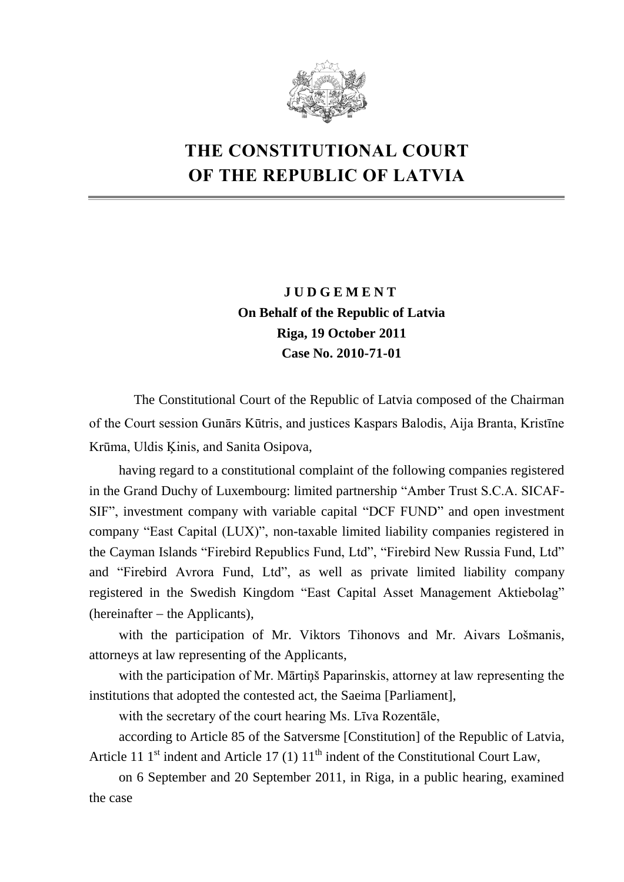

# **THE CONSTITUTIONAL COURT OF THE REPUBLIC OF LATVIA**

# **J U D G E M E N T On Behalf of the Republic of Latvia Riga, 19 October 2011 Case No. 2010-71-01**

The Constitutional Court of the Republic of Latvia composed of the Chairman of the Court session Gunārs Kūtris, and justices Kaspars Balodis, Aija Branta, Kristīne Krūma, Uldis Ķinis, and Sanita Osipova,

having regard to a constitutional complaint of the following companies registered in the Grand Duchy of Luxembourg: limited partnership "Amber Trust S.C.A. SICAF-SIF", investment company with variable capital "DCF FUND" and open investment company "East Capital (LUX)", non-taxable limited liability companies registered in the Cayman Islands "Firebird Republics Fund, Ltd", "Firebird New Russia Fund, Ltd" and "Firebird Avrora Fund, Ltd", as well as private limited liability company registered in the Swedish Kingdom "East Capital Asset Management Aktiebolag"  $(hereinafter - the Applications),$ 

with the participation of Mr. Viktors Tihonovs and Mr. Aivars Lošmanis, attorneys at law representing of the Applicants,

with the participation of Mr. Mārtiņš Paparinskis, attorney at law representing the institutions that adopted the contested act, the Saeima [Parliament],

with the secretary of the court hearing Ms. Līva Rozentāle,

according to Article 85 of the Satversme [Constitution] of the Republic of Latvia, Article 11  $1<sup>st</sup>$  indent and Article 17 (1)  $11<sup>th</sup>$  indent of the Constitutional Court Law,

on 6 September and 20 September 2011, in Riga, in a public hearing, examined the case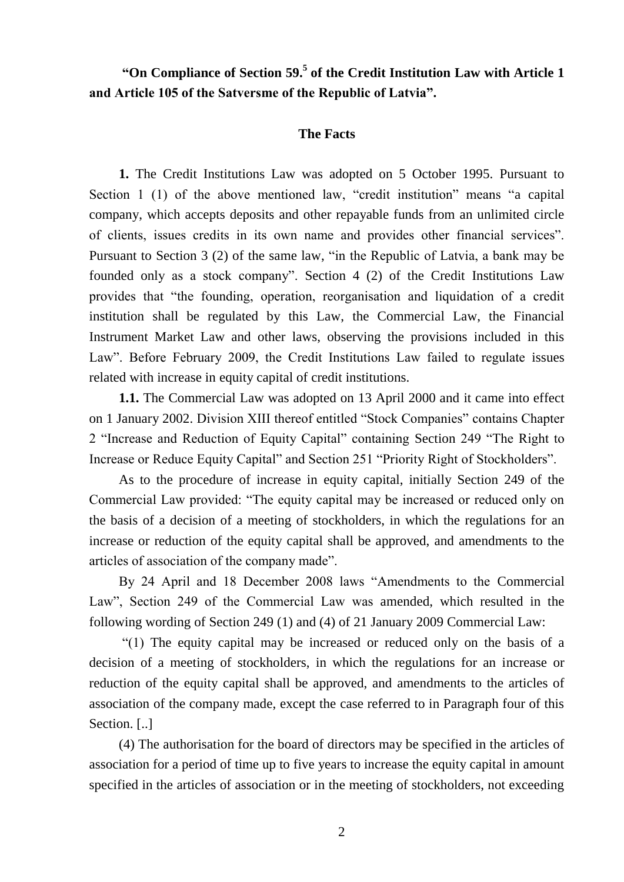# **"On Compliance of Section 59.<sup>5</sup> of the Credit Institution Law with Article 1 and Article 105 of the Satversme of the Republic of Latvia".**

#### **The Facts**

**1.** The Credit Institutions Law was adopted on 5 October 1995. Pursuant to Section 1 (1) of the above mentioned law, "credit institution" means "a capital company, which accepts deposits and other repayable funds from an unlimited circle of clients, issues credits in its own name and provides other financial services". Pursuant to Section 3 (2) of the same law, "in the Republic of Latvia, a bank may be founded only as a stock company". Section 4 (2) of the Credit Institutions Law provides that "the founding, operation, reorganisation and liquidation of a credit institution shall be regulated by this Law, the Commercial Law, the Financial Instrument Market Law and other laws, observing the provisions included in this Law". Before February 2009, the Credit Institutions Law failed to regulate issues related with increase in equity capital of credit institutions.

**1.1.** The Commercial Law was adopted on 13 April 2000 and it came into effect on 1 January 2002. Division XIII thereof entitled "Stock Companies" contains Chapter 2 "Increase and Reduction of Equity Capital" containing Section 249 "The Right to Increase or Reduce Equity Capital" and Section 251 "Priority Right of Stockholders".

As to the procedure of increase in equity capital, initially Section 249 of the Commercial Law provided: "The equity capital may be increased or reduced only on the basis of a decision of a meeting of stockholders, in which the regulations for an increase or reduction of the equity capital shall be approved, and amendments to the articles of association of the company made".

By 24 April and 18 December 2008 laws "Amendments to the Commercial Law", Section 249 of the Commercial Law was amended, which resulted in the following wording of Section 249 (1) and (4) of 21 January 2009 Commercial Law:

"(1) The equity capital may be increased or reduced only on the basis of a decision of a meeting of stockholders, in which the regulations for an increase or reduction of the equity capital shall be approved, and amendments to the articles of association of the company made, except the case referred to in Paragraph four of this Section. [..]

(4) The authorisation for the board of directors may be specified in the articles of association for a period of time up to five years to increase the equity capital in amount specified in the articles of association or in the meeting of stockholders, not exceeding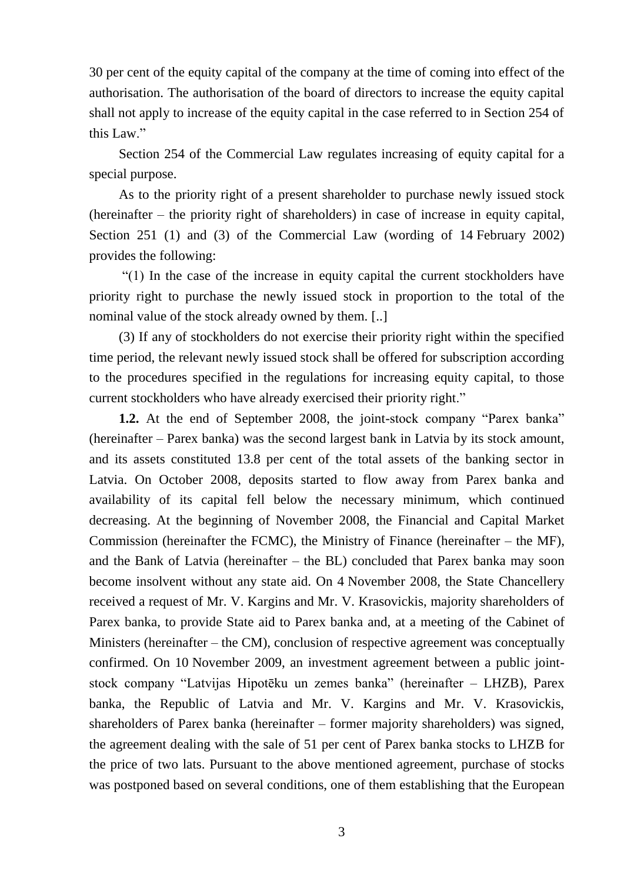30 per cent of the equity capital of the company at the time of coming into effect of the authorisation. The authorisation of the board of directors to increase the equity capital shall not apply to increase of the equity capital in the case referred to in Section 254 of this Law."

Section 254 of the Commercial Law regulates increasing of equity capital for a special purpose.

As to the priority right of a present shareholder to purchase newly issued stock (hereinafter – the priority right of shareholders) in case of increase in equity capital, Section 251 (1) and (3) of the Commercial Law (wording of 14 February 2002) provides the following:

"(1) In the case of the increase in equity capital the current stockholders have priority right to purchase the newly issued stock in proportion to the total of the nominal value of the stock already owned by them. [..]

(3) If any of stockholders do not exercise their priority right within the specified time period, the relevant newly issued stock shall be offered for subscription according to the procedures specified in the regulations for increasing equity capital, to those current stockholders who have already exercised their priority right."

**1.2.** At the end of September 2008, the joint-stock company "Parex banka" (hereinafter – Parex banka) was the second largest bank in Latvia by its stock amount, and its assets constituted 13.8 per cent of the total assets of the banking sector in Latvia. On October 2008, deposits started to flow away from Parex banka and availability of its capital fell below the necessary minimum, which continued decreasing. At the beginning of November 2008, the Financial and Capital Market Commission (hereinafter the FCMC), the Ministry of Finance (hereinafter – the MF), and the Bank of Latvia (hereinafter – the BL) concluded that Parex banka may soon become insolvent without any state aid. On 4 November 2008, the State Chancellery received a request of Mr. V. Kargins and Mr. V. Krasovickis, majority shareholders of Parex banka, to provide State aid to Parex banka and, at a meeting of the Cabinet of Ministers (hereinafter – the CM), conclusion of respective agreement was conceptually confirmed. On 10 November 2009, an investment agreement between a public jointstock company "Latvijas Hipotēku un zemes banka" (hereinafter – LHZB), Parex banka, the Republic of Latvia and Mr. V. Kargins and Mr. V. Krasovickis, shareholders of Parex banka (hereinafter – former majority shareholders) was signed, the agreement dealing with the sale of 51 per cent of Parex banka stocks to LHZB for the price of two lats. Pursuant to the above mentioned agreement, purchase of stocks was postponed based on several conditions, one of them establishing that the European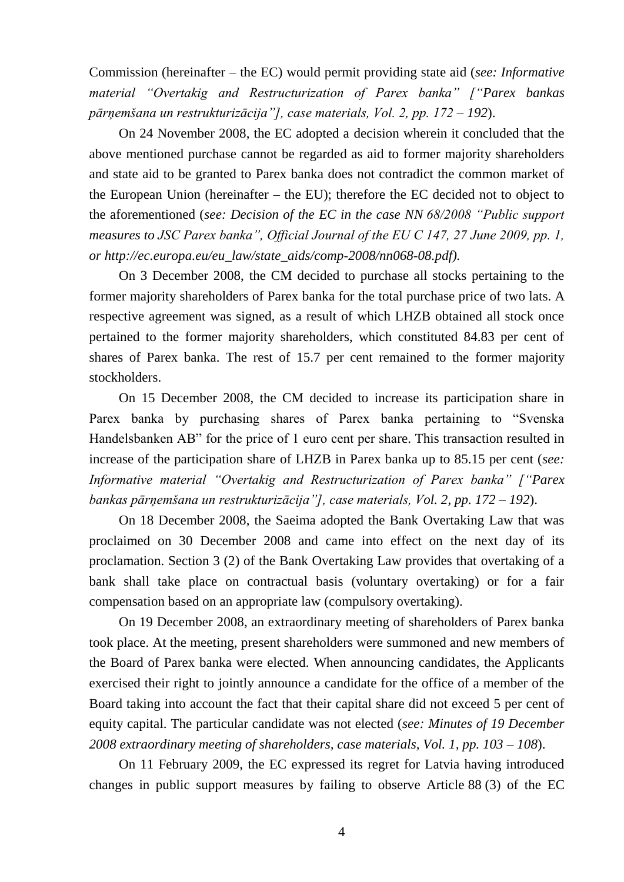Commission (hereinafter – the EC) would permit providing state aid (*see: Informative material "Overtakig and Restructurization of Parex banka" ["Parex bankas pārņemšana un restrukturizācija"], case materials, Vol. 2, pp. 172 – 192*).

On 24 November 2008, the EC adopted a decision wherein it concluded that the above mentioned purchase cannot be regarded as aid to former majority shareholders and state aid to be granted to Parex banka does not contradict the common market of the European Union (hereinafter – the EU); therefore the EC decided not to object to the aforementioned (*see: Decision of the EC in the case NN 68/2008 "Public support measures to JSC Parex banka", Official Journal of the EU C 147, 27 June 2009, pp. 1, or http://ec.europa.eu/eu\_law/state\_aids/comp-2008/nn068-08.pdf).*

On 3 December 2008, the CM decided to purchase all stocks pertaining to the former majority shareholders of Parex banka for the total purchase price of two lats. A respective agreement was signed, as a result of which LHZB obtained all stock once pertained to the former majority shareholders, which constituted 84.83 per cent of shares of Parex banka. The rest of 15.7 per cent remained to the former majority stockholders.

On 15 December 2008, the CM decided to increase its participation share in Parex banka by purchasing shares of Parex banka pertaining to "Svenska Handelsbanken AB" for the price of 1 euro cent per share. This transaction resulted in increase of the participation share of LHZB in Parex banka up to 85.15 per cent (*see: Informative material "Overtakig and Restructurization of Parex banka" ["Parex bankas pārņemšana un restrukturizācija"], case materials, Vol. 2, pp. 172 – 192*).

On 18 December 2008, the Saeima adopted the Bank Overtaking Law that was proclaimed on 30 December 2008 and came into effect on the next day of its proclamation. Section 3 (2) of the Bank Overtaking Law provides that overtaking of a bank shall take place on contractual basis (voluntary overtaking) or for a fair compensation based on an appropriate law (compulsory overtaking).

On 19 December 2008, an extraordinary meeting of shareholders of Parex banka took place. At the meeting, present shareholders were summoned and new members of the Board of Parex banka were elected. When announcing candidates, the Applicants exercised their right to jointly announce a candidate for the office of a member of the Board taking into account the fact that their capital share did not exceed 5 per cent of equity capital. The particular candidate was not elected (*see: Minutes of 19 December 2008 extraordinary meeting of shareholders, case materials, Vol. 1, pp. 103 – 108*).

On 11 February 2009, the EC expressed its regret for Latvia having introduced changes in public support measures by failing to observe Article 88 (3) of the EC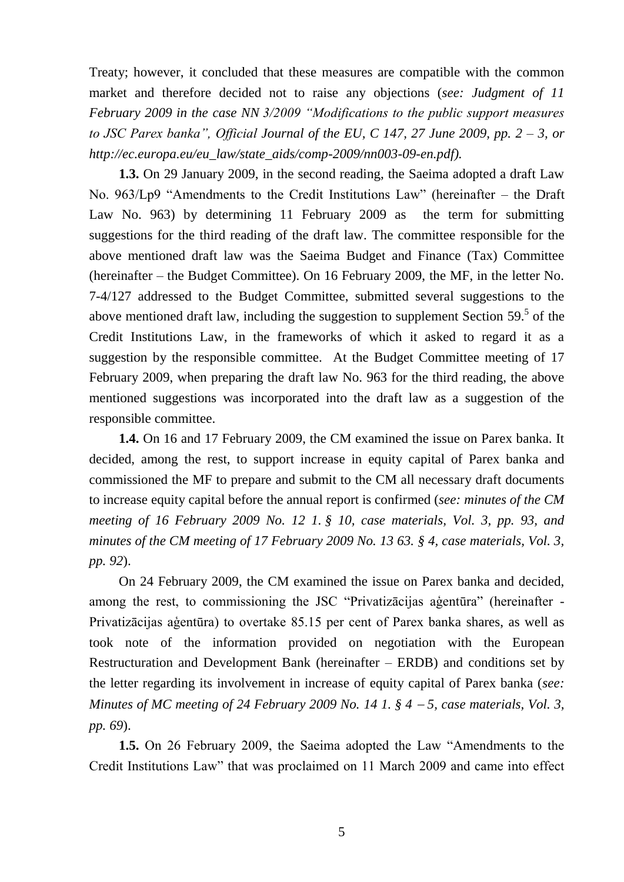Treaty; however, it concluded that these measures are compatible with the common market and therefore decided not to raise any objections (*see: Judgment of 11 February 2009 in the case NN 3/2009 "Modifications to the public support measures to JSC Parex banka", Official Journal of the EU, C 147, 27 June 2009, pp. 2 – 3, or http://ec.europa.eu/eu\_law/state\_aids/comp-2009/nn003-09-en.pdf).*

**1.3.** On 29 January 2009, in the second reading, the Saeima adopted a draft Law No. 963/Lp9 "Amendments to the Credit Institutions Law" (hereinafter – the Draft Law No. 963) by determining 11 February 2009 as the term for submitting suggestions for the third reading of the draft law. The committee responsible for the above mentioned draft law was the Saeima Budget and Finance (Tax) Committee (hereinafter – the Budget Committee). On 16 February 2009, the MF, in the letter No. 7-4/127 addressed to the Budget Committee, submitted several suggestions to the above mentioned draft law, including the suggestion to supplement Section  $59<sup>5</sup>$  of the Credit Institutions Law, in the frameworks of which it asked to regard it as a suggestion by the responsible committee. At the Budget Committee meeting of 17 February 2009, when preparing the draft law No. 963 for the third reading, the above mentioned suggestions was incorporated into the draft law as a suggestion of the responsible committee.

**1.4.** On 16 and 17 February 2009, the CM examined the issue on Parex banka. It decided, among the rest, to support increase in equity capital of Parex banka and commissioned the MF to prepare and submit to the CM all necessary draft documents to increase equity capital before the annual report is confirmed (*see: minutes of the CM meeting of 16 February 2009 No. 12 1. § 10, case materials, Vol. 3, pp. 93, and minutes of the CM meeting of 17 February 2009 No. 13 63. § 4, case materials, Vol. 3, pp. 92*).

On 24 February 2009, the CM examined the issue on Parex banka and decided, among the rest, to commissioning the JSC "Privatizācijas aģentūra" (hereinafter - Privatizācijas aģentūra) to overtake 85.15 per cent of Parex banka shares, as well as took note of the information provided on negotiation with the European Restructuration and Development Bank (hereinafter – ERDB) and conditions set by the letter regarding its involvement in increase of equity capital of Parex banka (*see: Minutes of MC meeting of 24 February 2009 No. 14 1. § 4 5, case materials, Vol. 3, pp. 69*).

**1.5.** On 26 February 2009, the Saeima adopted the Law "Amendments to the Credit Institutions Law" that was proclaimed on 11 March 2009 and came into effect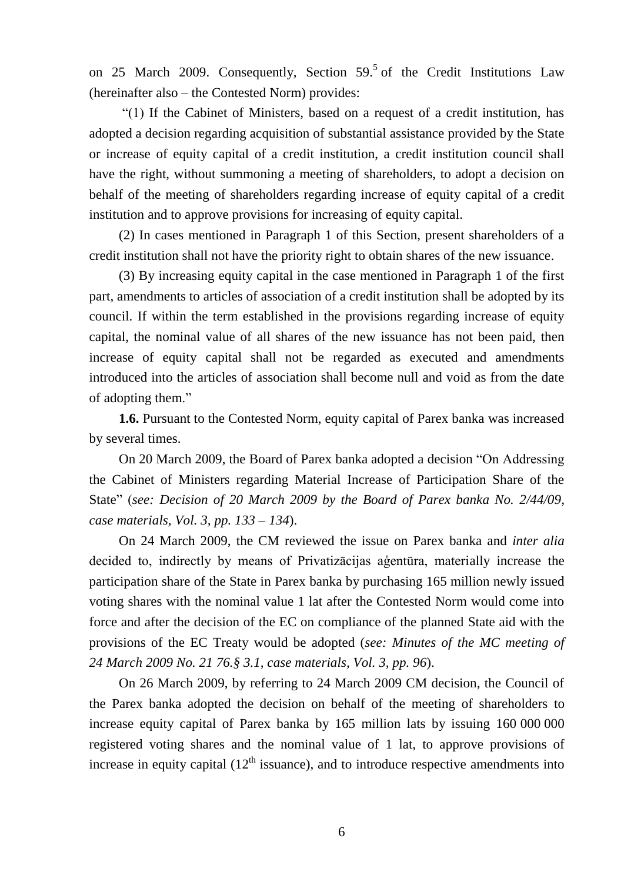on 25 March 2009. Consequently, Section  $59<sup>5</sup>$  of the Credit Institutions Law (hereinafter also – the Contested Norm) provides:

"(1) If the Cabinet of Ministers, based on a request of a credit institution, has adopted a decision regarding acquisition of substantial assistance provided by the State or increase of equity capital of a credit institution, a credit institution council shall have the right, without summoning a meeting of shareholders, to adopt a decision on behalf of the meeting of shareholders regarding increase of equity capital of a credit institution and to approve provisions for increasing of equity capital.

(2) In cases mentioned in Paragraph 1 of this Section, present shareholders of a credit institution shall not have the priority right to obtain shares of the new issuance.

(3) By increasing equity capital in the case mentioned in Paragraph 1 of the first part, amendments to articles of association of a credit institution shall be adopted by its council. If within the term established in the provisions regarding increase of equity capital, the nominal value of all shares of the new issuance has not been paid, then increase of equity capital shall not be regarded as executed and amendments introduced into the articles of association shall become null and void as from the date of adopting them."

**1.6.** Pursuant to the Contested Norm, equity capital of Parex banka was increased by several times.

On 20 March 2009, the Board of Parex banka adopted a decision "On Addressing the Cabinet of Ministers regarding Material Increase of Participation Share of the State" (*see: Decision of 20 March 2009 by the Board of Parex banka No. 2/44/09, case materials, Vol. 3, pp. 133 – 134*).

On 24 March 2009, the CM reviewed the issue on Parex banka and *inter alia* decided to, indirectly by means of Privatizācijas aģentūra, materially increase the participation share of the State in Parex banka by purchasing 165 million newly issued voting shares with the nominal value 1 lat after the Contested Norm would come into force and after the decision of the EC on compliance of the planned State aid with the provisions of the EC Treaty would be adopted (*see: Minutes of the MC meeting of 24 March 2009 No. 21 76.§ 3.1, case materials, Vol. 3, pp. 96*).

On 26 March 2009, by referring to 24 March 2009 CM decision, the Council of the Parex banka adopted the decision on behalf of the meeting of shareholders to increase equity capital of Parex banka by 165 million lats by issuing 160 000 000 registered voting shares and the nominal value of 1 lat, to approve provisions of increase in equity capital  $(12<sup>th</sup>$  issuance), and to introduce respective amendments into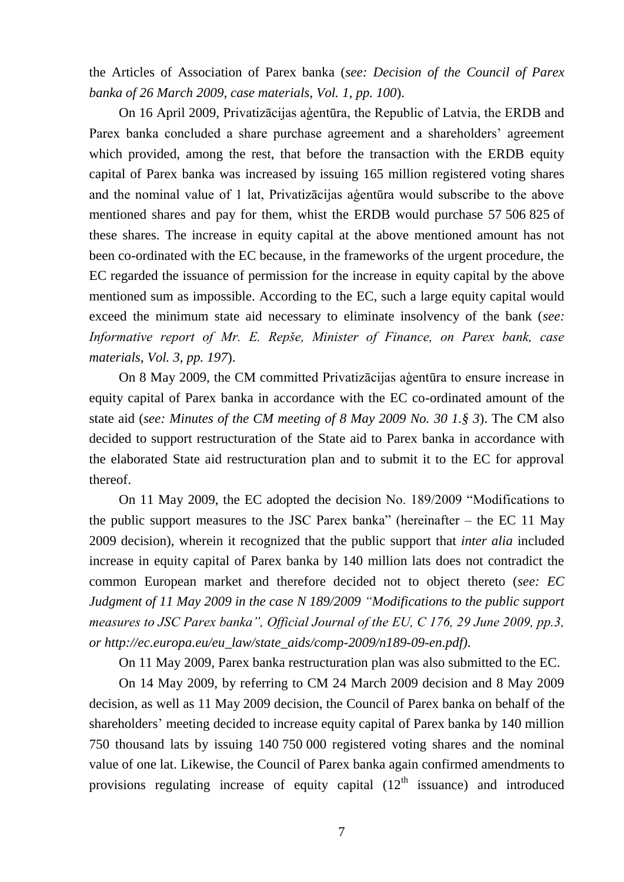the Articles of Association of Parex banka (*see: Decision of the Council of Parex banka of 26 March 2009, case materials, Vol. 1, pp. 100*).

On 16 April 2009, Privatizācijas aģentūra, the Republic of Latvia, the ERDB and Parex banka concluded a share purchase agreement and a shareholders' agreement which provided, among the rest, that before the transaction with the ERDB equity capital of Parex banka was increased by issuing 165 million registered voting shares and the nominal value of 1 lat, Privatizācijas aģentūra would subscribe to the above mentioned shares and pay for them, whist the ERDB would purchase 57 506 825 of these shares. The increase in equity capital at the above mentioned amount has not been co-ordinated with the EC because, in the frameworks of the urgent procedure, the EC regarded the issuance of permission for the increase in equity capital by the above mentioned sum as impossible. According to the EC, such a large equity capital would exceed the minimum state aid necessary to eliminate insolvency of the bank (*see: Informative report of Mr. E. Repše, Minister of Finance, on Parex bank, case materials, Vol. 3, pp. 197*).

On 8 May 2009, the CM committed Privatizācijas aģentūra to ensure increase in equity capital of Parex banka in accordance with the EC co-ordinated amount of the state aid (*see: Minutes of the CM meeting of 8 May 2009 No. 30 1.§ 3*). The CM also decided to support restructuration of the State aid to Parex banka in accordance with the elaborated State aid restructuration plan and to submit it to the EC for approval thereof.

On 11 May 2009, the EC adopted the decision No. 189/2009 "Modifications to the public support measures to the JSC Parex banka" (hereinafter – the EC 11 May 2009 decision), wherein it recognized that the public support that *inter alia* included increase in equity capital of Parex banka by 140 million lats does not contradict the common European market and therefore decided not to object thereto (*see: EC Judgment of 11 May 2009 in the case N 189/2009 "Modifications to the public support measures to JSC Parex banka", Official Journal of the EU, C 176, 29 June 2009, pp.3, or http://ec.europa.eu/eu\_law/state\_aids/comp-2009/n189-09-en.pdf)*.

On 11 May 2009, Parex banka restructuration plan was also submitted to the EC.

On 14 May 2009, by referring to CM 24 March 2009 decision and 8 May 2009 decision, as well as 11 May 2009 decision, the Council of Parex banka on behalf of the shareholders' meeting decided to increase equity capital of Parex banka by 140 million 750 thousand lats by issuing 140 750 000 registered voting shares and the nominal value of one lat. Likewise, the Council of Parex banka again confirmed amendments to provisions regulating increase of equity capital  $(12<sup>th</sup>$  issuance) and introduced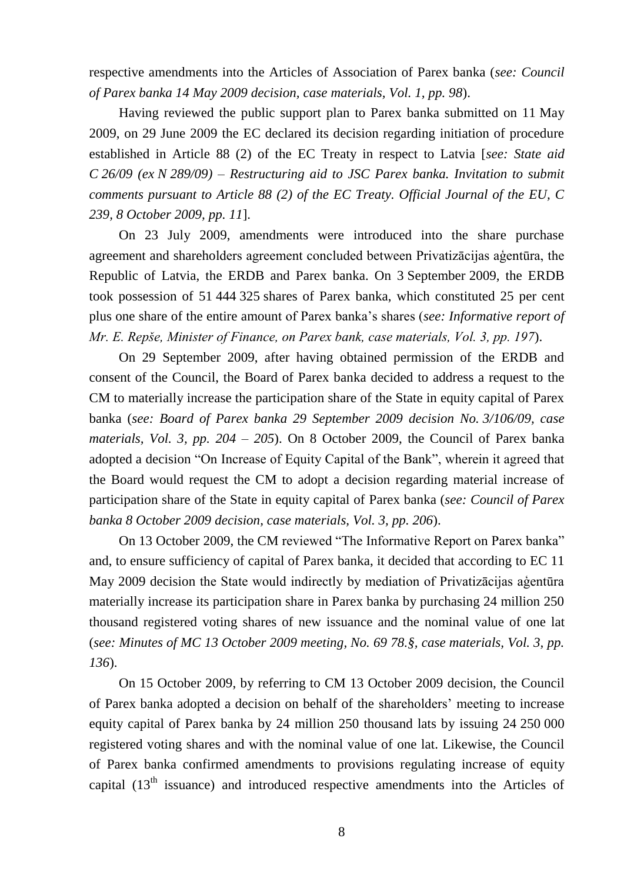respective amendments into the Articles of Association of Parex banka (*see: Council of Parex banka 14 May 2009 decision, case materials, Vol. 1, pp. 98*).

Having reviewed the public support plan to Parex banka submitted on 11 May 2009, on 29 June 2009 the EC declared its decision regarding initiation of procedure established in Article 88 (2) of the EC Treaty in respect to Latvia [*see: State aid C 26/09 (ex N 289/09) – Restructuring aid to JSC Parex banka. Invitation to submit comments pursuant to Article 88 (2) of the EC Treaty. Official Journal of the EU, C 239, 8 October 2009, pp. 11*].

On 23 July 2009, amendments were introduced into the share purchase agreement and shareholders agreement concluded between Privatizācijas aģentūra, the Republic of Latvia, the ERDB and Parex banka. On 3 September 2009, the ERDB took possession of 51 444 325 shares of Parex banka, which constituted 25 per cent plus one share of the entire amount of Parex banka's shares (*see: Informative report of Mr. E. Repše, Minister of Finance, on Parex bank, case materials, Vol. 3, pp. 197*).

On 29 September 2009, after having obtained permission of the ERDB and consent of the Council, the Board of Parex banka decided to address a request to the CM to materially increase the participation share of the State in equity capital of Parex banka (*see: Board of Parex banka 29 September 2009 decision No. 3/106/09, case materials, Vol. 3, pp. 204 – 205*). On 8 October 2009, the Council of Parex banka adopted a decision "On Increase of Equity Capital of the Bank", wherein it agreed that the Board would request the CM to adopt a decision regarding material increase of participation share of the State in equity capital of Parex banka (*see: Council of Parex banka 8 October 2009 decision, case materials, Vol. 3, pp. 206*).

On 13 October 2009, the CM reviewed "The Informative Report on Parex banka" and, to ensure sufficiency of capital of Parex banka, it decided that according to EC 11 May 2009 decision the State would indirectly by mediation of Privatizācijas aģentūra materially increase its participation share in Parex banka by purchasing 24 million 250 thousand registered voting shares of new issuance and the nominal value of one lat (*see: Minutes of MC 13 October 2009 meeting, No. 69 78.§, case materials, Vol. 3, pp. 136*).

On 15 October 2009, by referring to CM 13 October 2009 decision, the Council of Parex banka adopted a decision on behalf of the shareholders' meeting to increase equity capital of Parex banka by 24 million 250 thousand lats by issuing 24 250 000 registered voting shares and with the nominal value of one lat. Likewise, the Council of Parex banka confirmed amendments to provisions regulating increase of equity capital  $(13<sup>th</sup>$  issuance) and introduced respective amendments into the Articles of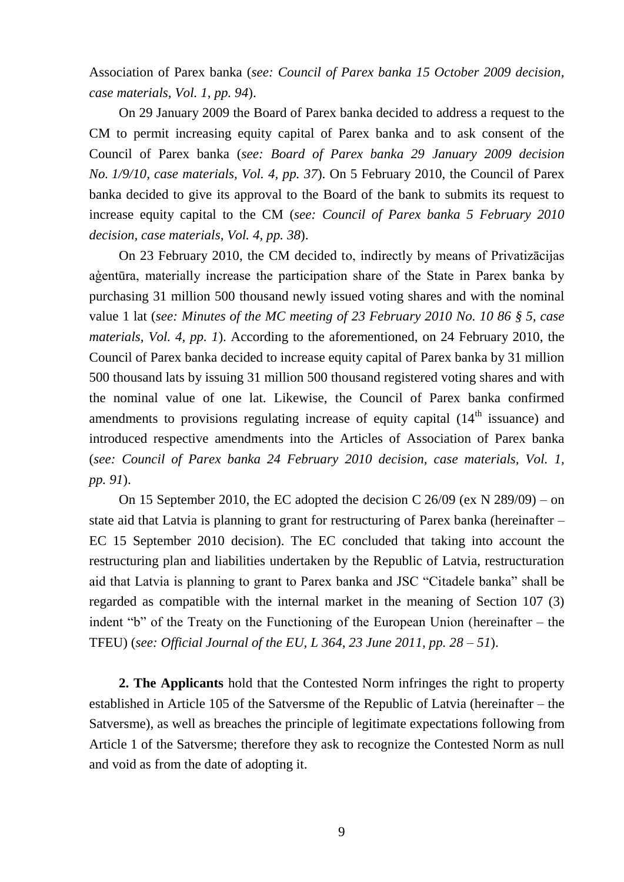Association of Parex banka (*see: Council of Parex banka 15 October 2009 decision, case materials, Vol. 1, pp. 94*).

On 29 January 2009 the Board of Parex banka decided to address a request to the CM to permit increasing equity capital of Parex banka and to ask consent of the Council of Parex banka (*see: Board of Parex banka 29 January 2009 decision No. 1/9/10, case materials, Vol. 4, pp. 37*). On 5 February 2010, the Council of Parex banka decided to give its approval to the Board of the bank to submits its request to increase equity capital to the CM (*see: Council of Parex banka 5 February 2010 decision, case materials, Vol. 4, pp. 38*).

On 23 February 2010, the CM decided to, indirectly by means of Privatizācijas aģentūra, materially increase the participation share of the State in Parex banka by purchasing 31 million 500 thousand newly issued voting shares and with the nominal value 1 lat (*see: Minutes of the MC meeting of 23 February 2010 No. 10 86 § 5, case materials, Vol. 4, pp. 1*). According to the aforementioned, on 24 February 2010, the Council of Parex banka decided to increase equity capital of Parex banka by 31 million 500 thousand lats by issuing 31 million 500 thousand registered voting shares and with the nominal value of one lat. Likewise, the Council of Parex banka confirmed amendments to provisions regulating increase of equity capital  $(14<sup>th</sup>$  issuance) and introduced respective amendments into the Articles of Association of Parex banka (*see: Council of Parex banka 24 February 2010 decision, case materials, Vol. 1, pp. 91*).

On 15 September 2010, the EC adopted the decision C  $26/09$  (ex N  $289/09$ ) – on state aid that Latvia is planning to grant for restructuring of Parex banka (hereinafter – EC 15 September 2010 decision). The EC concluded that taking into account the restructuring plan and liabilities undertaken by the Republic of Latvia, restructuration aid that Latvia is planning to grant to Parex banka and JSC "Citadele banka" shall be regarded as compatible with the internal market in the meaning of Section 107 (3) indent "b" of the Treaty on the Functioning of the European Union (hereinafter – the TFEU) (*see: Official Journal of the EU, L 364, 23 June 2011, pp. 28 – 51*).

**2. The Applicants** hold that the Contested Norm infringes the right to property established in Article 105 of the Satversme of the Republic of Latvia (hereinafter – the Satversme), as well as breaches the principle of legitimate expectations following from Article 1 of the Satversme; therefore they ask to recognize the Contested Norm as null and void as from the date of adopting it.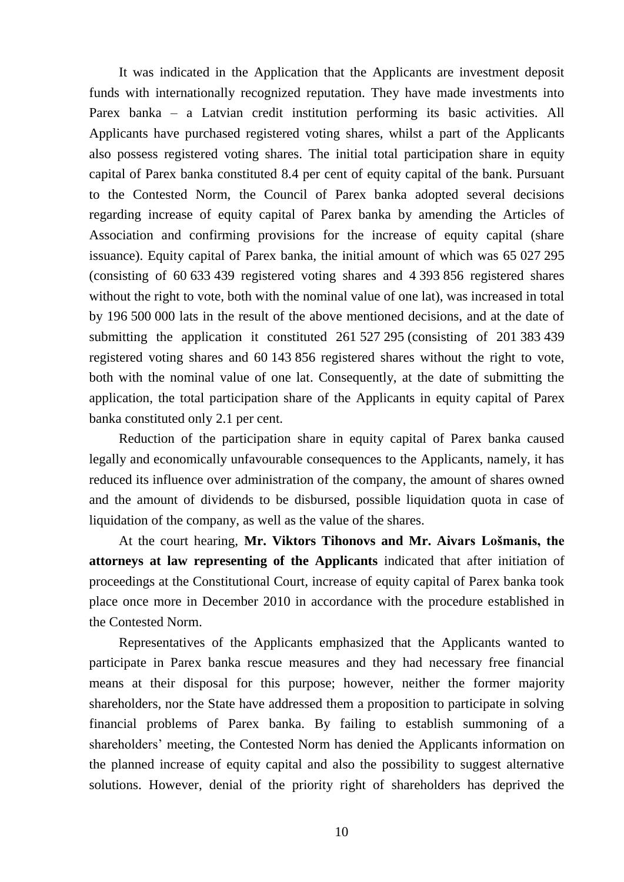It was indicated in the Application that the Applicants are investment deposit funds with internationally recognized reputation. They have made investments into Parex banka – a Latvian credit institution performing its basic activities. All Applicants have purchased registered voting shares, whilst a part of the Applicants also possess registered voting shares. The initial total participation share in equity capital of Parex banka constituted 8.4 per cent of equity capital of the bank. Pursuant to the Contested Norm, the Council of Parex banka adopted several decisions regarding increase of equity capital of Parex banka by amending the Articles of Association and confirming provisions for the increase of equity capital (share issuance). Equity capital of Parex banka, the initial amount of which was 65 027 295 (consisting of 60 633 439 registered voting shares and 4 393 856 registered shares without the right to vote, both with the nominal value of one lat), was increased in total by 196 500 000 lats in the result of the above mentioned decisions, and at the date of submitting the application it constituted 261 527 295 (consisting of 201 383 439 registered voting shares and 60 143 856 registered shares without the right to vote, both with the nominal value of one lat. Consequently, at the date of submitting the application, the total participation share of the Applicants in equity capital of Parex banka constituted only 2.1 per cent.

Reduction of the participation share in equity capital of Parex banka caused legally and economically unfavourable consequences to the Applicants, namely, it has reduced its influence over administration of the company, the amount of shares owned and the amount of dividends to be disbursed, possible liquidation quota in case of liquidation of the company, as well as the value of the shares.

At the court hearing, **Mr. Viktors Tihonovs and Mr. Aivars Lošmanis, the attorneys at law representing of the Applicants** indicated that after initiation of proceedings at the Constitutional Court, increase of equity capital of Parex banka took place once more in December 2010 in accordance with the procedure established in the Contested Norm.

Representatives of the Applicants emphasized that the Applicants wanted to participate in Parex banka rescue measures and they had necessary free financial means at their disposal for this purpose; however, neither the former majority shareholders, nor the State have addressed them a proposition to participate in solving financial problems of Parex banka. By failing to establish summoning of a shareholders' meeting, the Contested Norm has denied the Applicants information on the planned increase of equity capital and also the possibility to suggest alternative solutions. However, denial of the priority right of shareholders has deprived the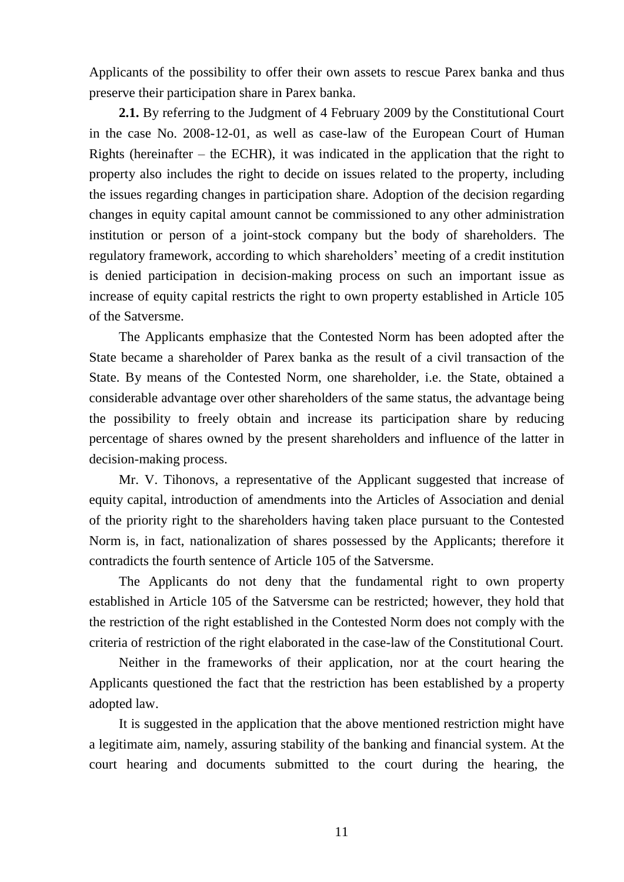Applicants of the possibility to offer their own assets to rescue Parex banka and thus preserve their participation share in Parex banka.

**2.1.** By referring to the Judgment of 4 February 2009 by the Constitutional Court in the case No. 2008-12-01, as well as case-law of the European Court of Human Rights (hereinafter  $-$  the ECHR), it was indicated in the application that the right to property also includes the right to decide on issues related to the property, including the issues regarding changes in participation share. Adoption of the decision regarding changes in equity capital amount cannot be commissioned to any other administration institution or person of a joint-stock company but the body of shareholders. The regulatory framework, according to which shareholders' meeting of a credit institution is denied participation in decision-making process on such an important issue as increase of equity capital restricts the right to own property established in Article 105 of the Satversme.

The Applicants emphasize that the Contested Norm has been adopted after the State became a shareholder of Parex banka as the result of a civil transaction of the State. By means of the Contested Norm, one shareholder, i.e. the State, obtained a considerable advantage over other shareholders of the same status, the advantage being the possibility to freely obtain and increase its participation share by reducing percentage of shares owned by the present shareholders and influence of the latter in decision-making process.

Mr. V. Tihonovs, a representative of the Applicant suggested that increase of equity capital, introduction of amendments into the Articles of Association and denial of the priority right to the shareholders having taken place pursuant to the Contested Norm is, in fact, nationalization of shares possessed by the Applicants; therefore it contradicts the fourth sentence of Article 105 of the Satversme.

The Applicants do not deny that the fundamental right to own property established in Article 105 of the Satversme can be restricted; however, they hold that the restriction of the right established in the Contested Norm does not comply with the criteria of restriction of the right elaborated in the case-law of the Constitutional Court.

Neither in the frameworks of their application, nor at the court hearing the Applicants questioned the fact that the restriction has been established by a property adopted law.

It is suggested in the application that the above mentioned restriction might have a legitimate aim, namely, assuring stability of the banking and financial system. At the court hearing and documents submitted to the court during the hearing, the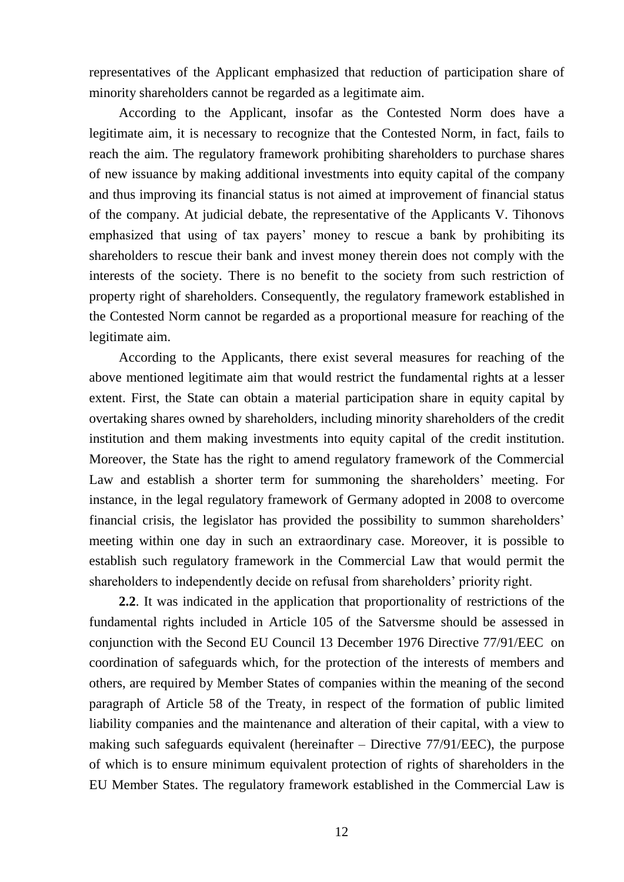representatives of the Applicant emphasized that reduction of participation share of minority shareholders cannot be regarded as a legitimate aim.

According to the Applicant, insofar as the Contested Norm does have a legitimate aim, it is necessary to recognize that the Contested Norm, in fact, fails to reach the aim. The regulatory framework prohibiting shareholders to purchase shares of new issuance by making additional investments into equity capital of the company and thus improving its financial status is not aimed at improvement of financial status of the company. At judicial debate, the representative of the Applicants V. Tihonovs emphasized that using of tax payers' money to rescue a bank by prohibiting its shareholders to rescue their bank and invest money therein does not comply with the interests of the society. There is no benefit to the society from such restriction of property right of shareholders. Consequently, the regulatory framework established in the Contested Norm cannot be regarded as a proportional measure for reaching of the legitimate aim.

According to the Applicants, there exist several measures for reaching of the above mentioned legitimate aim that would restrict the fundamental rights at a lesser extent. First, the State can obtain a material participation share in equity capital by overtaking shares owned by shareholders, including minority shareholders of the credit institution and them making investments into equity capital of the credit institution. Moreover, the State has the right to amend regulatory framework of the Commercial Law and establish a shorter term for summoning the shareholders' meeting. For instance, in the legal regulatory framework of Germany adopted in 2008 to overcome financial crisis, the legislator has provided the possibility to summon shareholders' meeting within one day in such an extraordinary case. Moreover, it is possible to establish such regulatory framework in the Commercial Law that would permit the shareholders to independently decide on refusal from shareholders' priority right.

**2.2**. It was indicated in the application that proportionality of restrictions of the fundamental rights included in Article 105 of the Satversme should be assessed in conjunction with the Second EU Council 13 December 1976 Directive 77/91/EEC on coordination of safeguards which, for the protection of the interests of members and others, are required by Member States of companies within the meaning of the second paragraph of Article 58 of the Treaty, in respect of the formation of public limited liability companies and the maintenance and alteration of their capital, with a view to making such safeguards equivalent (hereinafter – Directive 77/91/EEC), the purpose of which is to ensure minimum equivalent protection of rights of shareholders in the EU Member States. The regulatory framework established in the Commercial Law is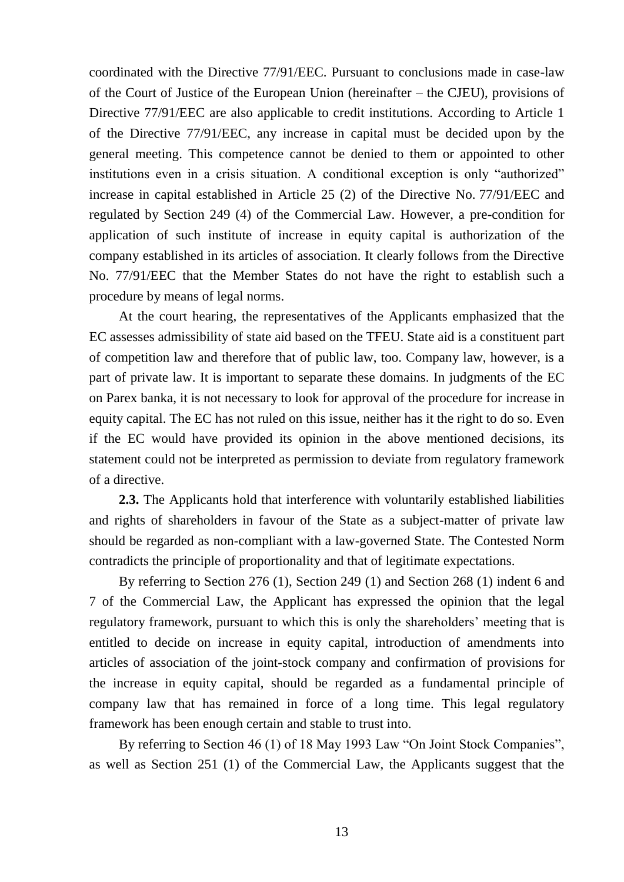coordinated with the Directive 77/91/EEC. Pursuant to conclusions made in case-law of the Court of Justice of the European Union (hereinafter – the CJEU), provisions of Directive 77/91/EEC are also applicable to credit institutions. According to Article 1 of the Directive 77/91/EEC, any increase in capital must be decided upon by the general meeting. This competence cannot be denied to them or appointed to other institutions even in a crisis situation. A conditional exception is only "authorized" increase in capital established in Article 25 (2) of the Directive No. 77/91/EEC and regulated by Section 249 (4) of the Commercial Law. However, a pre-condition for application of such institute of increase in equity capital is authorization of the company established in its articles of association. It clearly follows from the Directive No. 77/91/EEC that the Member States do not have the right to establish such a procedure by means of legal norms.

At the court hearing, the representatives of the Applicants emphasized that the EC assesses admissibility of state aid based on the TFEU. State aid is a constituent part of competition law and therefore that of public law, too. Company law, however, is a part of private law. It is important to separate these domains. In judgments of the EC on Parex banka, it is not necessary to look for approval of the procedure for increase in equity capital. The EC has not ruled on this issue, neither has it the right to do so. Even if the EC would have provided its opinion in the above mentioned decisions, its statement could not be interpreted as permission to deviate from regulatory framework of a directive.

**2.3.** The Applicants hold that interference with voluntarily established liabilities and rights of shareholders in favour of the State as a subject-matter of private law should be regarded as non-compliant with a law-governed State. The Contested Norm contradicts the principle of proportionality and that of legitimate expectations.

By referring to Section 276 (1), Section 249 (1) and Section 268 (1) indent 6 and 7 of the Commercial Law, the Applicant has expressed the opinion that the legal regulatory framework, pursuant to which this is only the shareholders' meeting that is entitled to decide on increase in equity capital, introduction of amendments into articles of association of the joint-stock company and confirmation of provisions for the increase in equity capital, should be regarded as a fundamental principle of company law that has remained in force of a long time. This legal regulatory framework has been enough certain and stable to trust into.

By referring to Section 46 (1) of 18 May 1993 Law "On Joint Stock Companies", as well as Section 251 (1) of the Commercial Law, the Applicants suggest that the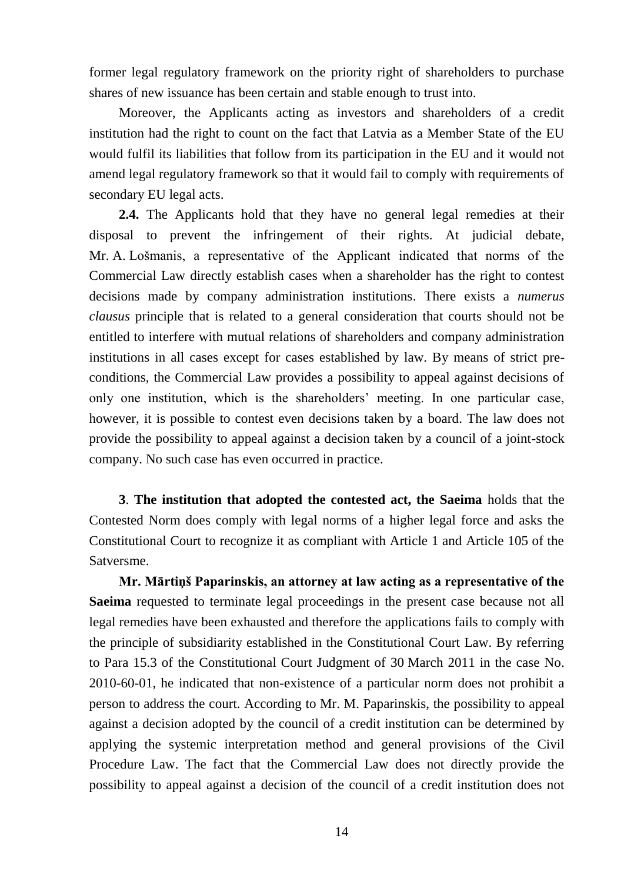former legal regulatory framework on the priority right of shareholders to purchase shares of new issuance has been certain and stable enough to trust into.

Moreover, the Applicants acting as investors and shareholders of a credit institution had the right to count on the fact that Latvia as a Member State of the EU would fulfil its liabilities that follow from its participation in the EU and it would not amend legal regulatory framework so that it would fail to comply with requirements of secondary EU legal acts.

**2.4.** The Applicants hold that they have no general legal remedies at their disposal to prevent the infringement of their rights. At judicial debate, Mr. A. Lošmanis, a representative of the Applicant indicated that norms of the Commercial Law directly establish cases when a shareholder has the right to contest decisions made by company administration institutions. There exists a *numerus clausus* principle that is related to a general consideration that courts should not be entitled to interfere with mutual relations of shareholders and company administration institutions in all cases except for cases established by law. By means of strict preconditions, the Commercial Law provides a possibility to appeal against decisions of only one institution, which is the shareholders' meeting. In one particular case, however, it is possible to contest even decisions taken by a board. The law does not provide the possibility to appeal against a decision taken by a council of a joint-stock company. No such case has even occurred in practice.

**3**. **The institution that adopted the contested act, the Saeima** holds that the Contested Norm does comply with legal norms of a higher legal force and asks the Constitutional Court to recognize it as compliant with Article 1 and Article 105 of the Satversme.

**Mr. Mārtiņš Paparinskis, an attorney at law acting as a representative of the Saeima** requested to terminate legal proceedings in the present case because not all legal remedies have been exhausted and therefore the applications fails to comply with the principle of subsidiarity established in the Constitutional Court Law. By referring to Para 15.3 of the Constitutional Court Judgment of 30 March 2011 in the case No. 2010-60-01, he indicated that non-existence of a particular norm does not prohibit a person to address the court. According to Mr. M. Paparinskis, the possibility to appeal against a decision adopted by the council of a credit institution can be determined by applying the systemic interpretation method and general provisions of the Civil Procedure Law. The fact that the Commercial Law does not directly provide the possibility to appeal against a decision of the council of a credit institution does not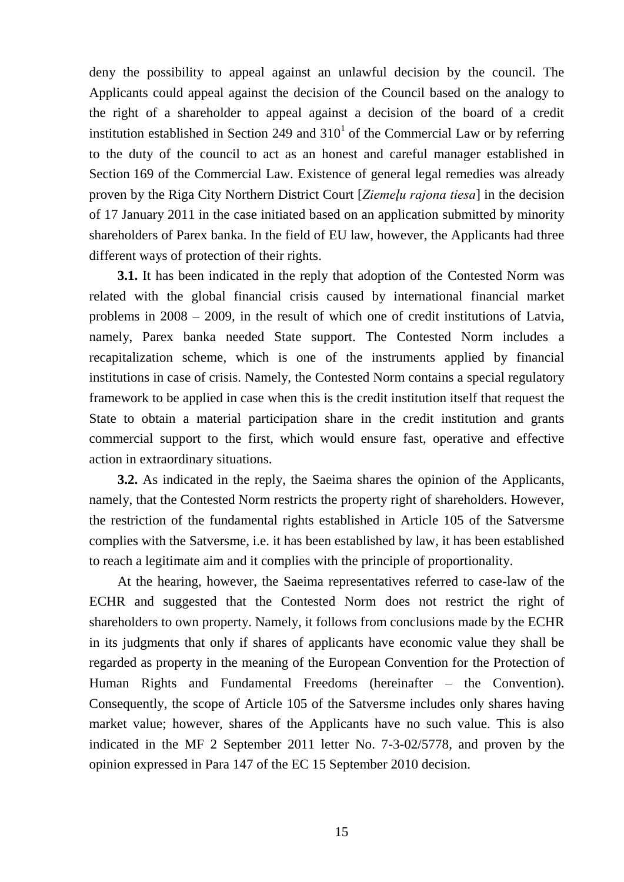deny the possibility to appeal against an unlawful decision by the council. The Applicants could appeal against the decision of the Council based on the analogy to the right of a shareholder to appeal against a decision of the board of a credit institution established in Section 249 and  $310<sup>1</sup>$  of the Commercial Law or by referring to the duty of the council to act as an honest and careful manager established in Section 169 of the Commercial Law. Existence of general legal remedies was already proven by the Riga City Northern District Court [*Ziemeļu rajona tiesa*] in the decision of 17 January 2011 in the case initiated based on an application submitted by minority shareholders of Parex banka. In the field of EU law, however, the Applicants had three different ways of protection of their rights.

**3.1.** It has been indicated in the reply that adoption of the Contested Norm was related with the global financial crisis caused by international financial market problems in 2008 – 2009, in the result of which one of credit institutions of Latvia, namely, Parex banka needed State support. The Contested Norm includes a recapitalization scheme, which is one of the instruments applied by financial institutions in case of crisis. Namely, the Contested Norm contains a special regulatory framework to be applied in case when this is the credit institution itself that request the State to obtain a material participation share in the credit institution and grants commercial support to the first, which would ensure fast, operative and effective action in extraordinary situations.

**3.2.** As indicated in the reply, the Saeima shares the opinion of the Applicants, namely, that the Contested Norm restricts the property right of shareholders. However, the restriction of the fundamental rights established in Article 105 of the Satversme complies with the Satversme, i.e. it has been established by law, it has been established to reach a legitimate aim and it complies with the principle of proportionality.

At the hearing, however, the Saeima representatives referred to case-law of the ECHR and suggested that the Contested Norm does not restrict the right of shareholders to own property. Namely, it follows from conclusions made by the ECHR in its judgments that only if shares of applicants have economic value they shall be regarded as property in the meaning of the European Convention for the Protection of Human Rights and Fundamental Freedoms (hereinafter – the Convention). Consequently, the scope of Article 105 of the Satversme includes only shares having market value; however, shares of the Applicants have no such value. This is also indicated in the MF 2 September 2011 letter No. 7-3-02/5778, and proven by the opinion expressed in Para 147 of the EC 15 September 2010 decision.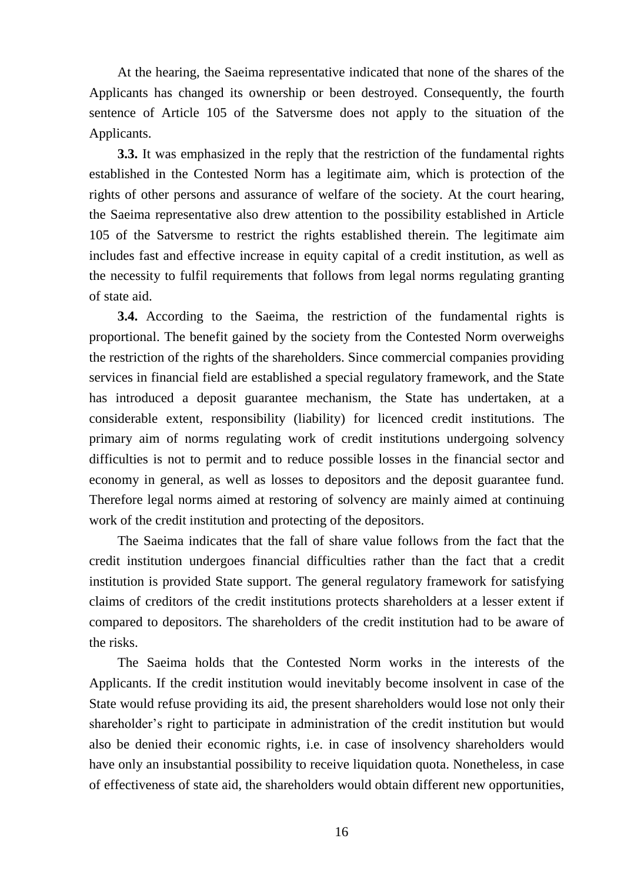At the hearing, the Saeima representative indicated that none of the shares of the Applicants has changed its ownership or been destroyed. Consequently, the fourth sentence of Article 105 of the Satversme does not apply to the situation of the Applicants.

**3.3.** It was emphasized in the reply that the restriction of the fundamental rights established in the Contested Norm has a legitimate aim, which is protection of the rights of other persons and assurance of welfare of the society. At the court hearing, the Saeima representative also drew attention to the possibility established in Article 105 of the Satversme to restrict the rights established therein. The legitimate aim includes fast and effective increase in equity capital of a credit institution, as well as the necessity to fulfil requirements that follows from legal norms regulating granting of state aid.

**3.4.** According to the Saeima, the restriction of the fundamental rights is proportional. The benefit gained by the society from the Contested Norm overweighs the restriction of the rights of the shareholders. Since commercial companies providing services in financial field are established a special regulatory framework, and the State has introduced a deposit guarantee mechanism, the State has undertaken, at a considerable extent, responsibility (liability) for licenced credit institutions. The primary aim of norms regulating work of credit institutions undergoing solvency difficulties is not to permit and to reduce possible losses in the financial sector and economy in general, as well as losses to depositors and the deposit guarantee fund. Therefore legal norms aimed at restoring of solvency are mainly aimed at continuing work of the credit institution and protecting of the depositors.

The Saeima indicates that the fall of share value follows from the fact that the credit institution undergoes financial difficulties rather than the fact that a credit institution is provided State support. The general regulatory framework for satisfying claims of creditors of the credit institutions protects shareholders at a lesser extent if compared to depositors. The shareholders of the credit institution had to be aware of the risks.

The Saeima holds that the Contested Norm works in the interests of the Applicants. If the credit institution would inevitably become insolvent in case of the State would refuse providing its aid, the present shareholders would lose not only their shareholder's right to participate in administration of the credit institution but would also be denied their economic rights, i.e. in case of insolvency shareholders would have only an insubstantial possibility to receive liquidation quota. Nonetheless, in case of effectiveness of state aid, the shareholders would obtain different new opportunities,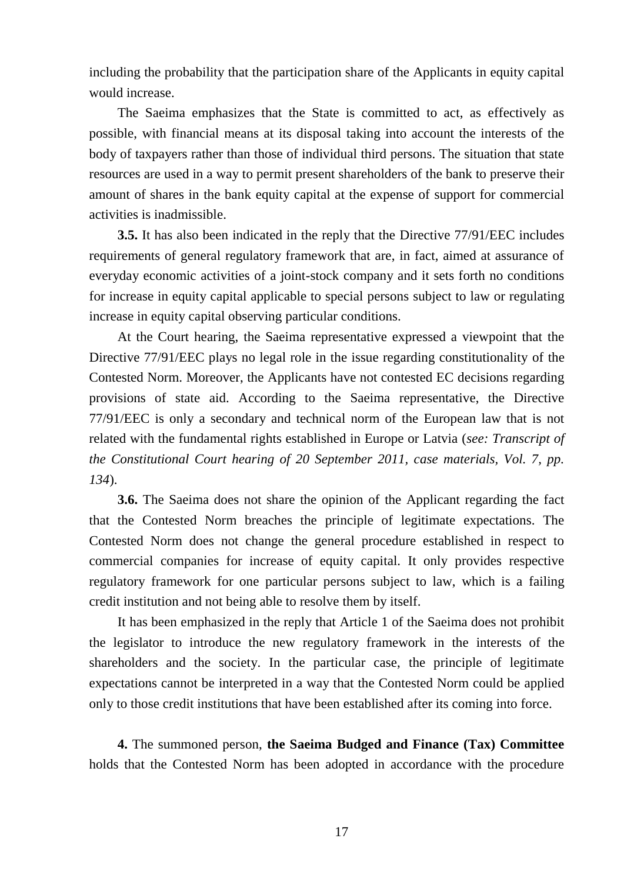including the probability that the participation share of the Applicants in equity capital would increase.

The Saeima emphasizes that the State is committed to act, as effectively as possible, with financial means at its disposal taking into account the interests of the body of taxpayers rather than those of individual third persons. The situation that state resources are used in a way to permit present shareholders of the bank to preserve their amount of shares in the bank equity capital at the expense of support for commercial activities is inadmissible.

**3.5.** It has also been indicated in the reply that the Directive 77/91/EEC includes requirements of general regulatory framework that are, in fact, aimed at assurance of everyday economic activities of a joint-stock company and it sets forth no conditions for increase in equity capital applicable to special persons subject to law or regulating increase in equity capital observing particular conditions.

At the Court hearing, the Saeima representative expressed a viewpoint that the Directive 77/91/EEC plays no legal role in the issue regarding constitutionality of the Contested Norm. Moreover, the Applicants have not contested EC decisions regarding provisions of state aid. According to the Saeima representative, the Directive 77/91/EEC is only a secondary and technical norm of the European law that is not related with the fundamental rights established in Europe or Latvia (*see: Transcript of the Constitutional Court hearing of 20 September 2011, case materials, Vol. 7, pp. 134*).

**3.6.** The Saeima does not share the opinion of the Applicant regarding the fact that the Contested Norm breaches the principle of legitimate expectations. The Contested Norm does not change the general procedure established in respect to commercial companies for increase of equity capital. It only provides respective regulatory framework for one particular persons subject to law, which is a failing credit institution and not being able to resolve them by itself.

It has been emphasized in the reply that Article 1 of the Saeima does not prohibit the legislator to introduce the new regulatory framework in the interests of the shareholders and the society. In the particular case, the principle of legitimate expectations cannot be interpreted in a way that the Contested Norm could be applied only to those credit institutions that have been established after its coming into force.

**4.** The summoned person, **the Saeima Budged and Finance (Tax) Committee**  holds that the Contested Norm has been adopted in accordance with the procedure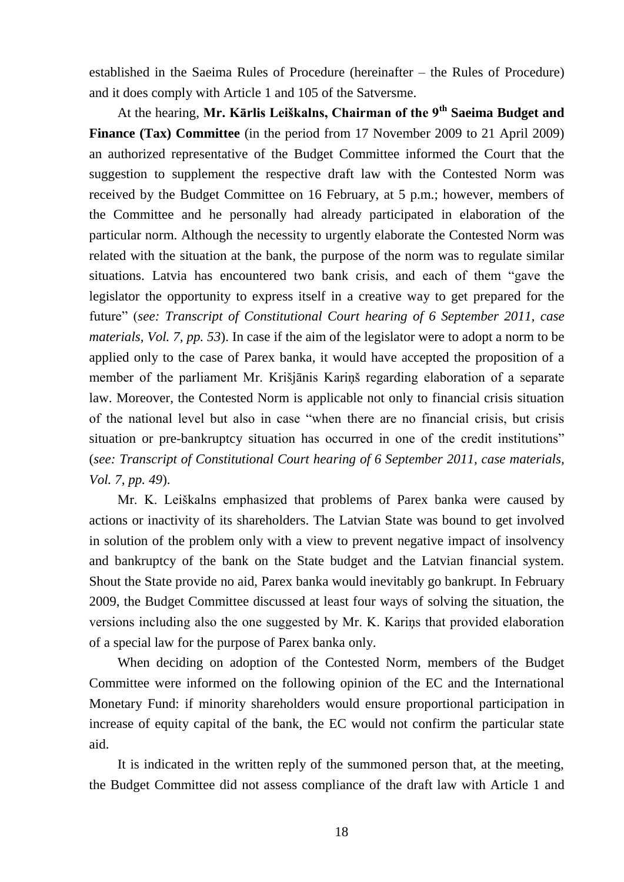established in the Saeima Rules of Procedure (hereinafter – the Rules of Procedure) and it does comply with Article 1 and 105 of the Satversme.

At the hearing, **Mr. Kārlis Leiškalns, Chairman of the 9th Saeima Budget and Finance (Tax) Committee** (in the period from 17 November 2009 to 21 April 2009) an authorized representative of the Budget Committee informed the Court that the suggestion to supplement the respective draft law with the Contested Norm was received by the Budget Committee on 16 February, at 5 p.m.; however, members of the Committee and he personally had already participated in elaboration of the particular norm. Although the necessity to urgently elaborate the Contested Norm was related with the situation at the bank, the purpose of the norm was to regulate similar situations. Latvia has encountered two bank crisis, and each of them "gave the legislator the opportunity to express itself in a creative way to get prepared for the future" (*see: Transcript of Constitutional Court hearing of 6 September 2011, case materials, Vol. 7, pp. 53*). In case if the aim of the legislator were to adopt a norm to be applied only to the case of Parex banka, it would have accepted the proposition of a member of the parliament Mr. Krišjānis Kariņš regarding elaboration of a separate law. Moreover, the Contested Norm is applicable not only to financial crisis situation of the national level but also in case "when there are no financial crisis, but crisis situation or pre-bankruptcy situation has occurred in one of the credit institutions" (*see: Transcript of Constitutional Court hearing of 6 September 2011, case materials, Vol. 7, pp. 49*).

Mr. K. Leiškalns emphasized that problems of Parex banka were caused by actions or inactivity of its shareholders. The Latvian State was bound to get involved in solution of the problem only with a view to prevent negative impact of insolvency and bankruptcy of the bank on the State budget and the Latvian financial system. Shout the State provide no aid, Parex banka would inevitably go bankrupt. In February 2009, the Budget Committee discussed at least four ways of solving the situation, the versions including also the one suggested by Mr. K. Kariņs that provided elaboration of a special law for the purpose of Parex banka only.

When deciding on adoption of the Contested Norm, members of the Budget Committee were informed on the following opinion of the EC and the International Monetary Fund: if minority shareholders would ensure proportional participation in increase of equity capital of the bank, the EC would not confirm the particular state aid.

It is indicated in the written reply of the summoned person that, at the meeting, the Budget Committee did not assess compliance of the draft law with Article 1 and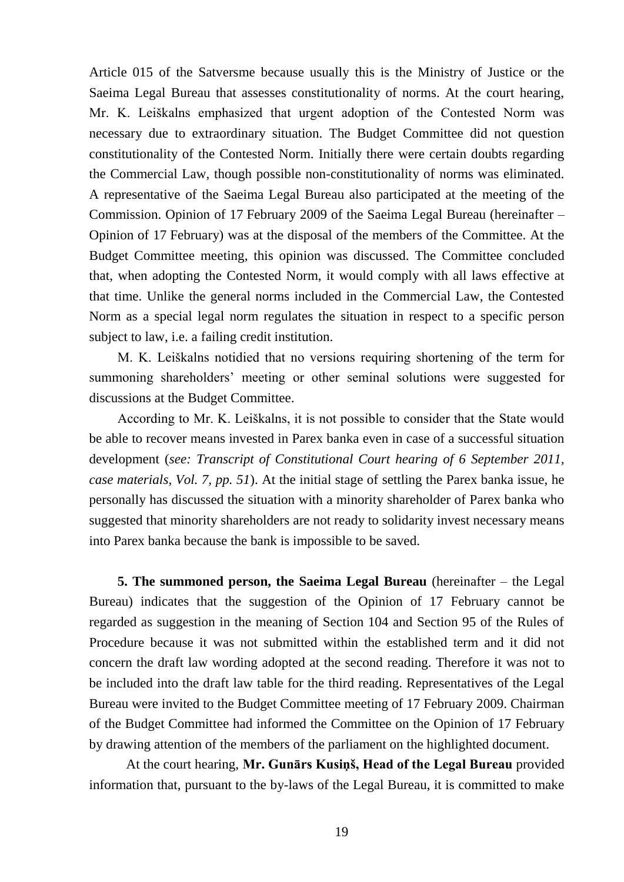Article 015 of the Satversme because usually this is the Ministry of Justice or the Saeima Legal Bureau that assesses constitutionality of norms. At the court hearing, Mr. K. Leiškalns emphasized that urgent adoption of the Contested Norm was necessary due to extraordinary situation. The Budget Committee did not question constitutionality of the Contested Norm. Initially there were certain doubts regarding the Commercial Law, though possible non-constitutionality of norms was eliminated. A representative of the Saeima Legal Bureau also participated at the meeting of the Commission. Opinion of 17 February 2009 of the Saeima Legal Bureau (hereinafter – Opinion of 17 February) was at the disposal of the members of the Committee. At the Budget Committee meeting, this opinion was discussed. The Committee concluded that, when adopting the Contested Norm, it would comply with all laws effective at that time. Unlike the general norms included in the Commercial Law, the Contested Norm as a special legal norm regulates the situation in respect to a specific person subject to law, i.e. a failing credit institution.

M. K. Leiškalns notidied that no versions requiring shortening of the term for summoning shareholders' meeting or other seminal solutions were suggested for discussions at the Budget Committee.

According to Mr. K. Leiškalns, it is not possible to consider that the State would be able to recover means invested in Parex banka even in case of a successful situation development (*see: Transcript of Constitutional Court hearing of 6 September 2011, case materials, Vol. 7, pp. 51*). At the initial stage of settling the Parex banka issue, he personally has discussed the situation with a minority shareholder of Parex banka who suggested that minority shareholders are not ready to solidarity invest necessary means into Parex banka because the bank is impossible to be saved.

**5. The summoned person, the Saeima Legal Bureau** (hereinafter – the Legal Bureau) indicates that the suggestion of the Opinion of 17 February cannot be regarded as suggestion in the meaning of Section 104 and Section 95 of the Rules of Procedure because it was not submitted within the established term and it did not concern the draft law wording adopted at the second reading. Therefore it was not to be included into the draft law table for the third reading. Representatives of the Legal Bureau were invited to the Budget Committee meeting of 17 February 2009. Chairman of the Budget Committee had informed the Committee on the Opinion of 17 February by drawing attention of the members of the parliament on the highlighted document.

At the court hearing, **Mr. Gunārs Kusiņš, Head of the Legal Bureau** provided information that, pursuant to the by-laws of the Legal Bureau, it is committed to make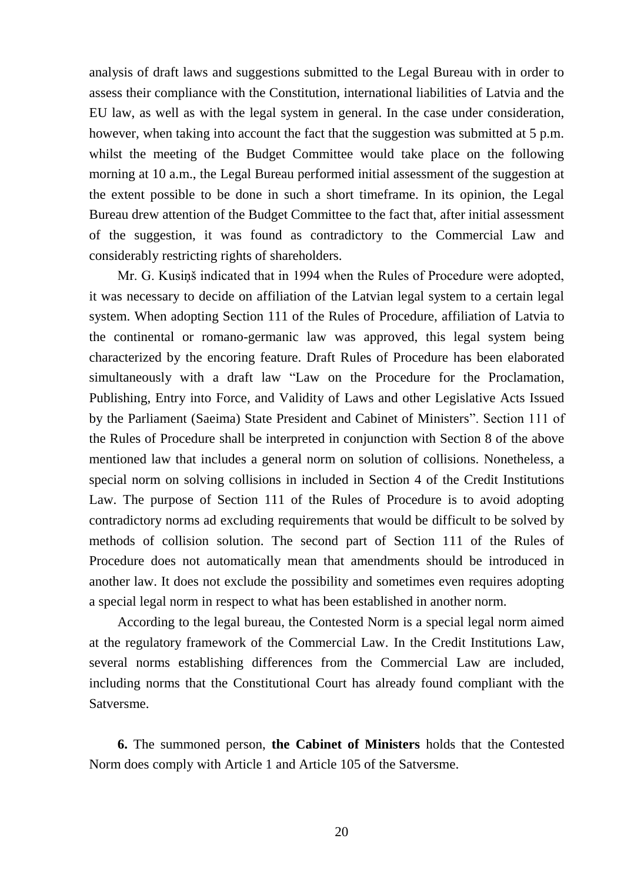analysis of draft laws and suggestions submitted to the Legal Bureau with in order to assess their compliance with the Constitution, international liabilities of Latvia and the EU law, as well as with the legal system in general. In the case under consideration, however, when taking into account the fact that the suggestion was submitted at 5 p.m. whilst the meeting of the Budget Committee would take place on the following morning at 10 a.m., the Legal Bureau performed initial assessment of the suggestion at the extent possible to be done in such a short timeframe. In its opinion, the Legal Bureau drew attention of the Budget Committee to the fact that, after initial assessment of the suggestion, it was found as contradictory to the Commercial Law and considerably restricting rights of shareholders.

Mr. G. Kusiņš indicated that in 1994 when the Rules of Procedure were adopted, it was necessary to decide on affiliation of the Latvian legal system to a certain legal system. When adopting Section 111 of the Rules of Procedure, affiliation of Latvia to the continental or romano-germanic law was approved, this legal system being characterized by the encoring feature. Draft Rules of Procedure has been elaborated simultaneously with a draft law "Law on the Procedure for the Proclamation, Publishing, Entry into Force, and Validity of Laws and other Legislative Acts Issued by the Parliament (Saeima) State President and Cabinet of Ministers". Section 111 of the Rules of Procedure shall be interpreted in conjunction with Section 8 of the above mentioned law that includes a general norm on solution of collisions. Nonetheless, a special norm on solving collisions in included in Section 4 of the Credit Institutions Law. The purpose of Section 111 of the Rules of Procedure is to avoid adopting contradictory norms ad excluding requirements that would be difficult to be solved by methods of collision solution. The second part of Section 111 of the Rules of Procedure does not automatically mean that amendments should be introduced in another law. It does not exclude the possibility and sometimes even requires adopting a special legal norm in respect to what has been established in another norm.

According to the legal bureau, the Contested Norm is a special legal norm aimed at the regulatory framework of the Commercial Law. In the Credit Institutions Law, several norms establishing differences from the Commercial Law are included, including norms that the Constitutional Court has already found compliant with the Satversme.

**6.** The summoned person, **the Cabinet of Ministers** holds that the Contested Norm does comply with Article 1 and Article 105 of the Satversme.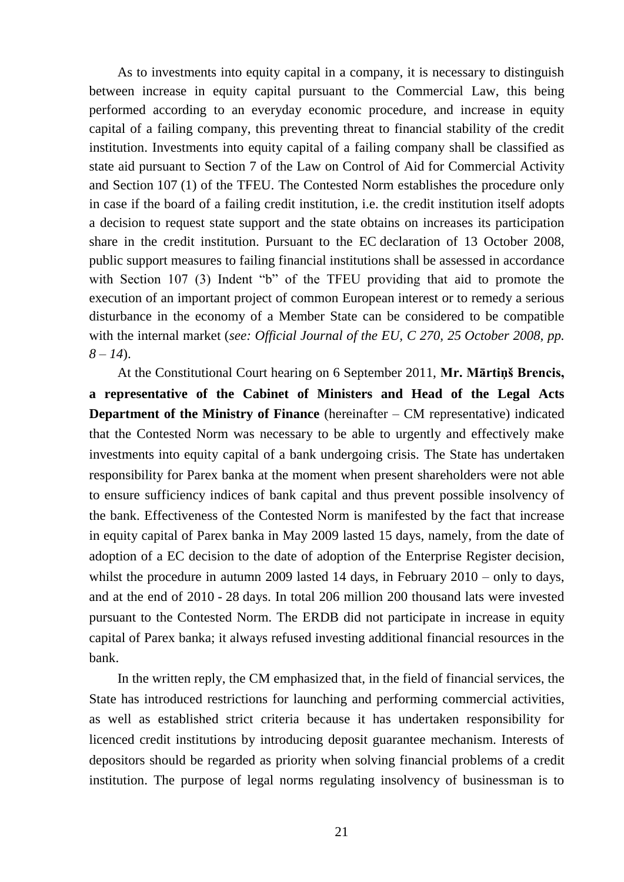As to investments into equity capital in a company, it is necessary to distinguish between increase in equity capital pursuant to the Commercial Law, this being performed according to an everyday economic procedure, and increase in equity capital of a failing company, this preventing threat to financial stability of the credit institution. Investments into equity capital of a failing company shall be classified as state aid pursuant to Section 7 of the Law on Control of Aid for Commercial Activity and Section 107 (1) of the TFEU. The Contested Norm establishes the procedure only in case if the board of a failing credit institution, i.e. the credit institution itself adopts a decision to request state support and the state obtains on increases its participation share in the credit institution. Pursuant to the EC declaration of 13 October 2008, public support measures to failing financial institutions shall be assessed in accordance with Section 107 (3) Indent "b" of the TFEU providing that aid to promote the execution of an important project of common European interest or to remedy a serious disturbance in the economy of a Member State can be considered to be compatible with the internal market (*see: Official Journal of the EU, C 270, 25 October 2008, pp. 8 – 14*).

At the Constitutional Court hearing on 6 September 2011, **Mr. Mārtiņš Brencis, a representative of the Cabinet of Ministers and Head of the Legal Acts Department of the Ministry of Finance** (hereinafter – CM representative) indicated that the Contested Norm was necessary to be able to urgently and effectively make investments into equity capital of a bank undergoing crisis. The State has undertaken responsibility for Parex banka at the moment when present shareholders were not able to ensure sufficiency indices of bank capital and thus prevent possible insolvency of the bank. Effectiveness of the Contested Norm is manifested by the fact that increase in equity capital of Parex banka in May 2009 lasted 15 days, namely, from the date of adoption of a EC decision to the date of adoption of the Enterprise Register decision, whilst the procedure in autumn 2009 lasted 14 days, in February 2010 – only to days, and at the end of 2010 - 28 days. In total 206 million 200 thousand lats were invested pursuant to the Contested Norm. The ERDB did not participate in increase in equity capital of Parex banka; it always refused investing additional financial resources in the bank.

In the written reply, the CM emphasized that, in the field of financial services, the State has introduced restrictions for launching and performing commercial activities, as well as established strict criteria because it has undertaken responsibility for licenced credit institutions by introducing deposit guarantee mechanism. Interests of depositors should be regarded as priority when solving financial problems of a credit institution. The purpose of legal norms regulating insolvency of businessman is to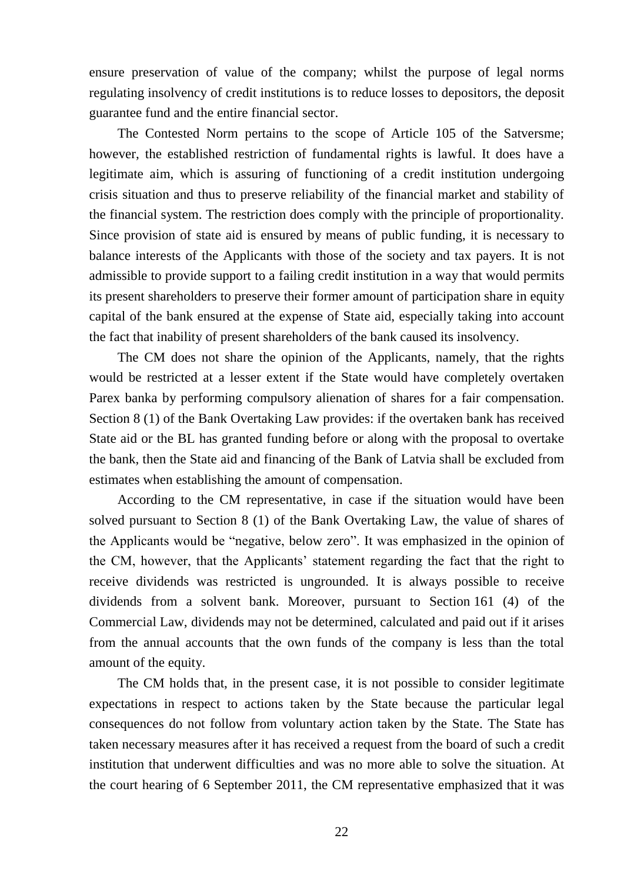ensure preservation of value of the company; whilst the purpose of legal norms regulating insolvency of credit institutions is to reduce losses to depositors, the deposit guarantee fund and the entire financial sector.

The Contested Norm pertains to the scope of Article 105 of the Satversme; however, the established restriction of fundamental rights is lawful. It does have a legitimate aim, which is assuring of functioning of a credit institution undergoing crisis situation and thus to preserve reliability of the financial market and stability of the financial system. The restriction does comply with the principle of proportionality. Since provision of state aid is ensured by means of public funding, it is necessary to balance interests of the Applicants with those of the society and tax payers. It is not admissible to provide support to a failing credit institution in a way that would permits its present shareholders to preserve their former amount of participation share in equity capital of the bank ensured at the expense of State aid, especially taking into account the fact that inability of present shareholders of the bank caused its insolvency.

The CM does not share the opinion of the Applicants, namely, that the rights would be restricted at a lesser extent if the State would have completely overtaken Parex banka by performing compulsory alienation of shares for a fair compensation. Section 8 (1) of the Bank Overtaking Law provides: if the overtaken bank has received State aid or the BL has granted funding before or along with the proposal to overtake the bank, then the State aid and financing of the Bank of Latvia shall be excluded from estimates when establishing the amount of compensation.

According to the CM representative, in case if the situation would have been solved pursuant to Section 8 (1) of the Bank Overtaking Law, the value of shares of the Applicants would be "negative, below zero". It was emphasized in the opinion of the CM, however, that the Applicants' statement regarding the fact that the right to receive dividends was restricted is ungrounded. It is always possible to receive dividends from a solvent bank. Moreover, pursuant to Section 161 (4) of the Commercial Law, dividends may not be determined, calculated and paid out if it arises from the annual accounts that the own funds of the company is less than the total amount of the equity.

The CM holds that, in the present case, it is not possible to consider legitimate expectations in respect to actions taken by the State because the particular legal consequences do not follow from voluntary action taken by the State. The State has taken necessary measures after it has received a request from the board of such a credit institution that underwent difficulties and was no more able to solve the situation. At the court hearing of 6 September 2011, the CM representative emphasized that it was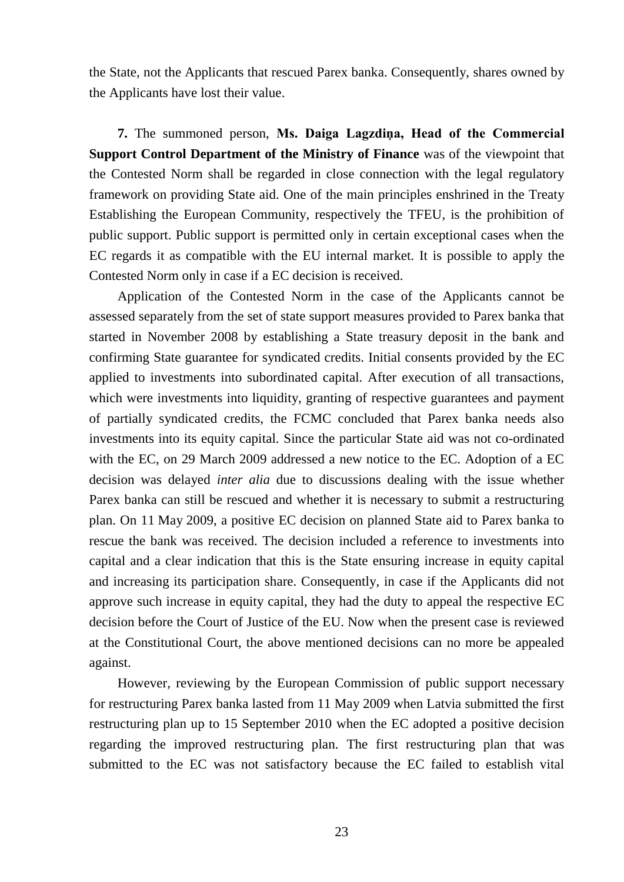the State, not the Applicants that rescued Parex banka. Consequently, shares owned by the Applicants have lost their value.

**7.** The summoned person, **Ms. Daiga Lagzdiņa, Head of the Commercial Support Control Department of the Ministry of Finance** was of the viewpoint that the Contested Norm shall be regarded in close connection with the legal regulatory framework on providing State aid. One of the main principles enshrined in the Treaty Establishing the European Community, respectively the TFEU, is the prohibition of public support. Public support is permitted only in certain exceptional cases when the EC regards it as compatible with the EU internal market. It is possible to apply the Contested Norm only in case if a EC decision is received.

Application of the Contested Norm in the case of the Applicants cannot be assessed separately from the set of state support measures provided to Parex banka that started in November 2008 by establishing a State treasury deposit in the bank and confirming State guarantee for syndicated credits. Initial consents provided by the EC applied to investments into subordinated capital. After execution of all transactions, which were investments into liquidity, granting of respective guarantees and payment of partially syndicated credits, the FCMC concluded that Parex banka needs also investments into its equity capital. Since the particular State aid was not co-ordinated with the EC, on 29 March 2009 addressed a new notice to the EC. Adoption of a EC decision was delayed *inter alia* due to discussions dealing with the issue whether Parex banka can still be rescued and whether it is necessary to submit a restructuring plan. On 11 May 2009, a positive EC decision on planned State aid to Parex banka to rescue the bank was received. The decision included a reference to investments into capital and a clear indication that this is the State ensuring increase in equity capital and increasing its participation share. Consequently, in case if the Applicants did not approve such increase in equity capital, they had the duty to appeal the respective EC decision before the Court of Justice of the EU. Now when the present case is reviewed at the Constitutional Court, the above mentioned decisions can no more be appealed against.

However, reviewing by the European Commission of public support necessary for restructuring Parex banka lasted from 11 May 2009 when Latvia submitted the first restructuring plan up to 15 September 2010 when the EC adopted a positive decision regarding the improved restructuring plan. The first restructuring plan that was submitted to the EC was not satisfactory because the EC failed to establish vital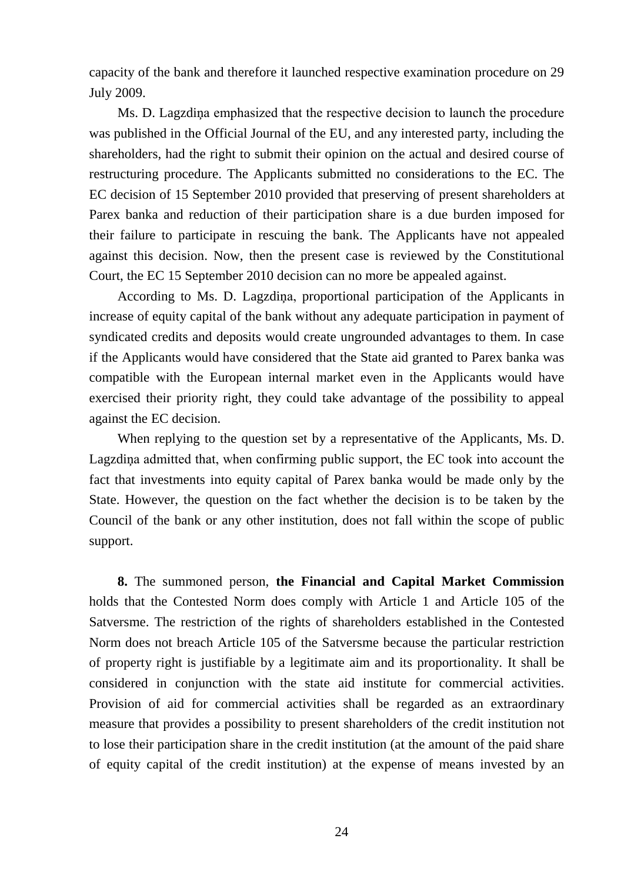capacity of the bank and therefore it launched respective examination procedure on 29 July 2009.

Ms. D. Lagzdiņa emphasized that the respective decision to launch the procedure was published in the Official Journal of the EU, and any interested party, including the shareholders, had the right to submit their opinion on the actual and desired course of restructuring procedure. The Applicants submitted no considerations to the EC. The EC decision of 15 September 2010 provided that preserving of present shareholders at Parex banka and reduction of their participation share is a due burden imposed for their failure to participate in rescuing the bank. The Applicants have not appealed against this decision. Now, then the present case is reviewed by the Constitutional Court, the EC 15 September 2010 decision can no more be appealed against.

According to Ms. D. Lagzdiņa, proportional participation of the Applicants in increase of equity capital of the bank without any adequate participation in payment of syndicated credits and deposits would create ungrounded advantages to them. In case if the Applicants would have considered that the State aid granted to Parex banka was compatible with the European internal market even in the Applicants would have exercised their priority right, they could take advantage of the possibility to appeal against the EC decision.

When replying to the question set by a representative of the Applicants, Ms. D. Lagzdiņa admitted that, when confirming public support, the EC took into account the fact that investments into equity capital of Parex banka would be made only by the State. However, the question on the fact whether the decision is to be taken by the Council of the bank or any other institution, does not fall within the scope of public support.

**8.** The summoned person, **the Financial and Capital Market Commission**  holds that the Contested Norm does comply with Article 1 and Article 105 of the Satversme. The restriction of the rights of shareholders established in the Contested Norm does not breach Article 105 of the Satversme because the particular restriction of property right is justifiable by a legitimate aim and its proportionality. It shall be considered in conjunction with the state aid institute for commercial activities. Provision of aid for commercial activities shall be regarded as an extraordinary measure that provides a possibility to present shareholders of the credit institution not to lose their participation share in the credit institution (at the amount of the paid share of equity capital of the credit institution) at the expense of means invested by an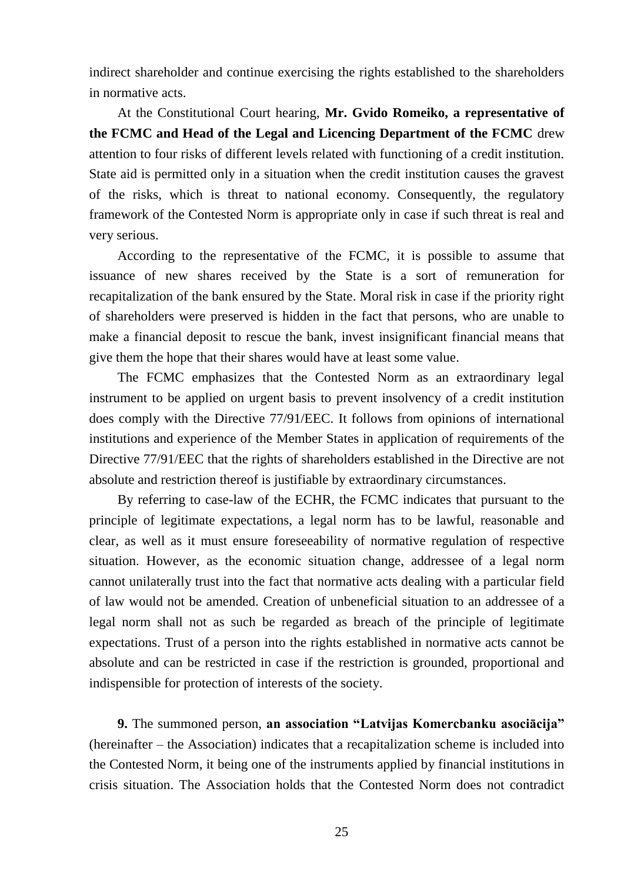indirect shareholder and continue exercising the rights established to the shareholders in normative acts.

At the Constitutional Court hearing, **Mr. Gvido Romeiko, a representative of the FCMC and Head of the Legal and Licencing Department of the FCMC** drew attention to four risks of different levels related with functioning of a credit institution. State aid is permitted only in a situation when the credit institution causes the gravest of the risks, which is threat to national economy. Consequently, the regulatory framework of the Contested Norm is appropriate only in case if such threat is real and very serious.

According to the representative of the FCMC, it is possible to assume that issuance of new shares received by the State is a sort of remuneration for recapitalization of the bank ensured by the State. Moral risk in case if the priority right of shareholders were preserved is hidden in the fact that persons, who are unable to make a financial deposit to rescue the bank, invest insignificant financial means that give them the hope that their shares would have at least some value.

The FCMC emphasizes that the Contested Norm as an extraordinary legal instrument to be applied on urgent basis to prevent insolvency of a credit institution does comply with the Directive 77/91/EEC. It follows from opinions of international institutions and experience of the Member States in application of requirements of the Directive 77/91/EEC that the rights of shareholders established in the Directive are not absolute and restriction thereof is justifiable by extraordinary circumstances.

By referring to case-law of the ECHR, the FCMC indicates that pursuant to the principle of legitimate expectations, a legal norm has to be lawful, reasonable and clear, as well as it must ensure foreseeability of normative regulation of respective situation. However, as the economic situation change, addressee of a legal norm cannot unilaterally trust into the fact that normative acts dealing with a particular field of law would not be amended. Creation of unbeneficial situation to an addressee of a legal norm shall not as such be regarded as breach of the principle of legitimate expectations. Trust of a person into the rights established in normative acts cannot be absolute and can be restricted in case if the restriction is grounded, proportional and indispensible for protection of interests of the society.

**9.** The summoned person, **an association "Latvijas Komercbanku asociācija"**  (hereinafter – the Association) indicates that a recapitalization scheme is included into the Contested Norm, it being one of the instruments applied by financial institutions in crisis situation. The Association holds that the Contested Norm does not contradict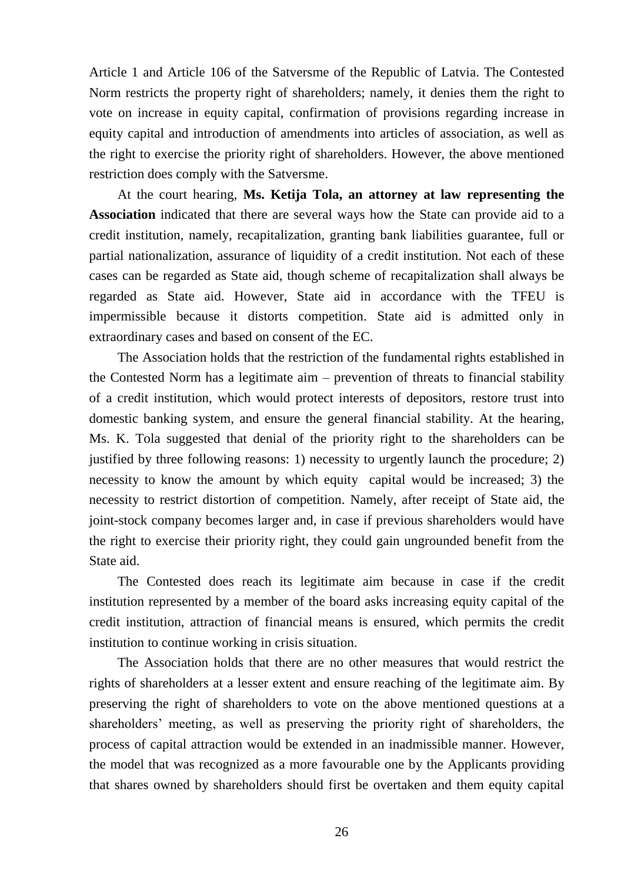Article 1 and Article 106 of the Satversme of the Republic of Latvia. The Contested Norm restricts the property right of shareholders; namely, it denies them the right to vote on increase in equity capital, confirmation of provisions regarding increase in equity capital and introduction of amendments into articles of association, as well as the right to exercise the priority right of shareholders. However, the above mentioned restriction does comply with the Satversme.

At the court hearing, **Ms. Ketija Tola, an attorney at law representing the Association** indicated that there are several ways how the State can provide aid to a credit institution, namely, recapitalization, granting bank liabilities guarantee, full or partial nationalization, assurance of liquidity of a credit institution. Not each of these cases can be regarded as State aid, though scheme of recapitalization shall always be regarded as State aid. However, State aid in accordance with the TFEU is impermissible because it distorts competition. State aid is admitted only in extraordinary cases and based on consent of the EC.

The Association holds that the restriction of the fundamental rights established in the Contested Norm has a legitimate aim – prevention of threats to financial stability of a credit institution, which would protect interests of depositors, restore trust into domestic banking system, and ensure the general financial stability. At the hearing, Ms. K. Tola suggested that denial of the priority right to the shareholders can be justified by three following reasons: 1) necessity to urgently launch the procedure; 2) necessity to know the amount by which equity capital would be increased; 3) the necessity to restrict distortion of competition. Namely, after receipt of State aid, the joint-stock company becomes larger and, in case if previous shareholders would have the right to exercise their priority right, they could gain ungrounded benefit from the State aid.

The Contested does reach its legitimate aim because in case if the credit institution represented by a member of the board asks increasing equity capital of the credit institution, attraction of financial means is ensured, which permits the credit institution to continue working in crisis situation.

The Association holds that there are no other measures that would restrict the rights of shareholders at a lesser extent and ensure reaching of the legitimate aim. By preserving the right of shareholders to vote on the above mentioned questions at a shareholders' meeting, as well as preserving the priority right of shareholders, the process of capital attraction would be extended in an inadmissible manner. However, the model that was recognized as a more favourable one by the Applicants providing that shares owned by shareholders should first be overtaken and them equity capital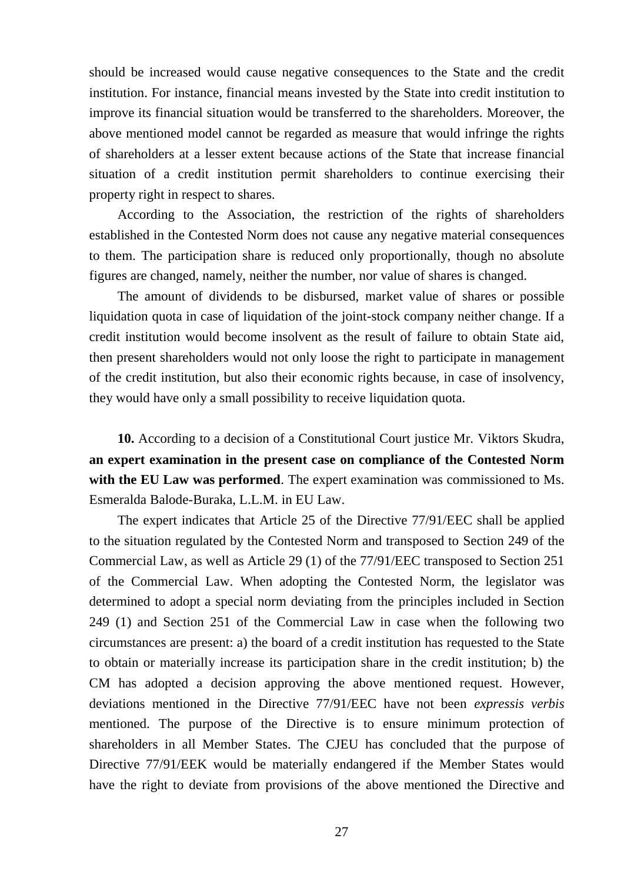should be increased would cause negative consequences to the State and the credit institution. For instance, financial means invested by the State into credit institution to improve its financial situation would be transferred to the shareholders. Moreover, the above mentioned model cannot be regarded as measure that would infringe the rights of shareholders at a lesser extent because actions of the State that increase financial situation of a credit institution permit shareholders to continue exercising their property right in respect to shares.

According to the Association, the restriction of the rights of shareholders established in the Contested Norm does not cause any negative material consequences to them. The participation share is reduced only proportionally, though no absolute figures are changed, namely, neither the number, nor value of shares is changed.

The amount of dividends to be disbursed, market value of shares or possible liquidation quota in case of liquidation of the joint-stock company neither change. If a credit institution would become insolvent as the result of failure to obtain State aid, then present shareholders would not only loose the right to participate in management of the credit institution, but also their economic rights because, in case of insolvency, they would have only a small possibility to receive liquidation quota.

**10.** According to a decision of a Constitutional Court justice Mr. Viktors Skudra, **an expert examination in the present case on compliance of the Contested Norm with the EU Law was performed**. The expert examination was commissioned to Ms. Esmeralda Balode-Buraka, L.L.M. in EU Law.

The expert indicates that Article 25 of the Directive 77/91/EEC shall be applied to the situation regulated by the Contested Norm and transposed to Section 249 of the Commercial Law, as well as Article 29 (1) of the 77/91/EEC transposed to Section 251 of the Commercial Law. When adopting the Contested Norm, the legislator was determined to adopt a special norm deviating from the principles included in Section 249 (1) and Section 251 of the Commercial Law in case when the following two circumstances are present: a) the board of a credit institution has requested to the State to obtain or materially increase its participation share in the credit institution; b) the CM has adopted a decision approving the above mentioned request. However, deviations mentioned in the Directive 77/91/EEC have not been *expressis verbis* mentioned. The purpose of the Directive is to ensure minimum protection of shareholders in all Member States. The CJEU has concluded that the purpose of Directive 77/91/EEK would be materially endangered if the Member States would have the right to deviate from provisions of the above mentioned the Directive and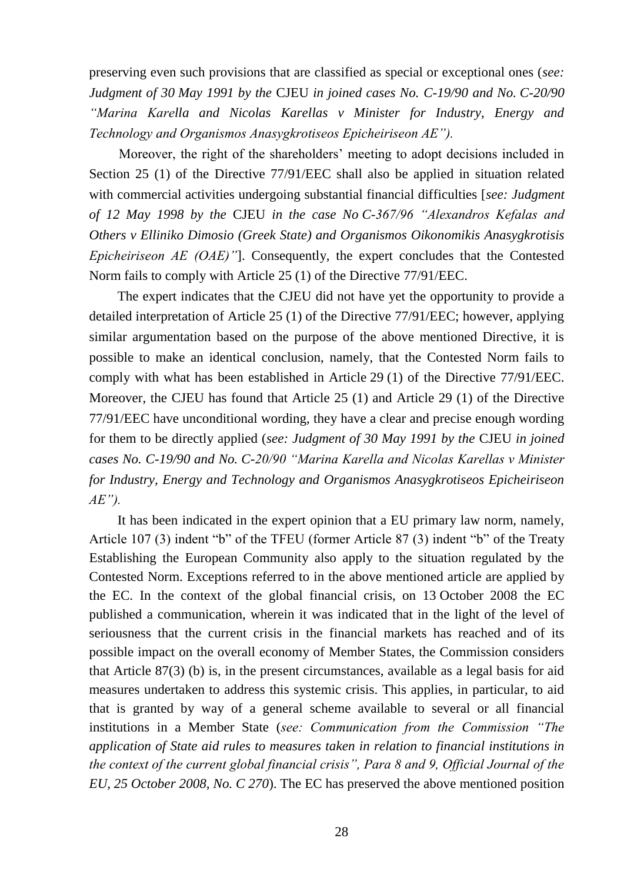preserving even such provisions that are classified as special or exceptional ones (*see: Judgment of 30 May 1991 by the* CJEU *in joined cases No. C-19/90 and No. C-20/90 "Marina Karella and Nicolas Karellas v Minister for Industry, Energy and Technology and Organismos Anasygkrotiseos Epicheiriseon AE").* 

Moreover, the right of the shareholders' meeting to adopt decisions included in Section 25 (1) of the Directive 77/91/EEC shall also be applied in situation related with commercial activities undergoing substantial financial difficulties [*see: Judgment of 12 May 1998 by the* CJEU *in the case No C-367/96 "Alexandros Kefalas and Others v Elliniko Dimosio (Greek State) and Organismos Oikonomikis Anasygkrotisis Epicheiriseon AE (OAE)"*]. Consequently, the expert concludes that the Contested Norm fails to comply with Article 25 (1) of the Directive 77/91/EEC.

The expert indicates that the CJEU did not have yet the opportunity to provide a detailed interpretation of Article 25 (1) of the Directive 77/91/EEC; however, applying similar argumentation based on the purpose of the above mentioned Directive, it is possible to make an identical conclusion, namely, that the Contested Norm fails to comply with what has been established in Article 29 (1) of the Directive 77/91/EEC. Moreover, the CJEU has found that Article 25 (1) and Article 29 (1) of the Directive 77/91/EEC have unconditional wording, they have a clear and precise enough wording for them to be directly applied (*see: Judgment of 30 May 1991 by the* CJEU *in joined cases No. C-19/90 and No. C-20/90 "Marina Karella and Nicolas Karellas v Minister for Industry, Energy and Technology and Organismos Anasygkrotiseos Epicheiriseon AE").*

It has been indicated in the expert opinion that a EU primary law norm, namely, Article 107 (3) indent "b" of the TFEU (former Article 87 (3) indent "b" of the Treaty Establishing the European Community also apply to the situation regulated by the Contested Norm. Exceptions referred to in the above mentioned article are applied by the EC. In the context of the global financial crisis, on 13 October 2008 the EC published a communication, wherein it was indicated that in the light of the level of seriousness that the current crisis in the financial markets has reached and of its possible impact on the overall economy of Member States, the Commission considers that Article 87(3) (b) is, in the present circumstances, available as a legal basis for aid measures undertaken to address this systemic crisis. This applies, in particular, to aid that is granted by way of a general scheme available to several or all financial institutions in a Member State (*see: Communication from the Commission "The application of State aid rules to measures taken in relation to financial institutions in the context of the current global financial crisis", Para 8 and 9, Official Journal of the EU, 25 October 2008, No. C 270*). The EC has preserved the above mentioned position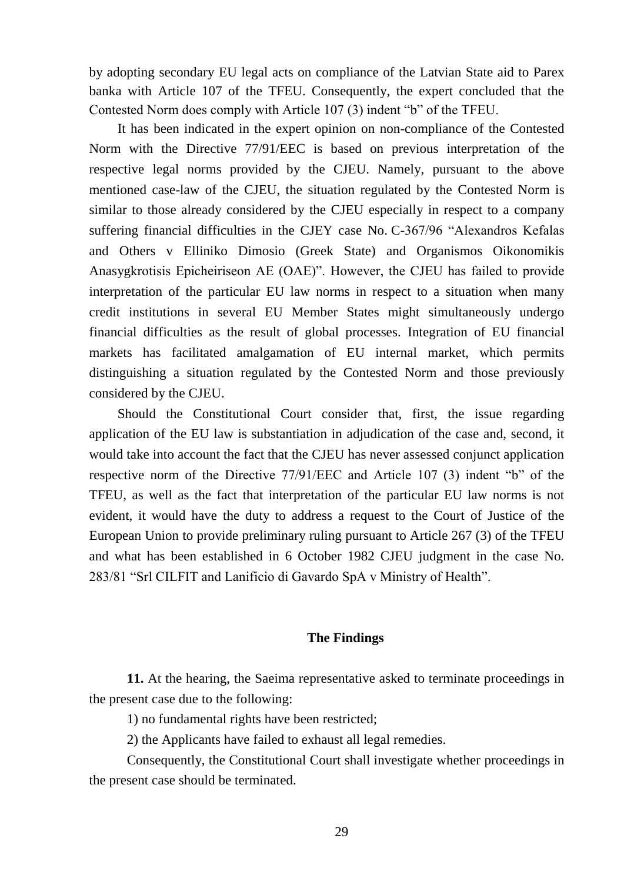by adopting secondary EU legal acts on compliance of the Latvian State aid to Parex banka with Article 107 of the TFEU. Consequently, the expert concluded that the Contested Norm does comply with Article 107 (3) indent "b" of the TFEU.

It has been indicated in the expert opinion on non-compliance of the Contested Norm with the Directive 77/91/EEC is based on previous interpretation of the respective legal norms provided by the CJEU. Namely, pursuant to the above mentioned case-law of the CJEU, the situation regulated by the Contested Norm is similar to those already considered by the CJEU especially in respect to a company suffering financial difficulties in the CJEY case No. C-367/96 "Alexandros Kefalas and Others v Elliniko Dimosio (Greek State) and Organismos Oikonomikis Anasygkrotisis Epicheiriseon AE (OAE)". However, the CJEU has failed to provide interpretation of the particular EU law norms in respect to a situation when many credit institutions in several EU Member States might simultaneously undergo financial difficulties as the result of global processes. Integration of EU financial markets has facilitated amalgamation of EU internal market, which permits distinguishing a situation regulated by the Contested Norm and those previously considered by the CJEU.

Should the Constitutional Court consider that, first, the issue regarding application of the EU law is substantiation in adjudication of the case and, second, it would take into account the fact that the CJEU has never assessed conjunct application respective norm of the Directive 77/91/EEC and Article 107 (3) indent "b" of the TFEU, as well as the fact that interpretation of the particular EU law norms is not evident, it would have the duty to address a request to the Court of Justice of the European Union to provide preliminary ruling pursuant to Article 267 (3) of the TFEU and what has been established in 6 October 1982 CJEU judgment in the case No. 283/81 "Srl CILFIT and Lanificio di Gavardo SpA v Ministry of Health".

#### **The Findings**

**11.** At the hearing, the Saeima representative asked to terminate proceedings in the present case due to the following:

1) no fundamental rights have been restricted;

2) the Applicants have failed to exhaust all legal remedies.

Consequently, the Constitutional Court shall investigate whether proceedings in the present case should be terminated.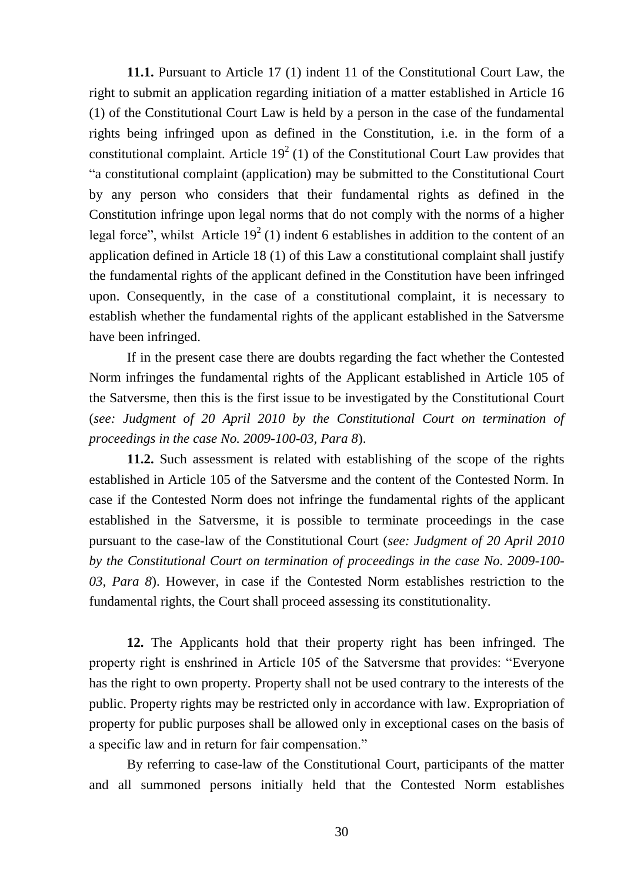**11.1.** Pursuant to Article 17 (1) indent 11 of the Constitutional Court Law, the right to submit an application regarding initiation of a matter established in Article 16 (1) of the Constitutional Court Law is held by a person in the case of the fundamental rights being infringed upon as defined in the Constitution, i.e. in the form of a constitutional complaint. Article  $19^2$  (1) of the Constitutional Court Law provides that "a constitutional complaint (application) may be submitted to the Constitutional Court by any person who considers that their fundamental rights as defined in the Constitution infringe upon legal norms that do not comply with the norms of a higher legal force", whilst Article  $19^2$  (1) indent 6 establishes in addition to the content of an application defined in Article 18 (1) of this Law a constitutional complaint shall justify the fundamental rights of the applicant defined in the Constitution have been infringed upon. Consequently, in the case of a constitutional complaint, it is necessary to establish whether the fundamental rights of the applicant established in the Satversme have been infringed.

If in the present case there are doubts regarding the fact whether the Contested Norm infringes the fundamental rights of the Applicant established in Article 105 of the Satversme, then this is the first issue to be investigated by the Constitutional Court (*see: Judgment of 20 April 2010 by the Constitutional Court on termination of proceedings in the case No. 2009-100-03, Para 8*).

**11.2.** Such assessment is related with establishing of the scope of the rights established in Article 105 of the Satversme and the content of the Contested Norm. In case if the Contested Norm does not infringe the fundamental rights of the applicant established in the Satversme, it is possible to terminate proceedings in the case pursuant to the case-law of the Constitutional Court (*see: Judgment of 20 April 2010 by the Constitutional Court on termination of proceedings in the case No. 2009-100- 03, Para 8*). However, in case if the Contested Norm establishes restriction to the fundamental rights, the Court shall proceed assessing its constitutionality.

**12.** The Applicants hold that their property right has been infringed. The property right is enshrined in Article 105 of the Satversme that provides: "Everyone has the right to own property. Property shall not be used contrary to the interests of the public. Property rights may be restricted only in accordance with law. Expropriation of property for public purposes shall be allowed only in exceptional cases on the basis of a specific law and in return for fair compensation."

By referring to case-law of the Constitutional Court, participants of the matter and all summoned persons initially held that the Contested Norm establishes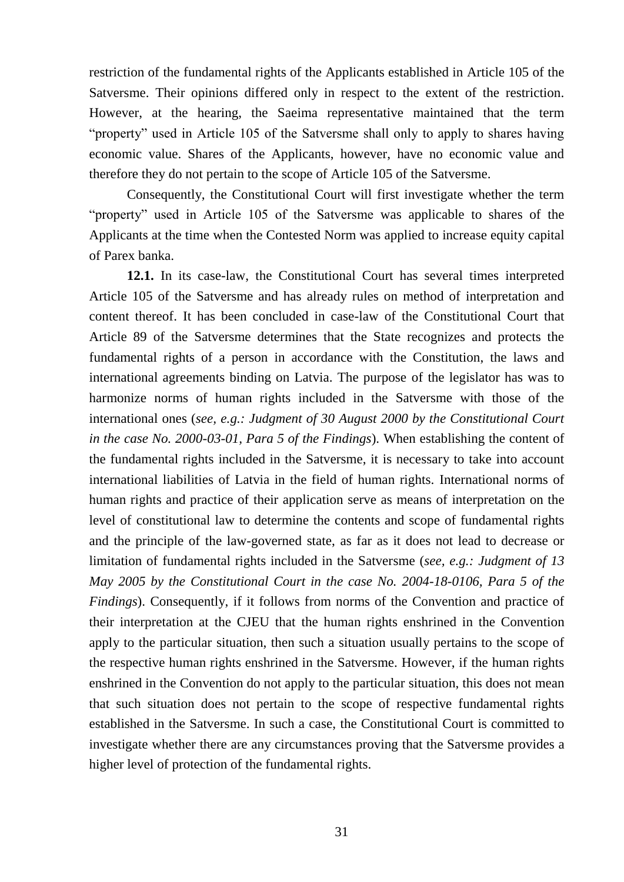restriction of the fundamental rights of the Applicants established in Article 105 of the Satversme. Their opinions differed only in respect to the extent of the restriction. However, at the hearing, the Saeima representative maintained that the term "property" used in Article 105 of the Satversme shall only to apply to shares having economic value. Shares of the Applicants, however, have no economic value and therefore they do not pertain to the scope of Article 105 of the Satversme.

Consequently, the Constitutional Court will first investigate whether the term "property" used in Article 105 of the Satversme was applicable to shares of the Applicants at the time when the Contested Norm was applied to increase equity capital of Parex banka.

**12.1.** In its case-law, the Constitutional Court has several times interpreted Article 105 of the Satversme and has already rules on method of interpretation and content thereof. It has been concluded in case-law of the Constitutional Court that Article 89 of the Satversme determines that the State recognizes and protects the fundamental rights of a person in accordance with the Constitution, the laws and international agreements binding on Latvia. The purpose of the legislator has was to harmonize norms of human rights included in the Satversme with those of the international ones (*see, e.g.: Judgment of 30 August 2000 by the Constitutional Court in the case No. 2000-03-01, Para 5 of the Findings*). When establishing the content of the fundamental rights included in the Satversme, it is necessary to take into account international liabilities of Latvia in the field of human rights. International norms of human rights and practice of their application serve as means of interpretation on the level of constitutional law to determine the contents and scope of fundamental rights and the principle of the law-governed state, as far as it does not lead to decrease or limitation of fundamental rights included in the Satversme (*see, e.g.: Judgment of 13 May 2005 by the Constitutional Court in the case No. 2004-18-0106, Para 5 of the Findings*). Consequently, if it follows from norms of the Convention and practice of their interpretation at the CJEU that the human rights enshrined in the Convention apply to the particular situation, then such a situation usually pertains to the scope of the respective human rights enshrined in the Satversme. However, if the human rights enshrined in the Convention do not apply to the particular situation, this does not mean that such situation does not pertain to the scope of respective fundamental rights established in the Satversme. In such a case, the Constitutional Court is committed to investigate whether there are any circumstances proving that the Satversme provides a higher level of protection of the fundamental rights.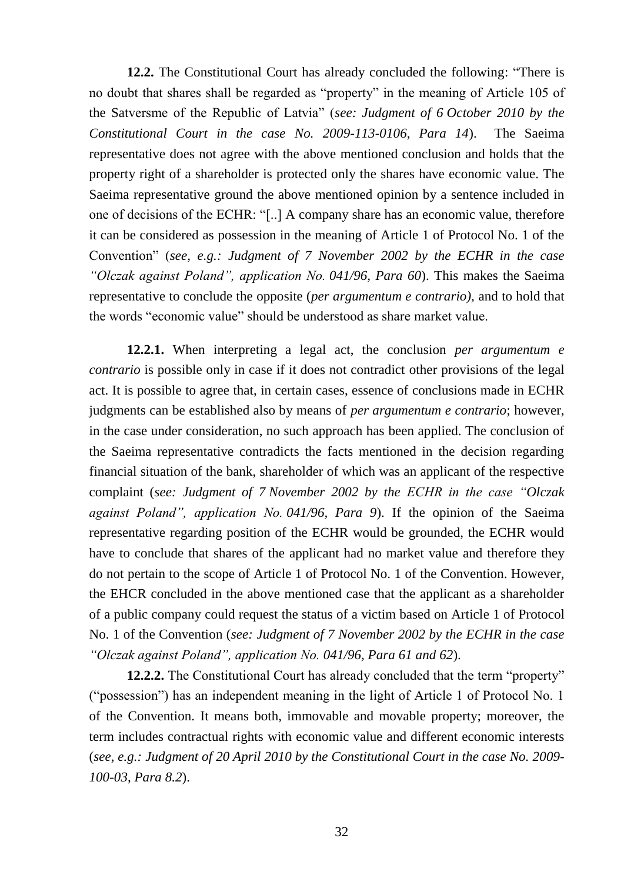**12.2.** The Constitutional Court has already concluded the following: "There is no doubt that shares shall be regarded as "property" in the meaning of Article 105 of the Satversme of the Republic of Latvia" (*see: Judgment of 6 October 2010 by the Constitutional Court in the case No. 2009-113-0106, Para 14*). The Saeima representative does not agree with the above mentioned conclusion and holds that the property right of a shareholder is protected only the shares have economic value. The Saeima representative ground the above mentioned opinion by a sentence included in one of decisions of the ECHR: "[..] A company share has an economic value, therefore it can be considered as possession in the meaning of Article 1 of Protocol No. 1 of the Convention" (*see, e.g.: Judgment of 7 November 2002 by the ECHR in the case "Olczak against Poland", application No. 041/96, Para 60*). This makes the Saeima representative to conclude the opposite (*per argumentum e contrario),* and to hold that the words "economic value" should be understood as share market value.

**12.2.1.** When interpreting a legal act, the conclusion *per argumentum e contrario* is possible only in case if it does not contradict other provisions of the legal act. It is possible to agree that, in certain cases, essence of conclusions made in ECHR judgments can be established also by means of *per argumentum e contrario*; however, in the case under consideration, no such approach has been applied. The conclusion of the Saeima representative contradicts the facts mentioned in the decision regarding financial situation of the bank, shareholder of which was an applicant of the respective complaint (*see: Judgment of 7 November 2002 by the ECHR in the case "Olczak against Poland", application No. 041/96, Para 9*). If the opinion of the Saeima representative regarding position of the ECHR would be grounded, the ECHR would have to conclude that shares of the applicant had no market value and therefore they do not pertain to the scope of Article 1 of Protocol No. 1 of the Convention. However, the EHCR concluded in the above mentioned case that the applicant as a shareholder of a public company could request the status of a victim based on Article 1 of Protocol No. 1 of the Convention (*see: Judgment of 7 November 2002 by the ECHR in the case "Olczak against Poland", application No. 041/96, Para 61 and 62*).

**12.2.2.** The Constitutional Court has already concluded that the term "property" ("possession") has an independent meaning in the light of Article 1 of Protocol No. 1 of the Convention. It means both, immovable and movable property; moreover, the term includes contractual rights with economic value and different economic interests (*see, e.g.: Judgment of 20 April 2010 by the Constitutional Court in the case No. 2009- 100-03, Para 8.2*).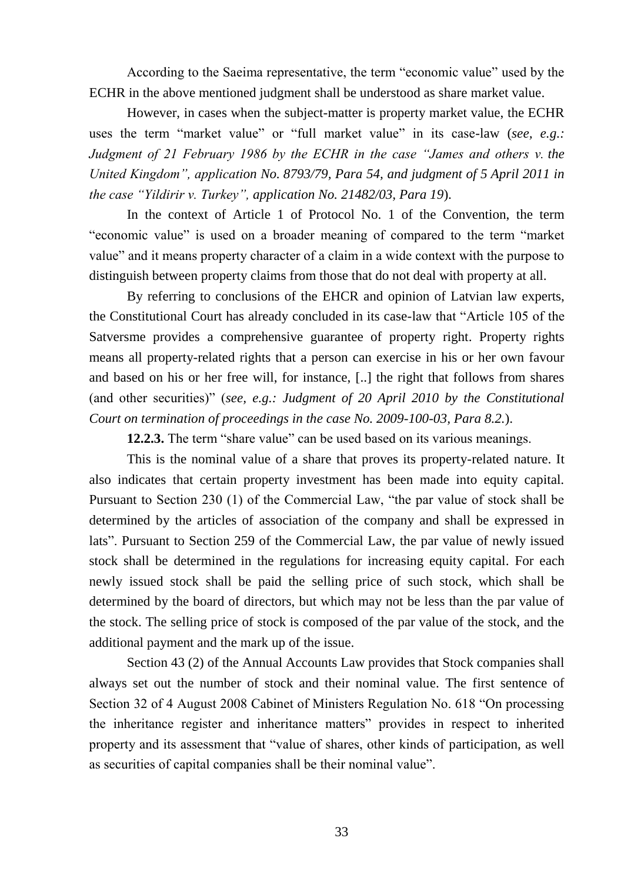According to the Saeima representative, the term "economic value" used by the ECHR in the above mentioned judgment shall be understood as share market value.

However, in cases when the subject-matter is property market value, the ECHR uses the term "market value" or "full market value" in its case-law (*see, e.g.: Judgment of 21 February 1986 by the ECHR in the case "James and others v. the United Kingdom", application No. 8793/79, Para 54, and judgment of 5 April 2011 in the case "Yildirir v. Turkey", application No. 21482/03, Para 19*).

In the context of Article 1 of Protocol No. 1 of the Convention, the term "economic value" is used on a broader meaning of compared to the term "market value" and it means property character of a claim in a wide context with the purpose to distinguish between property claims from those that do not deal with property at all.

By referring to conclusions of the EHCR and opinion of Latvian law experts, the Constitutional Court has already concluded in its case-law that "Article 105 of the Satversme provides a comprehensive guarantee of property right. Property rights means all property-related rights that a person can exercise in his or her own favour and based on his or her free will, for instance, [..] the right that follows from shares (and other securities)" (*see, e.g.: Judgment of 20 April 2010 by the Constitutional Court on termination of proceedings in the case No. 2009-100-03, Para 8.2.*).

**12.2.3.** The term "share value" can be used based on its various meanings.

This is the nominal value of a share that proves its property-related nature. It also indicates that certain property investment has been made into equity capital. Pursuant to Section 230 (1) of the Commercial Law, "the par value of stock shall be determined by the articles of association of the company and shall be expressed in lats". Pursuant to Section 259 of the Commercial Law, the par value of newly issued stock shall be determined in the regulations for increasing equity capital. For each newly issued stock shall be paid the selling price of such stock, which shall be determined by the board of directors, but which may not be less than the par value of the stock. The selling price of stock is composed of the par value of the stock, and the additional payment and the mark up of the issue.

Section 43 (2) of the Annual Accounts Law provides that Stock companies shall always set out the number of stock and their nominal value. The first sentence of Section 32 of 4 August 2008 Cabinet of Ministers Regulation No. 618 "On processing the inheritance register and inheritance matters" provides in respect to inherited property and its assessment that "value of shares, other kinds of participation, as well as securities of capital companies shall be their nominal value".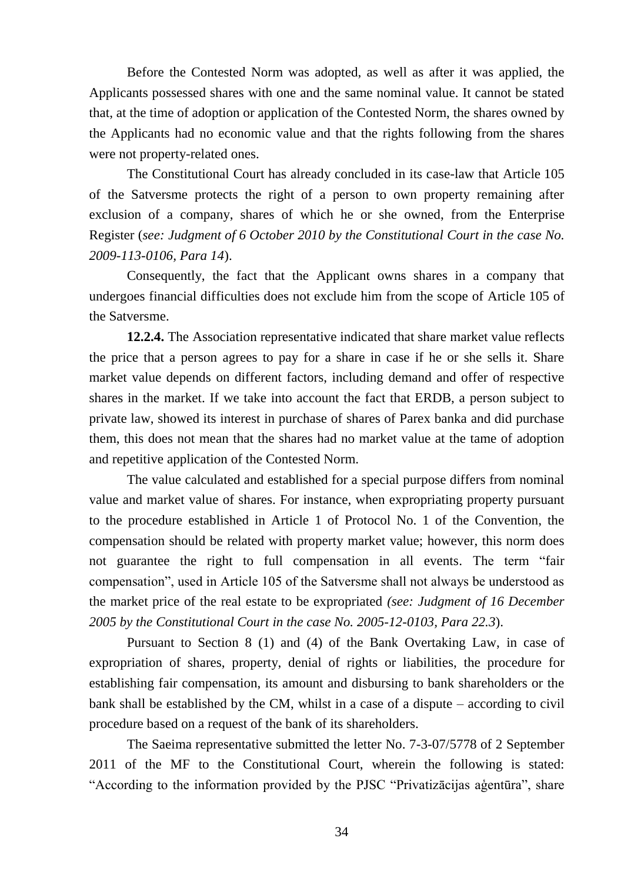Before the Contested Norm was adopted, as well as after it was applied, the Applicants possessed shares with one and the same nominal value. It cannot be stated that, at the time of adoption or application of the Contested Norm, the shares owned by the Applicants had no economic value and that the rights following from the shares were not property-related ones.

The Constitutional Court has already concluded in its case-law that Article 105 of the Satversme protects the right of a person to own property remaining after exclusion of a company, shares of which he or she owned, from the Enterprise Register (*see: Judgment of 6 October 2010 by the Constitutional Court in the case No. 2009-113-0106, Para 14*).

Consequently, the fact that the Applicant owns shares in a company that undergoes financial difficulties does not exclude him from the scope of Article 105 of the Satversme.

**12.2.4.** The Association representative indicated that share market value reflects the price that a person agrees to pay for a share in case if he or she sells it. Share market value depends on different factors, including demand and offer of respective shares in the market. If we take into account the fact that ERDB, a person subject to private law, showed its interest in purchase of shares of Parex banka and did purchase them, this does not mean that the shares had no market value at the tame of adoption and repetitive application of the Contested Norm.

The value calculated and established for a special purpose differs from nominal value and market value of shares. For instance, when expropriating property pursuant to the procedure established in Article 1 of Protocol No. 1 of the Convention, the compensation should be related with property market value; however, this norm does not guarantee the right to full compensation in all events. The term "fair compensation", used in Article 105 of the Satversme shall not always be understood as the market price of the real estate to be expropriated *(see: Judgment of 16 December 2005 by the Constitutional Court in the case No. 2005-12-0103, Para 22.3*).

Pursuant to Section 8 (1) and (4) of the Bank Overtaking Law, in case of expropriation of shares, property, denial of rights or liabilities, the procedure for establishing fair compensation, its amount and disbursing to bank shareholders or the bank shall be established by the CM, whilst in a case of a dispute – according to civil procedure based on a request of the bank of its shareholders.

The Saeima representative submitted the letter No. 7-3-07/5778 of 2 September 2011 of the MF to the Constitutional Court, wherein the following is stated: "According to the information provided by the PJSC "Privatizācijas aģentūra", share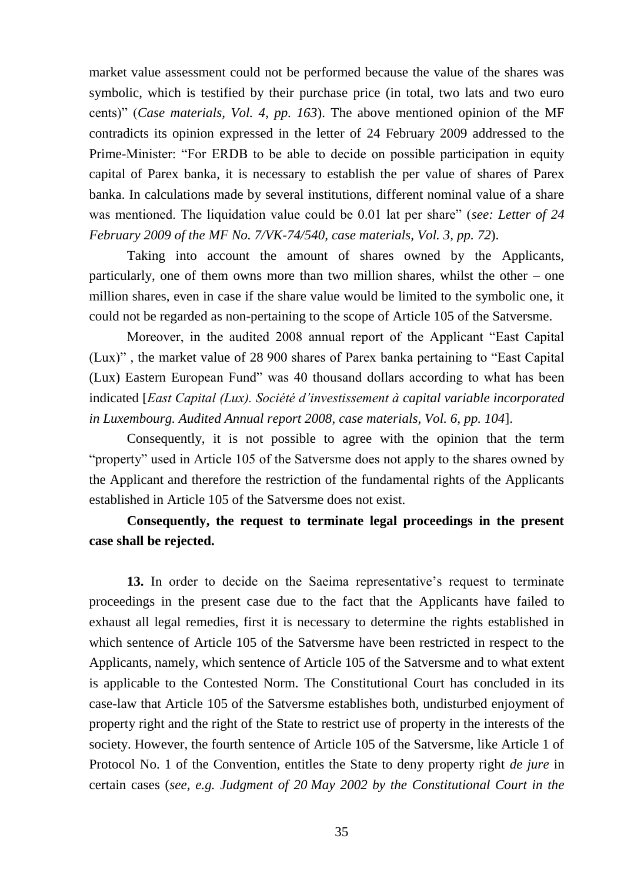market value assessment could not be performed because the value of the shares was symbolic, which is testified by their purchase price (in total, two lats and two euro cents)" (*Case materials, Vol. 4, pp. 163*). The above mentioned opinion of the MF contradicts its opinion expressed in the letter of 24 February 2009 addressed to the Prime-Minister: "For ERDB to be able to decide on possible participation in equity capital of Parex banka, it is necessary to establish the per value of shares of Parex banka. In calculations made by several institutions, different nominal value of a share was mentioned. The liquidation value could be 0.01 lat per share" (*see: Letter of 24 February 2009 of the MF No. 7/VK-74/540, case materials, Vol. 3, pp. 72*).

Taking into account the amount of shares owned by the Applicants, particularly, one of them owns more than two million shares, whilst the other – one million shares, even in case if the share value would be limited to the symbolic one, it could not be regarded as non-pertaining to the scope of Article 105 of the Satversme.

Moreover, in the audited 2008 annual report of the Applicant "East Capital (Lux)" , the market value of 28 900 shares of Parex banka pertaining to "East Capital (Lux) Eastern European Fund" was 40 thousand dollars according to what has been indicated [*East Capital (Lux). Société d'investissement à capital variable incorporated in Luxembourg. Audited Annual report 2008, case materials, Vol. 6, pp. 104*].

Consequently, it is not possible to agree with the opinion that the term "property" used in Article 105 of the Satversme does not apply to the shares owned by the Applicant and therefore the restriction of the fundamental rights of the Applicants established in Article 105 of the Satversme does not exist.

#### **Consequently, the request to terminate legal proceedings in the present case shall be rejected.**

**13.** In order to decide on the Saeima representative's request to terminate proceedings in the present case due to the fact that the Applicants have failed to exhaust all legal remedies, first it is necessary to determine the rights established in which sentence of Article 105 of the Satversme have been restricted in respect to the Applicants, namely, which sentence of Article 105 of the Satversme and to what extent is applicable to the Contested Norm. The Constitutional Court has concluded in its case-law that Article 105 of the Satversme establishes both, undisturbed enjoyment of property right and the right of the State to restrict use of property in the interests of the society. However, the fourth sentence of Article 105 of the Satversme, like Article 1 of Protocol No. 1 of the Convention, entitles the State to deny property right *de jure* in certain cases (*see, e.g. Judgment of 20 May 2002 by the Constitutional Court in the*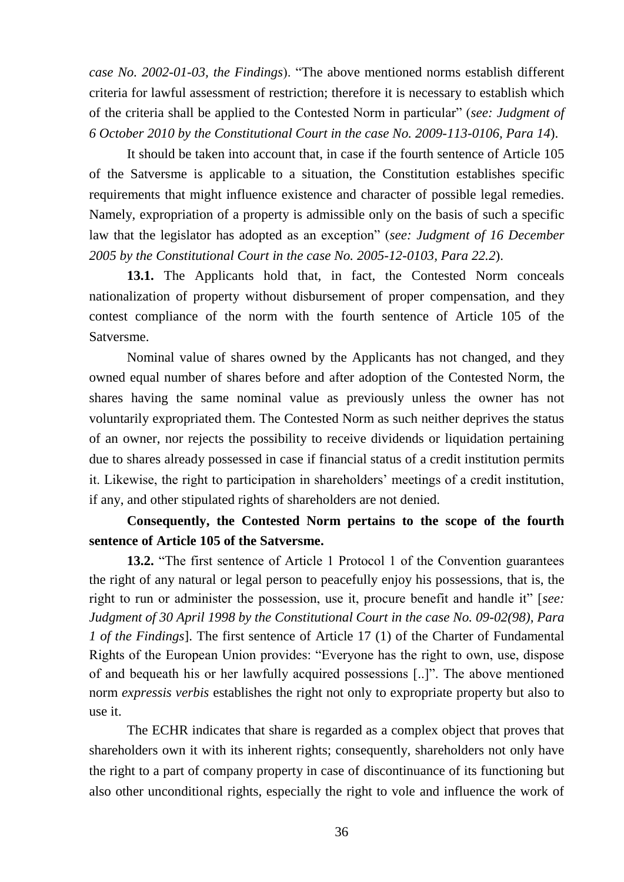*case No. 2002-01-03, the Findings*). "The above mentioned norms establish different criteria for lawful assessment of restriction; therefore it is necessary to establish which of the criteria shall be applied to the Contested Norm in particular" (*see: Judgment of 6 October 2010 by the Constitutional Court in the case No. 2009-113-0106, Para 14*).

It should be taken into account that, in case if the fourth sentence of Article 105 of the Satversme is applicable to a situation, the Constitution establishes specific requirements that might influence existence and character of possible legal remedies. Namely, expropriation of a property is admissible only on the basis of such a specific law that the legislator has adopted as an exception" (*see: Judgment of 16 December 2005 by the Constitutional Court in the case No. 2005-12-0103, Para 22.2*).

**13.1.** The Applicants hold that, in fact, the Contested Norm conceals nationalization of property without disbursement of proper compensation, and they contest compliance of the norm with the fourth sentence of Article 105 of the Satversme.

Nominal value of shares owned by the Applicants has not changed, and they owned equal number of shares before and after adoption of the Contested Norm, the shares having the same nominal value as previously unless the owner has not voluntarily expropriated them. The Contested Norm as such neither deprives the status of an owner, nor rejects the possibility to receive dividends or liquidation pertaining due to shares already possessed in case if financial status of a credit institution permits it. Likewise, the right to participation in shareholders' meetings of a credit institution, if any, and other stipulated rights of shareholders are not denied.

#### **Consequently, the Contested Norm pertains to the scope of the fourth sentence of Article 105 of the Satversme.**

**13.2.** "The first sentence of Article 1 Protocol 1 of the Convention guarantees the right of any natural or legal person to peacefully enjoy his possessions, that is, the right to run or administer the possession, use it, procure benefit and handle it" [*see: Judgment of 30 April 1998 by the Constitutional Court in the case No. 09-02(98), Para 1 of the Findings*]. The first sentence of Article 17 (1) of the Charter of Fundamental Rights of the European Union provides: "Everyone has the right to own, use, dispose of and bequeath his or her lawfully acquired possessions [..]". The above mentioned norm *expressis verbis* establishes the right not only to expropriate property but also to use it.

The ECHR indicates that share is regarded as a complex object that proves that shareholders own it with its inherent rights; consequently, shareholders not only have the right to a part of company property in case of discontinuance of its functioning but also other unconditional rights, especially the right to vole and influence the work of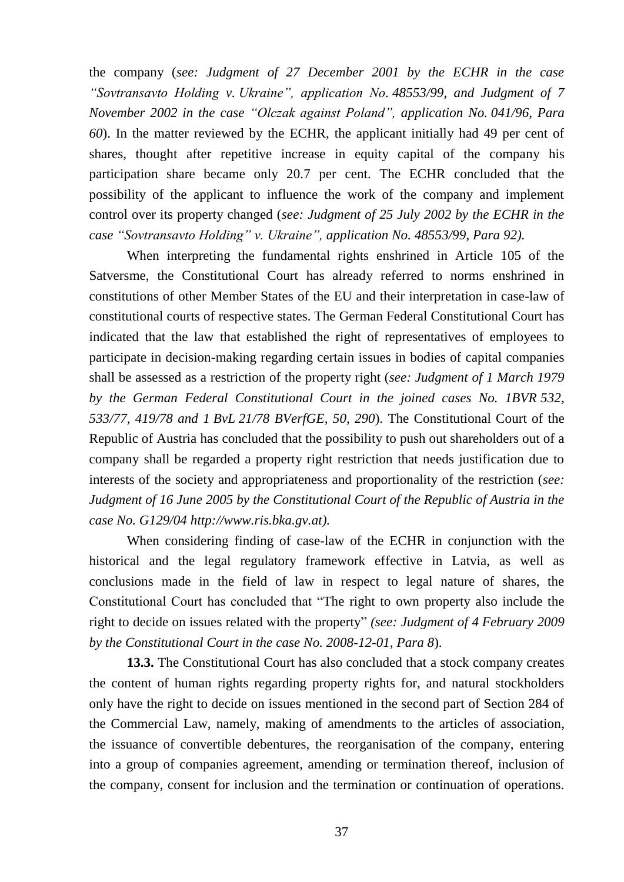the company (*see: Judgment of 27 December 2001 by the ECHR in the case "Sovtransavto Holding v. Ukraine", application No. 48553/99, and Judgment of 7 November 2002 in the case "Olczak against Poland", application No. 041/96, Para 60*). In the matter reviewed by the ECHR, the applicant initially had 49 per cent of shares, thought after repetitive increase in equity capital of the company his participation share became only 20.7 per cent. The ECHR concluded that the possibility of the applicant to influence the work of the company and implement control over its property changed (*see: Judgment of 25 July 2002 by the ECHR in the case "Sovtransavto Holding" v. Ukraine", application No. 48553/99, Para 92).* 

When interpreting the fundamental rights enshrined in Article 105 of the Satversme, the Constitutional Court has already referred to norms enshrined in constitutions of other Member States of the EU and their interpretation in case-law of constitutional courts of respective states. The German Federal Constitutional Court has indicated that the law that established the right of representatives of employees to participate in decision-making regarding certain issues in bodies of capital companies shall be assessed as a restriction of the property right (*see: Judgment of 1 March 1979 by the German Federal Constitutional Court in the joined cases No. 1BVR 532, 533/77, 419/78 and 1 BvL 21/78 BVerfGE, 50, 290*). The Constitutional Court of the Republic of Austria has concluded that the possibility to push out shareholders out of a company shall be regarded a property right restriction that needs justification due to interests of the society and appropriateness and proportionality of the restriction (*see: Judgment of 16 June 2005 by the Constitutional Court of the Republic of Austria in the case No. G129/04 [http://www.ris.bka.gv.at\)](http://www.ris.bka.gv.at/).*

When considering finding of case-law of the ECHR in conjunction with the historical and the legal regulatory framework effective in Latvia, as well as conclusions made in the field of law in respect to legal nature of shares, the Constitutional Court has concluded that "The right to own property also include the right to decide on issues related with the property" *(see: Judgment of 4 February 2009 by the Constitutional Court in the case No. 2008-12-01, Para 8*).

**13.3.** The Constitutional Court has also concluded that a stock company creates the content of human rights regarding property rights for, and natural stockholders only have the right to decide on issues mentioned in the second part of Section 284 of the Commercial Law, namely, making of amendments to the articles of association, the issuance of convertible debentures, the reorganisation of the company, entering into a group of companies agreement, amending or termination thereof, inclusion of the company, consent for inclusion and the termination or continuation of operations.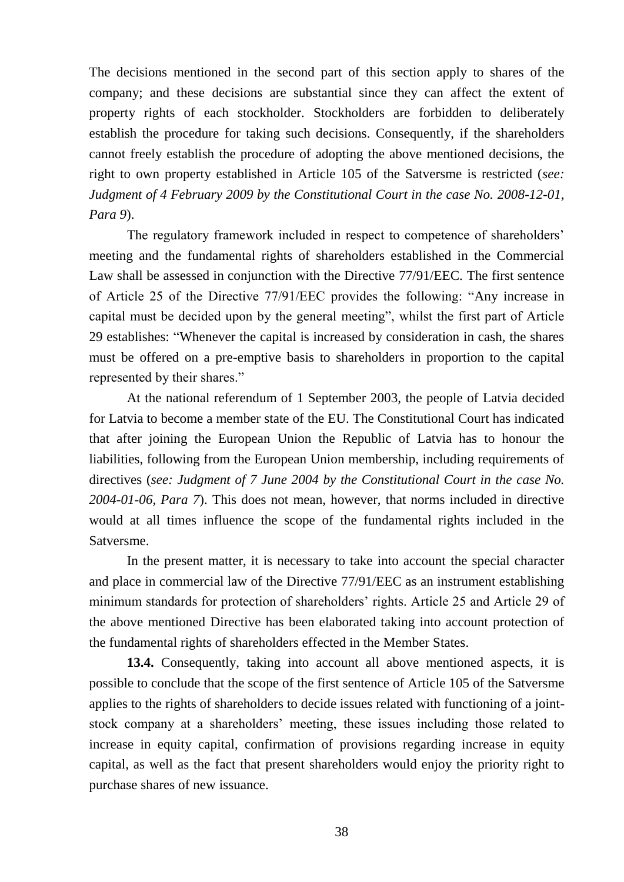The decisions mentioned in the second part of this section apply to shares of the company; and these decisions are substantial since they can affect the extent of property rights of each stockholder. Stockholders are forbidden to deliberately establish the procedure for taking such decisions. Consequently, if the shareholders cannot freely establish the procedure of adopting the above mentioned decisions, the right to own property established in Article 105 of the Satversme is restricted (*see: Judgment of 4 February 2009 by the Constitutional Court in the case No. 2008-12-01, Para 9*).

The regulatory framework included in respect to competence of shareholders' meeting and the fundamental rights of shareholders established in the Commercial Law shall be assessed in conjunction with the Directive 77/91/EEC. The first sentence of Article 25 of the Directive 77/91/EEC provides the following: "Any increase in capital must be decided upon by the general meeting", whilst the first part of Article 29 establishes: "Whenever the capital is increased by consideration in cash, the shares must be offered on a pre-emptive basis to shareholders in proportion to the capital represented by their shares."

At the national referendum of 1 September 2003, the people of Latvia decided for Latvia to become a member state of the EU. The Constitutional Court has indicated that after joining the European Union the Republic of Latvia has to honour the liabilities, following from the European Union membership, including requirements of directives (*see: Judgment of 7 June 2004 by the Constitutional Court in the case No. 2004-01-06, Para 7*). This does not mean, however, that norms included in directive would at all times influence the scope of the fundamental rights included in the Satversme.

In the present matter, it is necessary to take into account the special character and place in commercial law of the Directive 77/91/EEC as an instrument establishing minimum standards for protection of shareholders' rights. Article 25 and Article 29 of the above mentioned Directive has been elaborated taking into account protection of the fundamental rights of shareholders effected in the Member States.

**13.4.** Consequently, taking into account all above mentioned aspects, it is possible to conclude that the scope of the first sentence of Article 105 of the Satversme applies to the rights of shareholders to decide issues related with functioning of a jointstock company at a shareholders' meeting, these issues including those related to increase in equity capital, confirmation of provisions regarding increase in equity capital, as well as the fact that present shareholders would enjoy the priority right to purchase shares of new issuance.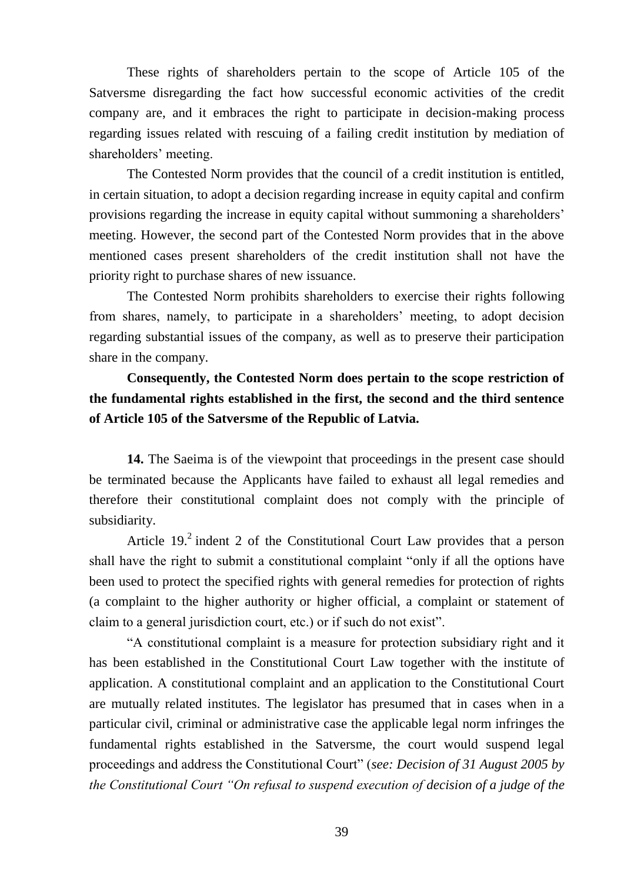These rights of shareholders pertain to the scope of Article 105 of the Satversme disregarding the fact how successful economic activities of the credit company are, and it embraces the right to participate in decision-making process regarding issues related with rescuing of a failing credit institution by mediation of shareholders' meeting.

The Contested Norm provides that the council of a credit institution is entitled, in certain situation, to adopt a decision regarding increase in equity capital and confirm provisions regarding the increase in equity capital without summoning a shareholders' meeting. However, the second part of the Contested Norm provides that in the above mentioned cases present shareholders of the credit institution shall not have the priority right to purchase shares of new issuance.

The Contested Norm prohibits shareholders to exercise their rights following from shares, namely, to participate in a shareholders' meeting, to adopt decision regarding substantial issues of the company, as well as to preserve their participation share in the company.

## **Consequently, the Contested Norm does pertain to the scope restriction of the fundamental rights established in the first, the second and the third sentence of Article 105 of the Satversme of the Republic of Latvia.**

**14.** The Saeima is of the viewpoint that proceedings in the present case should be terminated because the Applicants have failed to exhaust all legal remedies and therefore their constitutional complaint does not comply with the principle of subsidiarity.

Article 19.<sup>2</sup> indent 2 of the Constitutional Court Law provides that a person shall have the right to submit a constitutional complaint "only if all the options have been used to protect the specified rights with general remedies for protection of rights (a complaint to the higher authority or higher official, a complaint or statement of claim to a general jurisdiction court, etc.) or if such do not exist".

"A constitutional complaint is a measure for protection subsidiary right and it has been established in the Constitutional Court Law together with the institute of application. A constitutional complaint and an application to the Constitutional Court are mutually related institutes. The legislator has presumed that in cases when in a particular civil, criminal or administrative case the applicable legal norm infringes the fundamental rights established in the Satversme, the court would suspend legal proceedings and address the Constitutional Court" (*see: Decision of 31 August 2005 by the Constitutional Court "On refusal to suspend execution of decision of a judge of the*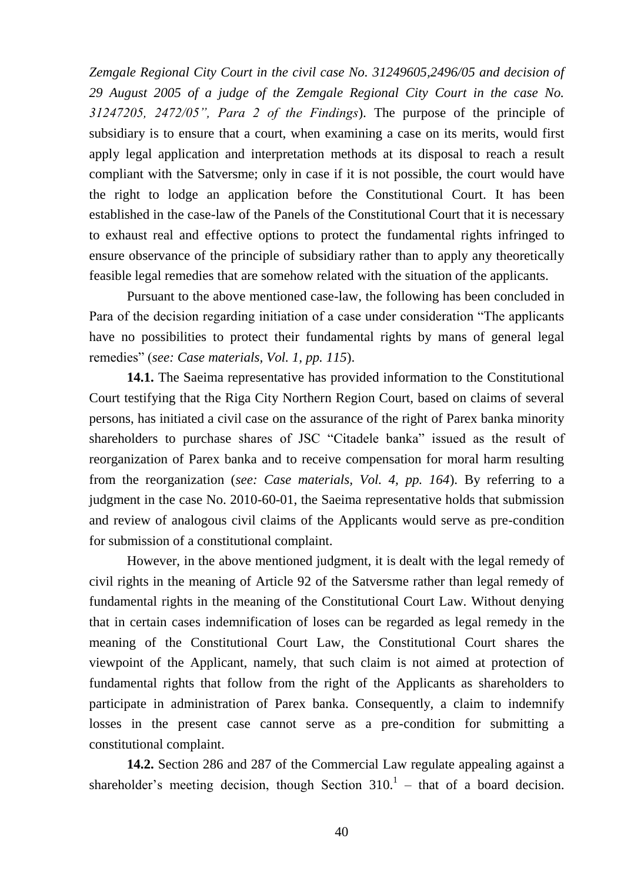*Zemgale Regional City Court in the civil case No. 31249605,2496/05 and decision of 29 August 2005 of a judge of the Zemgale Regional City Court in the case No. 31247205, 2472/05", Para 2 of the Findings*). The purpose of the principle of subsidiary is to ensure that a court, when examining a case on its merits, would first apply legal application and interpretation methods at its disposal to reach a result compliant with the Satversme; only in case if it is not possible, the court would have the right to lodge an application before the Constitutional Court. It has been established in the case-law of the Panels of the Constitutional Court that it is necessary to exhaust real and effective options to protect the fundamental rights infringed to ensure observance of the principle of subsidiary rather than to apply any theoretically feasible legal remedies that are somehow related with the situation of the applicants.

Pursuant to the above mentioned case-law, the following has been concluded in Para of the decision regarding initiation of a case under consideration "The applicants have no possibilities to protect their fundamental rights by mans of general legal remedies" (*see: Case materials, Vol. 1, pp. 115*).

**14.1.** The Saeima representative has provided information to the Constitutional Court testifying that the Riga City Northern Region Court, based on claims of several persons, has initiated a civil case on the assurance of the right of Parex banka minority shareholders to purchase shares of JSC "Citadele banka" issued as the result of reorganization of Parex banka and to receive compensation for moral harm resulting from the reorganization (*see: Case materials, Vol. 4, pp. 164*). By referring to a judgment in the case No. 2010-60-01, the Saeima representative holds that submission and review of analogous civil claims of the Applicants would serve as pre-condition for submission of a constitutional complaint.

However, in the above mentioned judgment, it is dealt with the legal remedy of civil rights in the meaning of Article 92 of the Satversme rather than legal remedy of fundamental rights in the meaning of the Constitutional Court Law. Without denying that in certain cases indemnification of loses can be regarded as legal remedy in the meaning of the Constitutional Court Law, the Constitutional Court shares the viewpoint of the Applicant, namely, that such claim is not aimed at protection of fundamental rights that follow from the right of the Applicants as shareholders to participate in administration of Parex banka. Consequently, a claim to indemnify losses in the present case cannot serve as a pre-condition for submitting a constitutional complaint.

**14.2.** Section 286 and 287 of the Commercial Law regulate appealing against a shareholder's meeting decision, though Section  $310<sup>1</sup>$  – that of a board decision.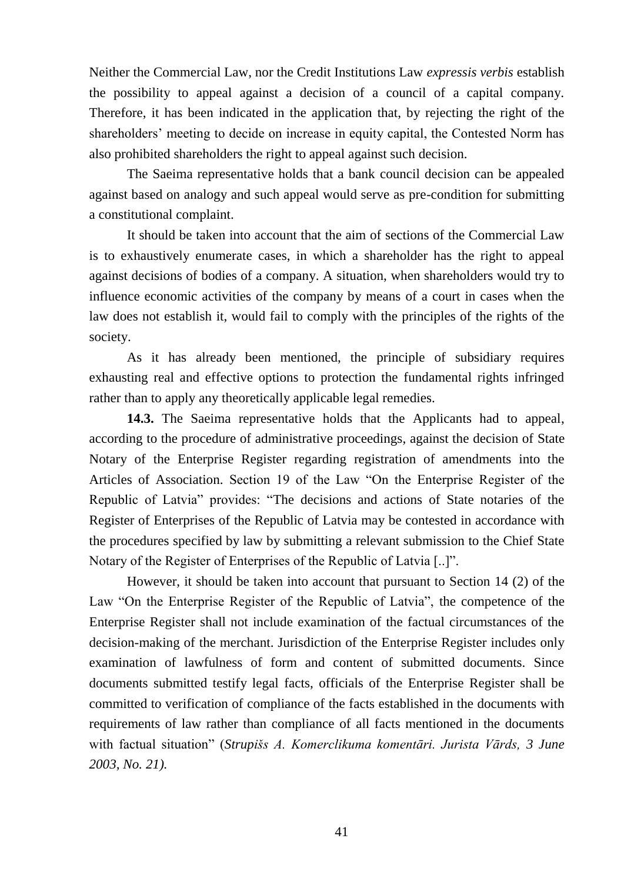Neither the Commercial Law, nor the Credit Institutions Law *expressis verbis* establish the possibility to appeal against a decision of a council of a capital company. Therefore, it has been indicated in the application that, by rejecting the right of the shareholders' meeting to decide on increase in equity capital, the Contested Norm has also prohibited shareholders the right to appeal against such decision.

The Saeima representative holds that a bank council decision can be appealed against based on analogy and such appeal would serve as pre-condition for submitting a constitutional complaint.

It should be taken into account that the aim of sections of the Commercial Law is to exhaustively enumerate cases, in which a shareholder has the right to appeal against decisions of bodies of a company. A situation, when shareholders would try to influence economic activities of the company by means of a court in cases when the law does not establish it, would fail to comply with the principles of the rights of the society.

As it has already been mentioned, the principle of subsidiary requires exhausting real and effective options to protection the fundamental rights infringed rather than to apply any theoretically applicable legal remedies.

**14.3.** The Saeima representative holds that the Applicants had to appeal, according to the procedure of administrative proceedings, against the decision of State Notary of the Enterprise Register regarding registration of amendments into the Articles of Association. Section 19 of the Law "On the Enterprise Register of the Republic of Latvia" provides: "The decisions and actions of State notaries of the Register of Enterprises of the Republic of Latvia may be contested in accordance with the procedures specified by law by submitting a relevant submission to the Chief State Notary of the Register of Enterprises of the Republic of Latvia [..]".

However, it should be taken into account that pursuant to Section 14 (2) of the Law "On the Enterprise Register of the Republic of Latvia", the competence of the Enterprise Register shall not include examination of the factual circumstances of the decision-making of the merchant. Jurisdiction of the Enterprise Register includes only examination of lawfulness of form and content of submitted documents. Since documents submitted testify legal facts, officials of the Enterprise Register shall be committed to verification of compliance of the facts established in the documents with requirements of law rather than compliance of all facts mentioned in the documents with factual situation" (*Strupišs A. Komerclikuma komentāri. Jurista Vārds, 3 June 2003, No. 21).*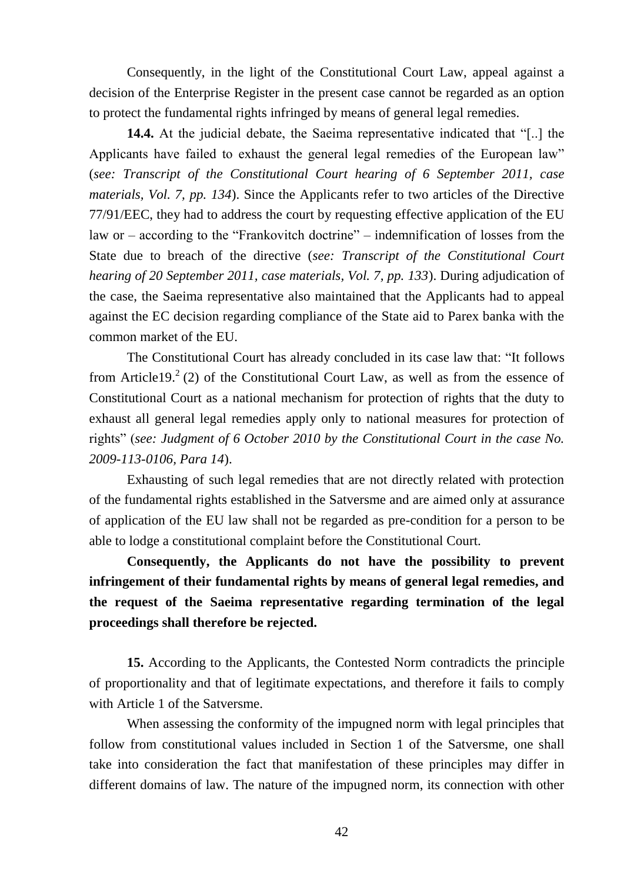Consequently, in the light of the Constitutional Court Law, appeal against a decision of the Enterprise Register in the present case cannot be regarded as an option to protect the fundamental rights infringed by means of general legal remedies.

**14.4.** At the judicial debate, the Saeima representative indicated that "[..] the Applicants have failed to exhaust the general legal remedies of the European law" (*see: Transcript of the Constitutional Court hearing of 6 September 2011, case materials, Vol. 7, pp. 134*). Since the Applicants refer to two articles of the Directive 77/91/EEC, they had to address the court by requesting effective application of the EU law or – according to the "Frankovitch doctrine" – indemnification of losses from the State due to breach of the directive (*see: Transcript of the Constitutional Court hearing of 20 September 2011, case materials, Vol. 7, pp. 133*). During adjudication of the case, the Saeima representative also maintained that the Applicants had to appeal against the EC decision regarding compliance of the State aid to Parex banka with the common market of the EU.

The Constitutional Court has already concluded in its case law that: "It follows from Article19.<sup>2</sup> (2) of the Constitutional Court Law, as well as from the essence of Constitutional Court as a national mechanism for protection of rights that the duty to exhaust all general legal remedies apply only to national measures for protection of rights" (*see: Judgment of 6 October 2010 by the Constitutional Court in the case No. 2009-113-0106, Para 14*).

Exhausting of such legal remedies that are not directly related with protection of the fundamental rights established in the Satversme and are aimed only at assurance of application of the EU law shall not be regarded as pre-condition for a person to be able to lodge a constitutional complaint before the Constitutional Court.

**Consequently, the Applicants do not have the possibility to prevent infringement of their fundamental rights by means of general legal remedies, and the request of the Saeima representative regarding termination of the legal proceedings shall therefore be rejected.** 

**15.** According to the Applicants, the Contested Norm contradicts the principle of proportionality and that of legitimate expectations, and therefore it fails to comply with Article 1 of the Satversme.

When assessing the conformity of the impugned norm with legal principles that follow from constitutional values included in Section 1 of the Satversme, one shall take into consideration the fact that manifestation of these principles may differ in different domains of law. The nature of the impugned norm, its connection with other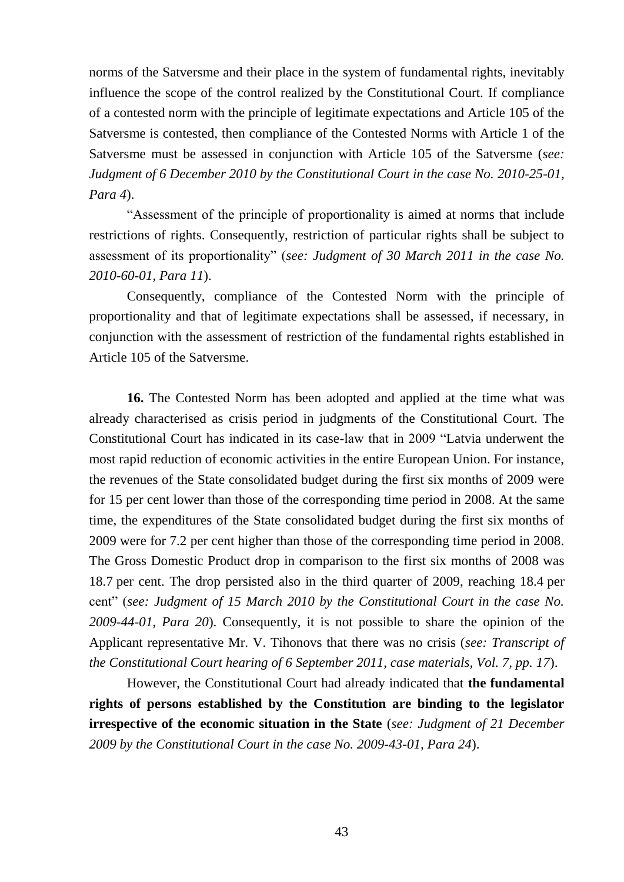norms of the Satversme and their place in the system of fundamental rights, inevitably influence the scope of the control realized by the Constitutional Court. If compliance of a contested norm with the principle of legitimate expectations and Article 105 of the Satversme is contested, then compliance of the Contested Norms with Article 1 of the Satversme must be assessed in conjunction with Article 105 of the Satversme (*see: Judgment of 6 December 2010 by the Constitutional Court in the case No. 2010-25-01, Para 4*).

"Assessment of the principle of proportionality is aimed at norms that include restrictions of rights. Consequently, restriction of particular rights shall be subject to assessment of its proportionality" (*see: Judgment of 30 March 2011 in the case No. 2010-60-01, Para 11*).

Consequently, compliance of the Contested Norm with the principle of proportionality and that of legitimate expectations shall be assessed, if necessary, in conjunction with the assessment of restriction of the fundamental rights established in Article 105 of the Satversme.

**16.** The Contested Norm has been adopted and applied at the time what was already characterised as crisis period in judgments of the Constitutional Court. The Constitutional Court has indicated in its case-law that in 2009 "Latvia underwent the most rapid reduction of economic activities in the entire European Union. For instance, the revenues of the State consolidated budget during the first six months of 2009 were for 15 per cent lower than those of the corresponding time period in 2008. At the same time, the expenditures of the State consolidated budget during the first six months of 2009 were for 7.2 per cent higher than those of the corresponding time period in 2008. The Gross Domestic Product drop in comparison to the first six months of 2008 was 18.7 per cent. The drop persisted also in the third quarter of 2009, reaching 18.4 per cent" (*see: Judgment of 15 March 2010 by the Constitutional Court in the case No. 2009-44-01, Para 20*). Consequently, it is not possible to share the opinion of the Applicant representative Mr. V. Tihonovs that there was no crisis (*see: Transcript of the Constitutional Court hearing of 6 September 2011, case materials, Vol. 7, pp. 17*).

However, the Constitutional Court had already indicated that **the fundamental rights of persons established by the Constitution are binding to the legislator irrespective of the economic situation in the State** (*see: Judgment of 21 December 2009 by the Constitutional Court in the case No. 2009-43-01, Para 24*).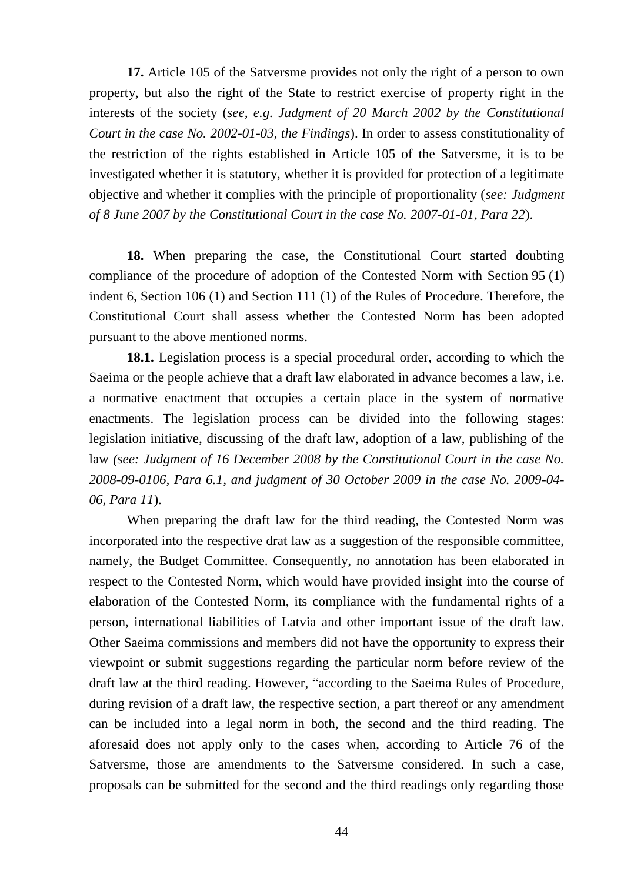**17.** Article 105 of the Satversme provides not only the right of a person to own property, but also the right of the State to restrict exercise of property right in the interests of the society (*see, e.g. Judgment of 20 March 2002 by the Constitutional Court in the case No. 2002-01-03, the Findings*). In order to assess constitutionality of the restriction of the rights established in Article 105 of the Satversme, it is to be investigated whether it is statutory, whether it is provided for protection of a legitimate objective and whether it complies with the principle of proportionality (*see: Judgment of 8 June 2007 by the Constitutional Court in the case No. 2007-01-01, Para 22*).

**18.** When preparing the case, the Constitutional Court started doubting compliance of the procedure of adoption of the Contested Norm with Section 95 (1) indent 6, Section 106 (1) and Section 111 (1) of the Rules of Procedure. Therefore, the Constitutional Court shall assess whether the Contested Norm has been adopted pursuant to the above mentioned norms.

**18.1.** Legislation process is a special procedural order, according to which the Saeima or the people achieve that a draft law elaborated in advance becomes a law, i.e. a normative enactment that occupies a certain place in the system of normative enactments. The legislation process can be divided into the following stages: legislation initiative, discussing of the draft law, adoption of a law, publishing of the law *(see: Judgment of 16 December 2008 by the Constitutional Court in the case No. 2008-09-0106, Para 6.1, and judgment of 30 October 2009 in the case No. 2009-04- 06, Para 11*).

When preparing the draft law for the third reading, the Contested Norm was incorporated into the respective drat law as a suggestion of the responsible committee, namely, the Budget Committee. Consequently, no annotation has been elaborated in respect to the Contested Norm, which would have provided insight into the course of elaboration of the Contested Norm, its compliance with the fundamental rights of a person, international liabilities of Latvia and other important issue of the draft law. Other Saeima commissions and members did not have the opportunity to express their viewpoint or submit suggestions regarding the particular norm before review of the draft law at the third reading. However, "according to the Saeima Rules of Procedure, during revision of a draft law, the respective section, a part thereof or any amendment can be included into a legal norm in both, the second and the third reading. The aforesaid does not apply only to the cases when, according to Article 76 of the Satversme, those are amendments to the Satversme considered. In such a case, proposals can be submitted for the second and the third readings only regarding those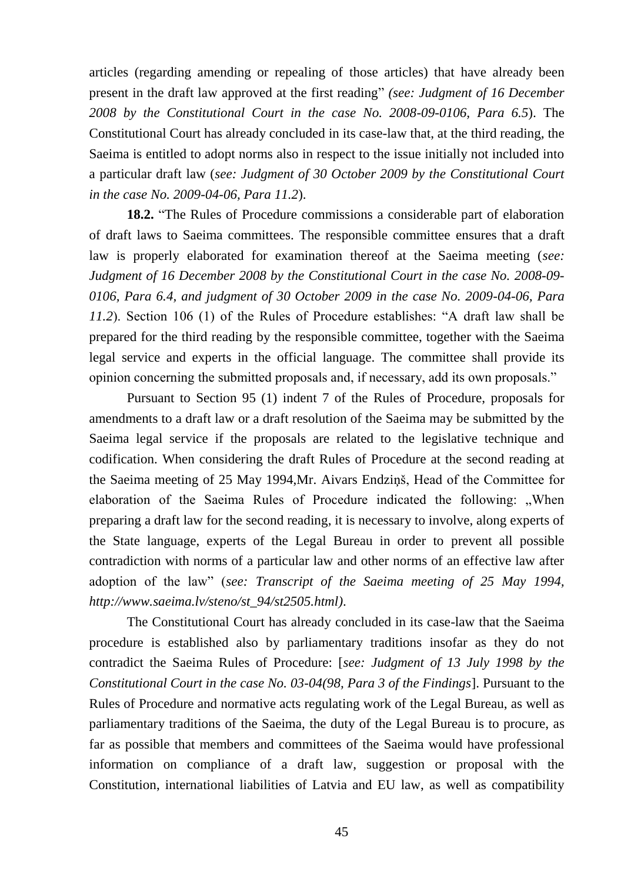articles (regarding amending or repealing of those articles) that have already been present in the draft law approved at the first reading" *(see: Judgment of 16 December 2008 by the Constitutional Court in the case No. 2008-09-0106, Para 6.5*). The Constitutional Court has already concluded in its case-law that, at the third reading, the Saeima is entitled to adopt norms also in respect to the issue initially not included into a particular draft law (*see: Judgment of 30 October 2009 by the Constitutional Court in the case No. 2009-04-06, Para 11.2*).

**18.2.** "The Rules of Procedure commissions a considerable part of elaboration of draft laws to Saeima committees. The responsible committee ensures that a draft law is properly elaborated for examination thereof at the Saeima meeting (*see: Judgment of 16 December 2008 by the Constitutional Court in the case No. 2008-09- 0106, Para 6.4, and judgment of 30 October 2009 in the case No. 2009-04-06, Para 11.2*). Section 106 (1) of the Rules of Procedure establishes: "A draft law shall be prepared for the third reading by the responsible committee, together with the Saeima legal service and experts in the official language. The committee shall provide its opinion concerning the submitted proposals and, if necessary, add its own proposals."

Pursuant to Section 95 (1) indent 7 of the Rules of Procedure, proposals for amendments to a draft law or a draft resolution of the Saeima may be submitted by the Saeima legal service if the proposals are related to the legislative technique and codification. When considering the draft Rules of Procedure at the second reading at the Saeima meeting of 25 May 1994,Mr. Aivars Endziņš, Head of the Committee for elaboration of the Saeima Rules of Procedure indicated the following: "When preparing a draft law for the second reading, it is necessary to involve, along experts of the State language, experts of the Legal Bureau in order to prevent all possible contradiction with norms of a particular law and other norms of an effective law after adoption of the law" (*see: Transcript of the Saeima meeting of 25 May 1994, http://www.saeima.lv/steno/st\_94/st2505.html)*.

The Constitutional Court has already concluded in its case-law that the Saeima procedure is established also by parliamentary traditions insofar as they do not contradict the Saeima Rules of Procedure: [*see: Judgment of 13 July 1998 by the Constitutional Court in the case No. 03-04(98, Para 3 of the Findings*]. Pursuant to the Rules of Procedure and normative acts regulating work of the Legal Bureau, as well as parliamentary traditions of the Saeima, the duty of the Legal Bureau is to procure, as far as possible that members and committees of the Saeima would have professional information on compliance of a draft law, suggestion or proposal with the Constitution, international liabilities of Latvia and EU law, as well as compatibility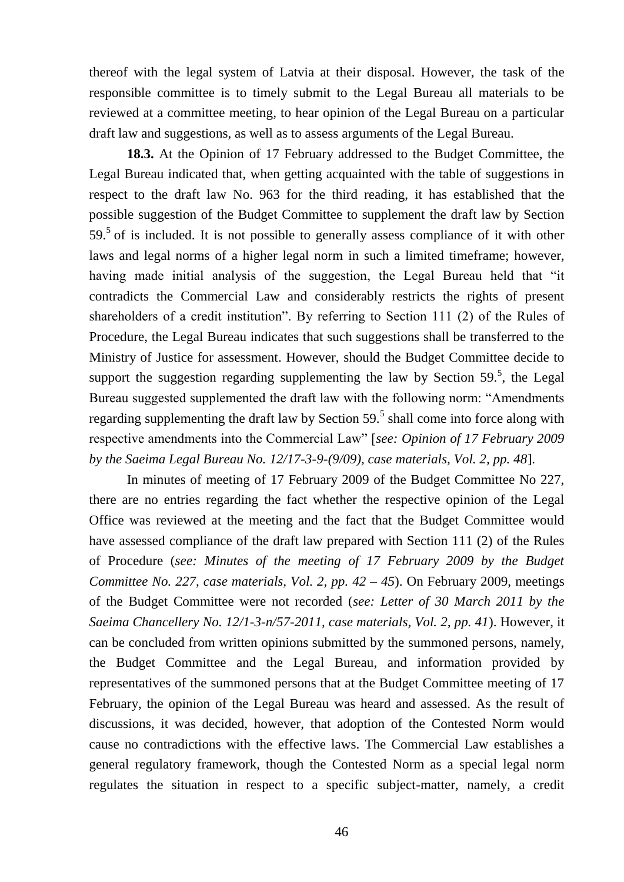thereof with the legal system of Latvia at their disposal. However, the task of the responsible committee is to timely submit to the Legal Bureau all materials to be reviewed at a committee meeting, to hear opinion of the Legal Bureau on a particular draft law and suggestions, as well as to assess arguments of the Legal Bureau.

**18.3.** At the Opinion of 17 February addressed to the Budget Committee, the Legal Bureau indicated that, when getting acquainted with the table of suggestions in respect to the draft law No. 963 for the third reading, it has established that the possible suggestion of the Budget Committee to supplement the draft law by Section  $59<sup>5</sup>$  of is included. It is not possible to generally assess compliance of it with other laws and legal norms of a higher legal norm in such a limited timeframe; however, having made initial analysis of the suggestion, the Legal Bureau held that "it contradicts the Commercial Law and considerably restricts the rights of present shareholders of a credit institution". By referring to Section 111 (2) of the Rules of Procedure, the Legal Bureau indicates that such suggestions shall be transferred to the Ministry of Justice for assessment. However, should the Budget Committee decide to support the suggestion regarding supplementing the law by Section  $59<sup>5</sup>$ , the Legal Bureau suggested supplemented the draft law with the following norm: "Amendments regarding supplementing the draft law by Section  $59<sup>5</sup>$  shall come into force along with respective amendments into the Commercial Law" [*see: Opinion of 17 February 2009 by the Saeima Legal Bureau No. 12/17-3-9-(9/09), case materials, Vol. 2, pp. 48*].

In minutes of meeting of 17 February 2009 of the Budget Committee No 227, there are no entries regarding the fact whether the respective opinion of the Legal Office was reviewed at the meeting and the fact that the Budget Committee would have assessed compliance of the draft law prepared with Section 111 (2) of the Rules of Procedure (*see: Minutes of the meeting of 17 February 2009 by the Budget Committee No. 227, case materials, Vol. 2, pp. 42 – 45*). On February 2009, meetings of the Budget Committee were not recorded (*see: Letter of 30 March 2011 by the Saeima Chancellery No. 12/1-3-n/57-2011, case materials, Vol. 2, pp. 41*). However, it can be concluded from written opinions submitted by the summoned persons, namely, the Budget Committee and the Legal Bureau, and information provided by representatives of the summoned persons that at the Budget Committee meeting of 17 February, the opinion of the Legal Bureau was heard and assessed. As the result of discussions, it was decided, however, that adoption of the Contested Norm would cause no contradictions with the effective laws. The Commercial Law establishes a general regulatory framework, though the Contested Norm as a special legal norm regulates the situation in respect to a specific subject-matter, namely, a credit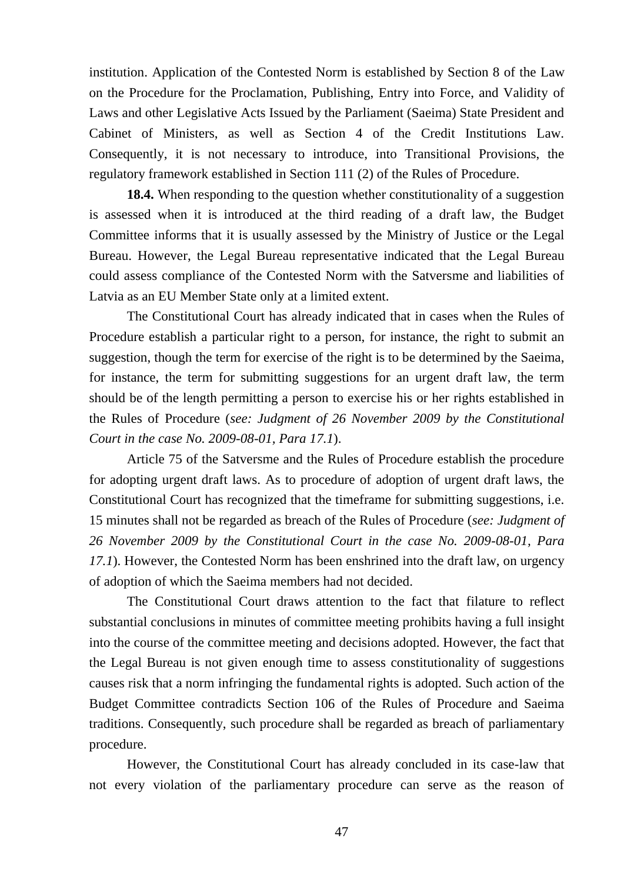institution. Application of the Contested Norm is established by Section 8 of the Law on the Procedure for the Proclamation, Publishing, Entry into Force, and Validity of Laws and other Legislative Acts Issued by the Parliament (Saeima) State President and Cabinet of Ministers, as well as Section 4 of the Credit Institutions Law. Consequently, it is not necessary to introduce, into Transitional Provisions, the regulatory framework established in Section 111 (2) of the Rules of Procedure.

**18.4.** When responding to the question whether constitutionality of a suggestion is assessed when it is introduced at the third reading of a draft law, the Budget Committee informs that it is usually assessed by the Ministry of Justice or the Legal Bureau. However, the Legal Bureau representative indicated that the Legal Bureau could assess compliance of the Contested Norm with the Satversme and liabilities of Latvia as an EU Member State only at a limited extent.

The Constitutional Court has already indicated that in cases when the Rules of Procedure establish a particular right to a person, for instance, the right to submit an suggestion, though the term for exercise of the right is to be determined by the Saeima, for instance, the term for submitting suggestions for an urgent draft law, the term should be of the length permitting a person to exercise his or her rights established in the Rules of Procedure (*see: Judgment of 26 November 2009 by the Constitutional Court in the case No. 2009-08-01, Para 17.1*).

Article 75 of the Satversme and the Rules of Procedure establish the procedure for adopting urgent draft laws. As to procedure of adoption of urgent draft laws, the Constitutional Court has recognized that the timeframe for submitting suggestions, i.e. 15 minutes shall not be regarded as breach of the Rules of Procedure (*see: Judgment of 26 November 2009 by the Constitutional Court in the case No. 2009-08-01, Para 17.1*). However, the Contested Norm has been enshrined into the draft law, on urgency of adoption of which the Saeima members had not decided.

The Constitutional Court draws attention to the fact that filature to reflect substantial conclusions in minutes of committee meeting prohibits having a full insight into the course of the committee meeting and decisions adopted. However, the fact that the Legal Bureau is not given enough time to assess constitutionality of suggestions causes risk that a norm infringing the fundamental rights is adopted. Such action of the Budget Committee contradicts Section 106 of the Rules of Procedure and Saeima traditions. Consequently, such procedure shall be regarded as breach of parliamentary procedure.

However, the Constitutional Court has already concluded in its case-law that not every violation of the parliamentary procedure can serve as the reason of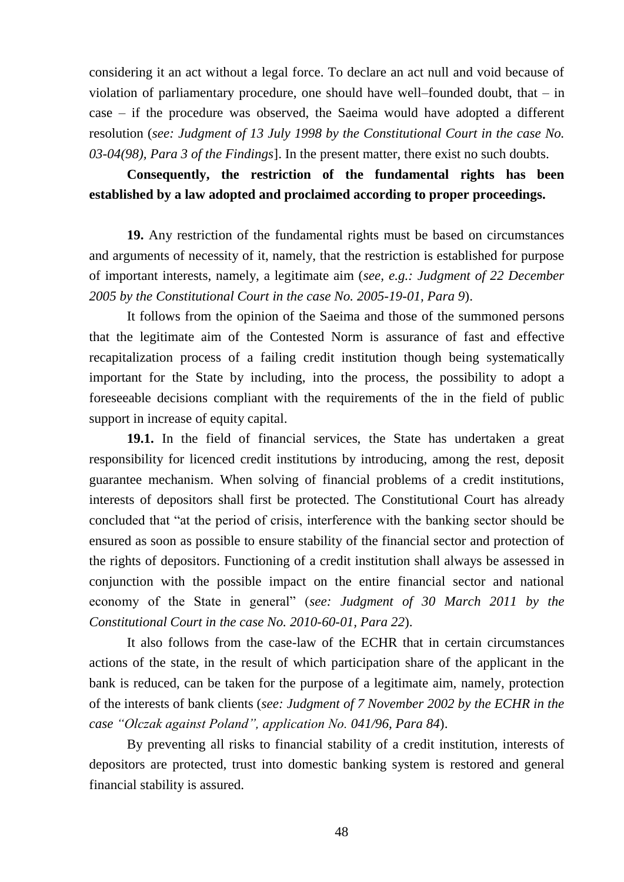considering it an act without a legal force. To declare an act null and void because of violation of parliamentary procedure, one should have well–founded doubt, that – in case – if the procedure was observed, the Saeima would have adopted a different resolution (*see: Judgment of 13 July 1998 by the Constitutional Court in the case No. 03-04(98), Para 3 of the Findings*]. In the present matter, there exist no such doubts.

### **Consequently, the restriction of the fundamental rights has been established by a law adopted and proclaimed according to proper proceedings.**

**19.** Any restriction of the fundamental rights must be based on circumstances and arguments of necessity of it, namely, that the restriction is established for purpose of important interests, namely, a legitimate aim (*see, e.g.: Judgment of 22 December 2005 by the Constitutional Court in the case No. 2005-19-01, Para 9*).

It follows from the opinion of the Saeima and those of the summoned persons that the legitimate aim of the Contested Norm is assurance of fast and effective recapitalization process of a failing credit institution though being systematically important for the State by including, into the process, the possibility to adopt a foreseeable decisions compliant with the requirements of the in the field of public support in increase of equity capital.

**19.1.** In the field of financial services, the State has undertaken a great responsibility for licenced credit institutions by introducing, among the rest, deposit guarantee mechanism. When solving of financial problems of a credit institutions, interests of depositors shall first be protected. The Constitutional Court has already concluded that "at the period of crisis, interference with the banking sector should be ensured as soon as possible to ensure stability of the financial sector and protection of the rights of depositors. Functioning of a credit institution shall always be assessed in conjunction with the possible impact on the entire financial sector and national economy of the State in general" (*see: Judgment of 30 March 2011 by the Constitutional Court in the case No. 2010-60-01, Para 22*).

It also follows from the case-law of the ECHR that in certain circumstances actions of the state, in the result of which participation share of the applicant in the bank is reduced, can be taken for the purpose of a legitimate aim, namely, protection of the interests of bank clients (*see: Judgment of 7 November 2002 by the ECHR in the case "Olczak against Poland", application No. 041/96, Para 84*).

By preventing all risks to financial stability of a credit institution, interests of depositors are protected, trust into domestic banking system is restored and general financial stability is assured.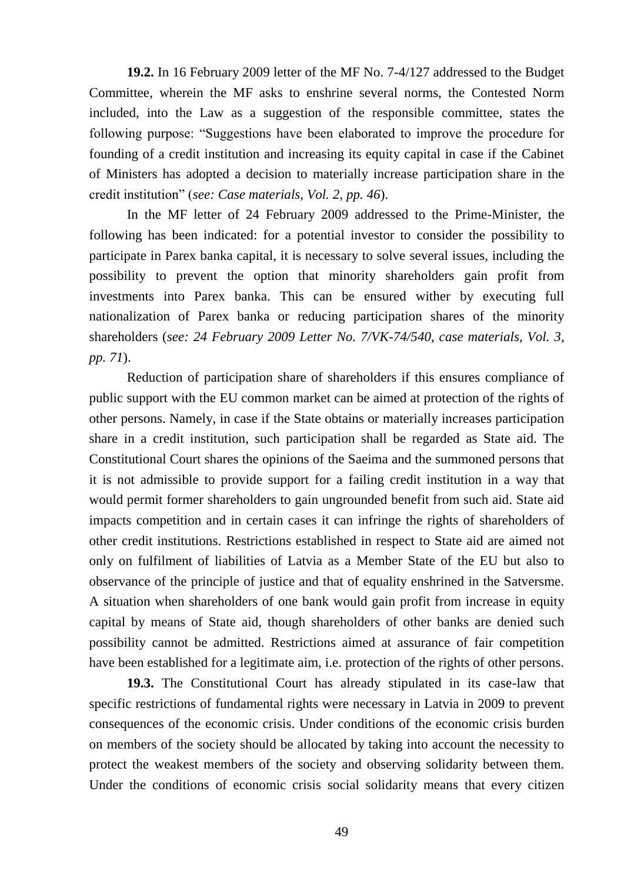**19.2.** In 16 February 2009 letter of the MF No. 7-4/127 addressed to the Budget Committee, wherein the MF asks to enshrine several norms, the Contested Norm included, into the Law as a suggestion of the responsible committee, states the following purpose: "Suggestions have been elaborated to improve the procedure for founding of a credit institution and increasing its equity capital in case if the Cabinet of Ministers has adopted a decision to materially increase participation share in the credit institution" (*see: Case materials, Vol. 2, pp. 46*).

In the MF letter of 24 February 2009 addressed to the Prime-Minister, the following has been indicated: for a potential investor to consider the possibility to participate in Parex banka capital, it is necessary to solve several issues, including the possibility to prevent the option that minority shareholders gain profit from investments into Parex banka. This can be ensured wither by executing full nationalization of Parex banka or reducing participation shares of the minority shareholders (*see: 24 February 2009 Letter No. 7/VK-74/540, case materials, Vol. 3, pp. 71*).

Reduction of participation share of shareholders if this ensures compliance of public support with the EU common market can be aimed at protection of the rights of other persons. Namely, in case if the State obtains or materially increases participation share in a credit institution, such participation shall be regarded as State aid. The Constitutional Court shares the opinions of the Saeima and the summoned persons that it is not admissible to provide support for a failing credit institution in a way that would permit former shareholders to gain ungrounded benefit from such aid. State aid impacts competition and in certain cases it can infringe the rights of shareholders of other credit institutions. Restrictions established in respect to State aid are aimed not only on fulfilment of liabilities of Latvia as a Member State of the EU but also to observance of the principle of justice and that of equality enshrined in the Satversme. A situation when shareholders of one bank would gain profit from increase in equity capital by means of State aid, though shareholders of other banks are denied such possibility cannot be admitted. Restrictions aimed at assurance of fair competition have been established for a legitimate aim, i.e. protection of the rights of other persons.

**19.3.** The Constitutional Court has already stipulated in its case-law that specific restrictions of fundamental rights were necessary in Latvia in 2009 to prevent consequences of the economic crisis. Under conditions of the economic crisis burden on members of the society should be allocated by taking into account the necessity to protect the weakest members of the society and observing solidarity between them. Under the conditions of economic crisis social solidarity means that every citizen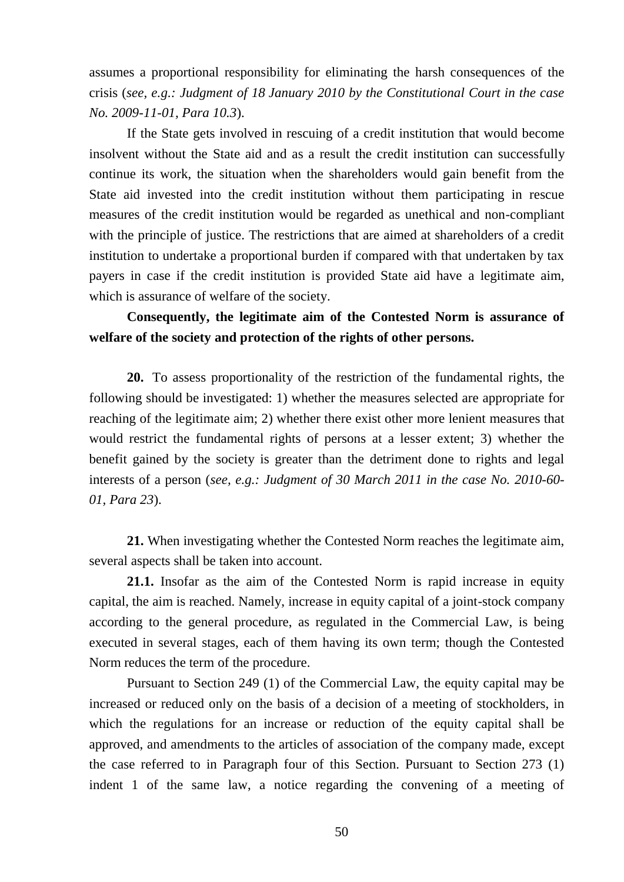assumes a proportional responsibility for eliminating the harsh consequences of the crisis (*see, e.g.: Judgment of 18 January 2010 by the Constitutional Court in the case No. 2009-11-01, Para 10.3*).

If the State gets involved in rescuing of a credit institution that would become insolvent without the State aid and as a result the credit institution can successfully continue its work, the situation when the shareholders would gain benefit from the State aid invested into the credit institution without them participating in rescue measures of the credit institution would be regarded as unethical and non-compliant with the principle of justice. The restrictions that are aimed at shareholders of a credit institution to undertake a proportional burden if compared with that undertaken by tax payers in case if the credit institution is provided State aid have a legitimate aim, which is assurance of welfare of the society.

### **Consequently, the legitimate aim of the Contested Norm is assurance of welfare of the society and protection of the rights of other persons.**

**20.** To assess proportionality of the restriction of the fundamental rights, the following should be investigated: 1) whether the measures selected are appropriate for reaching of the legitimate aim; 2) whether there exist other more lenient measures that would restrict the fundamental rights of persons at a lesser extent; 3) whether the benefit gained by the society is greater than the detriment done to rights and legal interests of a person (*see, e.g.: Judgment of 30 March 2011 in the case No. 2010-60- 01, Para 23*).

**21.** When investigating whether the Contested Norm reaches the legitimate aim, several aspects shall be taken into account.

**21.1.** Insofar as the aim of the Contested Norm is rapid increase in equity capital, the aim is reached. Namely, increase in equity capital of a joint-stock company according to the general procedure, as regulated in the Commercial Law, is being executed in several stages, each of them having its own term; though the Contested Norm reduces the term of the procedure.

Pursuant to Section 249 (1) of the Commercial Law, the equity capital may be increased or reduced only on the basis of a decision of a meeting of stockholders, in which the regulations for an increase or reduction of the equity capital shall be approved, and amendments to the articles of association of the company made, except the case referred to in Paragraph four of this Section. Pursuant to Section 273 (1) indent 1 of the same law, a notice regarding the convening of a meeting of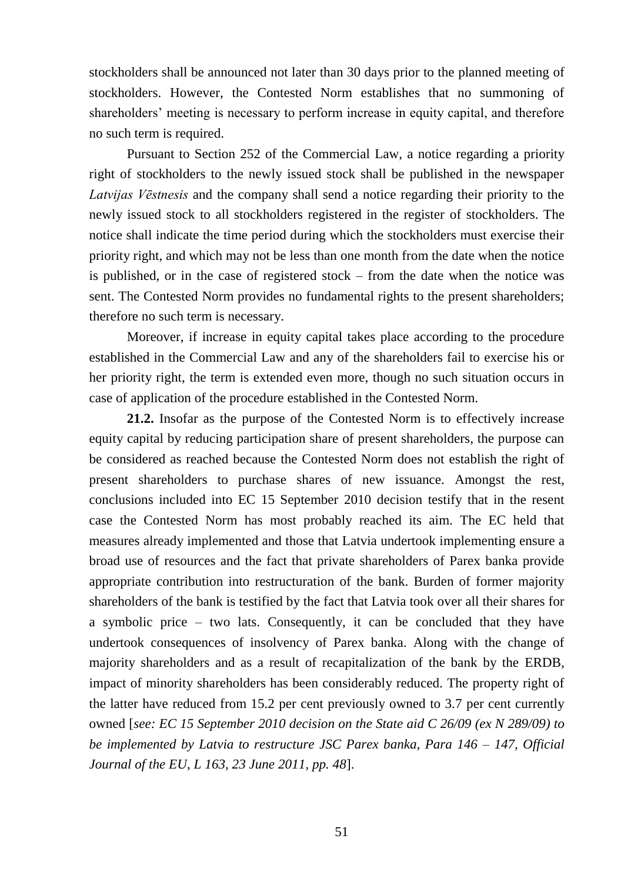stockholders shall be announced not later than 30 days prior to the planned meeting of stockholders. However, the Contested Norm establishes that no summoning of shareholders' meeting is necessary to perform increase in equity capital, and therefore no such term is required.

Pursuant to Section 252 of the Commercial Law, a notice regarding a priority right of stockholders to the newly issued stock shall be published in the newspaper *Latvijas Vēstnesis* and the company shall send a notice regarding their priority to the newly issued stock to all stockholders registered in the register of stockholders. The notice shall indicate the time period during which the stockholders must exercise their priority right, and which may not be less than one month from the date when the notice is published, or in the case of registered stock – from the date when the notice was sent. The Contested Norm provides no fundamental rights to the present shareholders; therefore no such term is necessary.

Moreover, if increase in equity capital takes place according to the procedure established in the Commercial Law and any of the shareholders fail to exercise his or her priority right, the term is extended even more, though no such situation occurs in case of application of the procedure established in the Contested Norm.

**21.2.** Insofar as the purpose of the Contested Norm is to effectively increase equity capital by reducing participation share of present shareholders, the purpose can be considered as reached because the Contested Norm does not establish the right of present shareholders to purchase shares of new issuance. Amongst the rest, conclusions included into EC 15 September 2010 decision testify that in the resent case the Contested Norm has most probably reached its aim. The EC held that measures already implemented and those that Latvia undertook implementing ensure a broad use of resources and the fact that private shareholders of Parex banka provide appropriate contribution into restructuration of the bank. Burden of former majority shareholders of the bank is testified by the fact that Latvia took over all their shares for a symbolic price – two lats. Consequently, it can be concluded that they have undertook consequences of insolvency of Parex banka. Along with the change of majority shareholders and as a result of recapitalization of the bank by the ERDB, impact of minority shareholders has been considerably reduced. The property right of the latter have reduced from 15.2 per cent previously owned to 3.7 per cent currently owned [*see: EC 15 September 2010 decision on the State aid C 26/09 (ex N 289/09) to be implemented by Latvia to restructure JSC Parex banka, Para 146 – 147, Official Journal of the EU, L 163, 23 June 2011, pp. 48*].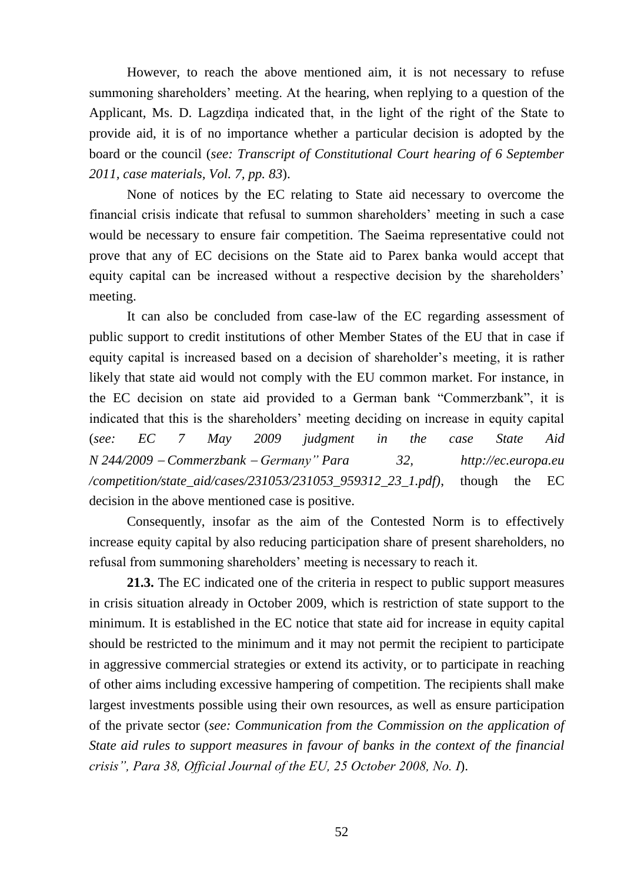However, to reach the above mentioned aim, it is not necessary to refuse summoning shareholders' meeting. At the hearing, when replying to a question of the Applicant, Ms. D. Lagzdiņa indicated that, in the light of the right of the State to provide aid, it is of no importance whether a particular decision is adopted by the board or the council (*see: Transcript of Constitutional Court hearing of 6 September 2011, case materials, Vol. 7, pp. 83*).

None of notices by the EC relating to State aid necessary to overcome the financial crisis indicate that refusal to summon shareholders' meeting in such a case would be necessary to ensure fair competition. The Saeima representative could not prove that any of EC decisions on the State aid to Parex banka would accept that equity capital can be increased without a respective decision by the shareholders' meeting.

It can also be concluded from case-law of the EC regarding assessment of public support to credit institutions of other Member States of the EU that in case if equity capital is increased based on a decision of shareholder's meeting, it is rather likely that state aid would not comply with the EU common market. For instance, in the EC decision on state aid provided to a German bank "Commerzbank", it is indicated that this is the shareholders' meeting deciding on increase in equity capital (*see: EC 7 May 2009 judgment in the case State Aid N 244/2009 Commerzbank Germany" Para 32, http://ec.europa.eu /competition/state\_aid/cases/231053/231053\_959312\_23\_1.pdf)*, though the EC decision in the above mentioned case is positive.

Consequently, insofar as the aim of the Contested Norm is to effectively increase equity capital by also reducing participation share of present shareholders, no refusal from summoning shareholders' meeting is necessary to reach it.

**21.3.** The EC indicated one of the criteria in respect to public support measures in crisis situation already in October 2009, which is restriction of state support to the minimum. It is established in the EC notice that state aid for increase in equity capital should be restricted to the minimum and it may not permit the recipient to participate in aggressive commercial strategies or extend its activity, or to participate in reaching of other aims including excessive hampering of competition. The recipients shall make largest investments possible using their own resources, as well as ensure participation of the private sector (*see: Communication from the Commission on the application of State aid rules to support measures in favour of banks in the context of the financial crisis", Para 38, Official Journal of the EU, 25 October 2008, No. I*).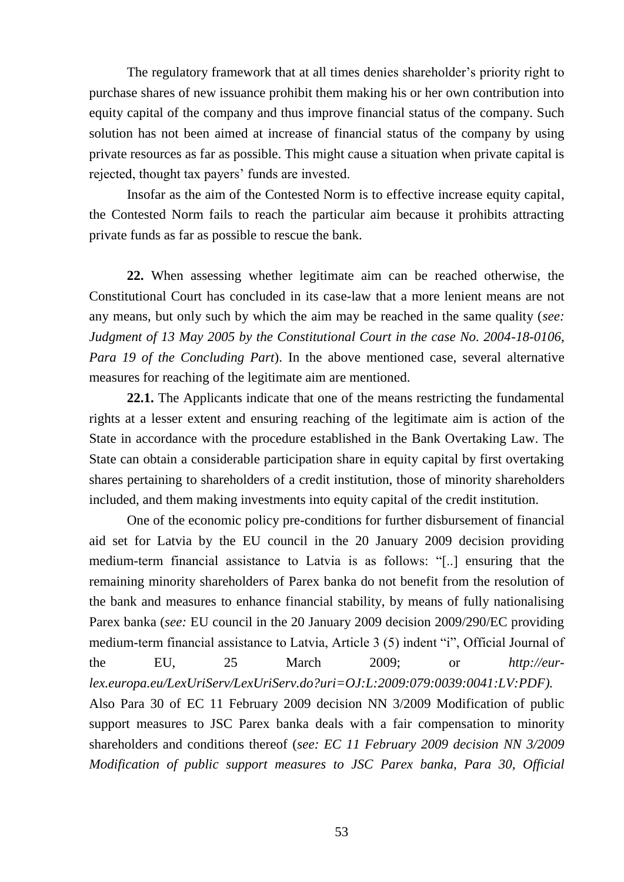The regulatory framework that at all times denies shareholder's priority right to purchase shares of new issuance prohibit them making his or her own contribution into equity capital of the company and thus improve financial status of the company. Such solution has not been aimed at increase of financial status of the company by using private resources as far as possible. This might cause a situation when private capital is rejected, thought tax payers' funds are invested.

Insofar as the aim of the Contested Norm is to effective increase equity capital, the Contested Norm fails to reach the particular aim because it prohibits attracting private funds as far as possible to rescue the bank.

**22.** When assessing whether legitimate aim can be reached otherwise, the Constitutional Court has concluded in its case-law that a more lenient means are not any means, but only such by which the aim may be reached in the same quality (*see: Judgment of 13 May 2005 by the Constitutional Court in the case No. 2004-18-0106, Para 19 of the Concluding Part*). In the above mentioned case, several alternative measures for reaching of the legitimate aim are mentioned.

**22.1.** The Applicants indicate that one of the means restricting the fundamental rights at a lesser extent and ensuring reaching of the legitimate aim is action of the State in accordance with the procedure established in the Bank Overtaking Law. The State can obtain a considerable participation share in equity capital by first overtaking shares pertaining to shareholders of a credit institution, those of minority shareholders included, and them making investments into equity capital of the credit institution.

One of the economic policy pre-conditions for further disbursement of financial aid set for Latvia by the EU council in the 20 January 2009 decision providing medium-term financial assistance to Latvia is as follows: "[..] ensuring that the remaining minority shareholders of Parex banka do not benefit from the resolution of the bank and measures to enhance financial stability, by means of fully nationalising Parex banka (*see:* EU council in the 20 January 2009 decision 2009/290/EC providing medium-term financial assistance to Latvia, Article 3 (5) indent "i", Official Journal of the EU, 25 March 2009; or *http://eurlex.europa.eu/LexUriServ/LexUriServ.do?uri=OJ:L:2009:079:0039:0041:LV:PDF).* Also Para 30 of EC 11 February 2009 decision NN 3/2009 Modification of public support measures to JSC Parex banka deals with a fair compensation to minority shareholders and conditions thereof (*see: EC 11 February 2009 decision NN 3/2009 Modification of public support measures to JSC Parex banka, Para 30, Official* 

53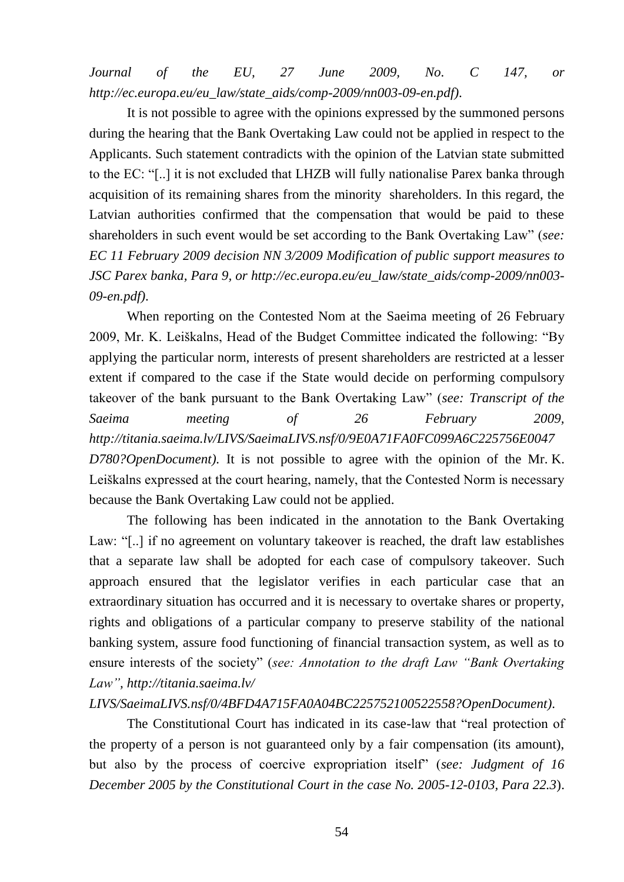*Journal of the EU, 27 June 2009, No. C 147, or http://ec.europa.eu/eu\_law/state\_aids/comp-2009/nn003-09-en.pdf)*.

It is not possible to agree with the opinions expressed by the summoned persons during the hearing that the Bank Overtaking Law could not be applied in respect to the Applicants. Such statement contradicts with the opinion of the Latvian state submitted to the EC: "[..] it is not excluded that LHZB will fully nationalise Parex banka through acquisition of its remaining shares from the minority shareholders. In this regard, the Latvian authorities confirmed that the compensation that would be paid to these shareholders in such event would be set according to the Bank Overtaking Law" (*see: EC 11 February 2009 decision NN 3/2009 Modification of public support measures to JSC Parex banka, Para 9, or http://ec.europa.eu/eu\_law/state\_aids/comp-2009/nn003- 09-en.pdf)*.

When reporting on the Contested Nom at the Saeima meeting of 26 February 2009, Mr. K. Leiškalns, Head of the Budget Committee indicated the following: "By applying the particular norm, interests of present shareholders are restricted at a lesser extent if compared to the case if the State would decide on performing compulsory takeover of the bank pursuant to the Bank Overtaking Law" (*see: Transcript of the Saeima meeting of 26 February 2009, [http://titania.saeima.lv/LIVS/SaeimaLIVS.nsf/0/9E0A71FA0FC099A6C225756E0047](http://titania.saeima.lv/LIVS/SaeimaLIVS.nsf/0/9E0A71FA0FC099A6C225756E0047D780?OpenDocument) [D780?OpenDocument\)](http://titania.saeima.lv/LIVS/SaeimaLIVS.nsf/0/9E0A71FA0FC099A6C225756E0047D780?OpenDocument).* It is not possible to agree with the opinion of the Mr. K. Leiškalns expressed at the court hearing, namely, that the Contested Norm is necessary because the Bank Overtaking Law could not be applied.

The following has been indicated in the annotation to the Bank Overtaking Law: "[..] if no agreement on voluntary takeover is reached, the draft law establishes that a separate law shall be adopted for each case of compulsory takeover. Such approach ensured that the legislator verifies in each particular case that an extraordinary situation has occurred and it is necessary to overtake shares or property, rights and obligations of a particular company to preserve stability of the national banking system, assure food functioning of financial transaction system, as well as to ensure interests of the society" (*see: Annotation to the draft Law "Bank Overtaking Law", http://titania.saeima.lv/*

#### *LIVS/SaeimaLIVS.nsf/0/4BFD4A715FA0A04BC225752100522558?OpenDocument)*.

The Constitutional Court has indicated in its case-law that "real protection of the property of a person is not guaranteed only by a fair compensation (its amount), but also by the process of coercive expropriation itself" (*see: Judgment of 16 December 2005 by the Constitutional Court in the case No. 2005-12-0103, Para 22.3*).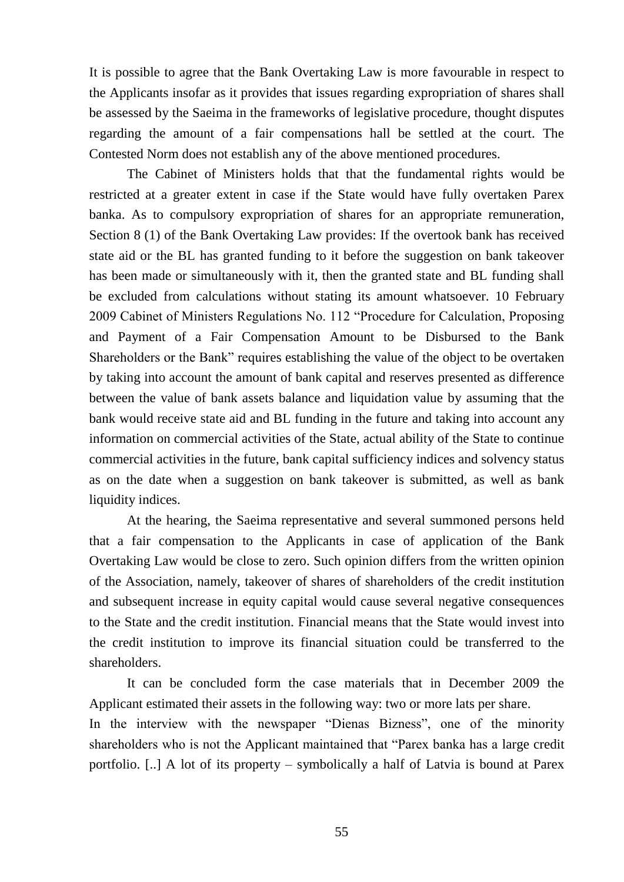It is possible to agree that the Bank Overtaking Law is more favourable in respect to the Applicants insofar as it provides that issues regarding expropriation of shares shall be assessed by the Saeima in the frameworks of legislative procedure, thought disputes regarding the amount of a fair compensations hall be settled at the court. The Contested Norm does not establish any of the above mentioned procedures.

The Cabinet of Ministers holds that that the fundamental rights would be restricted at a greater extent in case if the State would have fully overtaken Parex banka. As to compulsory expropriation of shares for an appropriate remuneration, Section 8 (1) of the Bank Overtaking Law provides: If the overtook bank has received state aid or the BL has granted funding to it before the suggestion on bank takeover has been made or simultaneously with it, then the granted state and BL funding shall be excluded from calculations without stating its amount whatsoever. 10 February 2009 Cabinet of Ministers Regulations No. 112 "Procedure for Calculation, Proposing and Payment of a Fair Compensation Amount to be Disbursed to the Bank Shareholders or the Bank" requires establishing the value of the object to be overtaken by taking into account the amount of bank capital and reserves presented as difference between the value of bank assets balance and liquidation value by assuming that the bank would receive state aid and BL funding in the future and taking into account any information on commercial activities of the State, actual ability of the State to continue commercial activities in the future, bank capital sufficiency indices and solvency status as on the date when a suggestion on bank takeover is submitted, as well as bank liquidity indices.

At the hearing, the Saeima representative and several summoned persons held that a fair compensation to the Applicants in case of application of the Bank Overtaking Law would be close to zero. Such opinion differs from the written opinion of the Association, namely, takeover of shares of shareholders of the credit institution and subsequent increase in equity capital would cause several negative consequences to the State and the credit institution. Financial means that the State would invest into the credit institution to improve its financial situation could be transferred to the shareholders.

It can be concluded form the case materials that in December 2009 the Applicant estimated their assets in the following way: two or more lats per share. In the interview with the newspaper "Dienas Bizness", one of the minority shareholders who is not the Applicant maintained that "Parex banka has a large credit portfolio. [..] A lot of its property – symbolically a half of Latvia is bound at Parex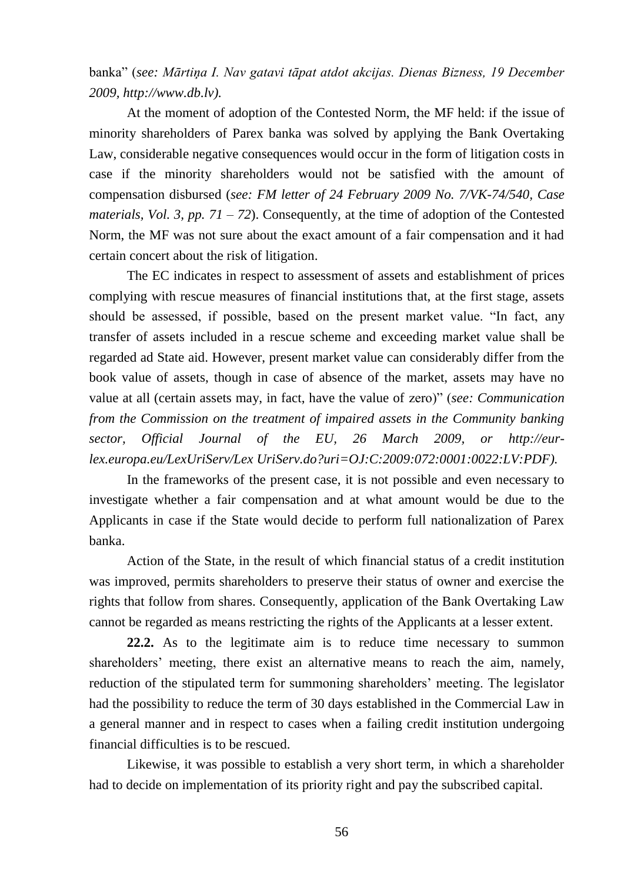banka" (*see: Mārtiņa I. Nav gatavi tāpat atdot akcijas. Dienas Bizness, 19 December 2009, http://www.db.lv).*

At the moment of adoption of the Contested Norm, the MF held: if the issue of minority shareholders of Parex banka was solved by applying the Bank Overtaking Law, considerable negative consequences would occur in the form of litigation costs in case if the minority shareholders would not be satisfied with the amount of compensation disbursed (*see: FM letter of 24 February 2009 No. 7/VK-74/540, Case materials, Vol. 3, pp. 71 – 72*). Consequently, at the time of adoption of the Contested Norm, the MF was not sure about the exact amount of a fair compensation and it had certain concert about the risk of litigation.

The EC indicates in respect to assessment of assets and establishment of prices complying with rescue measures of financial institutions that, at the first stage, assets should be assessed, if possible, based on the present market value. "In fact, any transfer of assets included in a rescue scheme and exceeding market value shall be regarded ad State aid. However, present market value can considerably differ from the book value of assets, though in case of absence of the market, assets may have no value at all (certain assets may, in fact, have the value of zero)" (*see: Communication from the Commission on the treatment of impaired assets in the Community banking sector, Official Journal of the EU, 26 March 2009, or http://eurlex.europa.eu/LexUriServ/Lex UriServ.do?uri=OJ:C:2009:072:0001:0022:LV:PDF).*

In the frameworks of the present case, it is not possible and even necessary to investigate whether a fair compensation and at what amount would be due to the Applicants in case if the State would decide to perform full nationalization of Parex banka.

Action of the State, in the result of which financial status of a credit institution was improved, permits shareholders to preserve their status of owner and exercise the rights that follow from shares. Consequently, application of the Bank Overtaking Law cannot be regarded as means restricting the rights of the Applicants at a lesser extent.

**22.2.** As to the legitimate aim is to reduce time necessary to summon shareholders' meeting, there exist an alternative means to reach the aim, namely, reduction of the stipulated term for summoning shareholders' meeting. The legislator had the possibility to reduce the term of 30 days established in the Commercial Law in a general manner and in respect to cases when a failing credit institution undergoing financial difficulties is to be rescued.

Likewise, it was possible to establish a very short term, in which a shareholder had to decide on implementation of its priority right and pay the subscribed capital.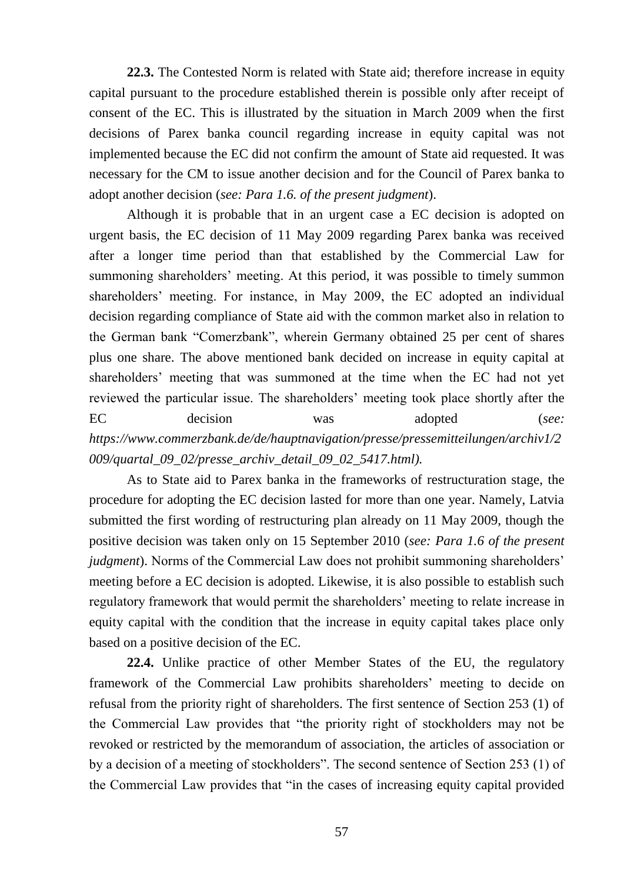**22.3.** The Contested Norm is related with State aid; therefore increase in equity capital pursuant to the procedure established therein is possible only after receipt of consent of the EC. This is illustrated by the situation in March 2009 when the first decisions of Parex banka council regarding increase in equity capital was not implemented because the EC did not confirm the amount of State aid requested. It was necessary for the CM to issue another decision and for the Council of Parex banka to adopt another decision (*see: Para 1.6. of the present judgment*).

Although it is probable that in an urgent case a EC decision is adopted on urgent basis, the EC decision of 11 May 2009 regarding Parex banka was received after a longer time period than that established by the Commercial Law for summoning shareholders' meeting. At this period, it was possible to timely summon shareholders' meeting. For instance, in May 2009, the EC adopted an individual decision regarding compliance of State aid with the common market also in relation to the German bank "Comerzbank", wherein Germany obtained 25 per cent of shares plus one share. The above mentioned bank decided on increase in equity capital at shareholders' meeting that was summoned at the time when the EC had not yet reviewed the particular issue. The shareholders' meeting took place shortly after the EC decision was adopted (*see: https://www.commerzbank.de/de/hauptnavigation/presse/pressemitteilungen/archiv1/2 009/quartal\_09\_02/presse\_archiv\_detail\_09\_02\_5417.html).*

As to State aid to Parex banka in the frameworks of restructuration stage, the procedure for adopting the EC decision lasted for more than one year. Namely, Latvia submitted the first wording of restructuring plan already on 11 May 2009, though the positive decision was taken only on 15 September 2010 (*see: Para 1.6 of the present judgment*). Norms of the Commercial Law does not prohibit summoning shareholders' meeting before a EC decision is adopted. Likewise, it is also possible to establish such regulatory framework that would permit the shareholders' meeting to relate increase in equity capital with the condition that the increase in equity capital takes place only based on a positive decision of the EC.

**22.4.** Unlike practice of other Member States of the EU, the regulatory framework of the Commercial Law prohibits shareholders' meeting to decide on refusal from the priority right of shareholders. The first sentence of Section 253 (1) of the Commercial Law provides that "the priority right of stockholders may not be revoked or restricted by the memorandum of association, the articles of association or by a decision of a meeting of stockholders". The second sentence of Section 253 (1) of the Commercial Law provides that "in the cases of increasing equity capital provided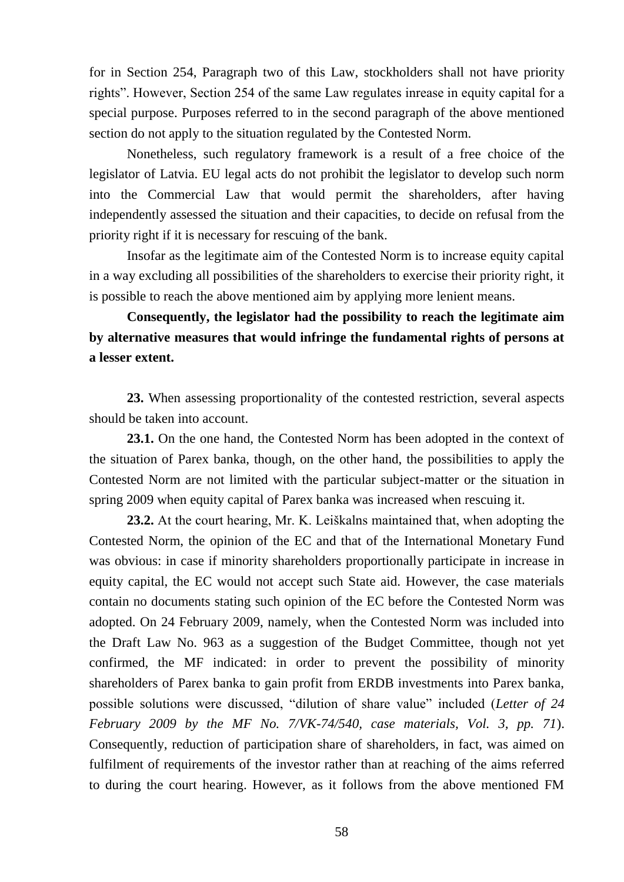for in Section 254, Paragraph two of this Law, stockholders shall not have priority rights". However, Section 254 of the same Law regulates inrease in equity capital for a special purpose. Purposes referred to in the second paragraph of the above mentioned section do not apply to the situation regulated by the Contested Norm.

Nonetheless, such regulatory framework is a result of a free choice of the legislator of Latvia. EU legal acts do not prohibit the legislator to develop such norm into the Commercial Law that would permit the shareholders, after having independently assessed the situation and their capacities, to decide on refusal from the priority right if it is necessary for rescuing of the bank.

Insofar as the legitimate aim of the Contested Norm is to increase equity capital in a way excluding all possibilities of the shareholders to exercise their priority right, it is possible to reach the above mentioned aim by applying more lenient means.

**Consequently, the legislator had the possibility to reach the legitimate aim by alternative measures that would infringe the fundamental rights of persons at a lesser extent.** 

**23.** When assessing proportionality of the contested restriction, several aspects should be taken into account.

**23.1.** On the one hand, the Contested Norm has been adopted in the context of the situation of Parex banka, though, on the other hand, the possibilities to apply the Contested Norm are not limited with the particular subject-matter or the situation in spring 2009 when equity capital of Parex banka was increased when rescuing it.

**23.2.** At the court hearing, Mr. K. Leiškalns maintained that, when adopting the Contested Norm, the opinion of the EC and that of the International Monetary Fund was obvious: in case if minority shareholders proportionally participate in increase in equity capital, the EC would not accept such State aid. However, the case materials contain no documents stating such opinion of the EC before the Contested Norm was adopted. On 24 February 2009, namely, when the Contested Norm was included into the Draft Law No. 963 as a suggestion of the Budget Committee, though not yet confirmed, the MF indicated: in order to prevent the possibility of minority shareholders of Parex banka to gain profit from ERDB investments into Parex banka, possible solutions were discussed, "dilution of share value" included (*Letter of 24 February 2009 by the MF No. 7/VK-74/540, case materials, Vol. 3, pp. 71*). Consequently, reduction of participation share of shareholders, in fact, was aimed on fulfilment of requirements of the investor rather than at reaching of the aims referred to during the court hearing. However, as it follows from the above mentioned FM

58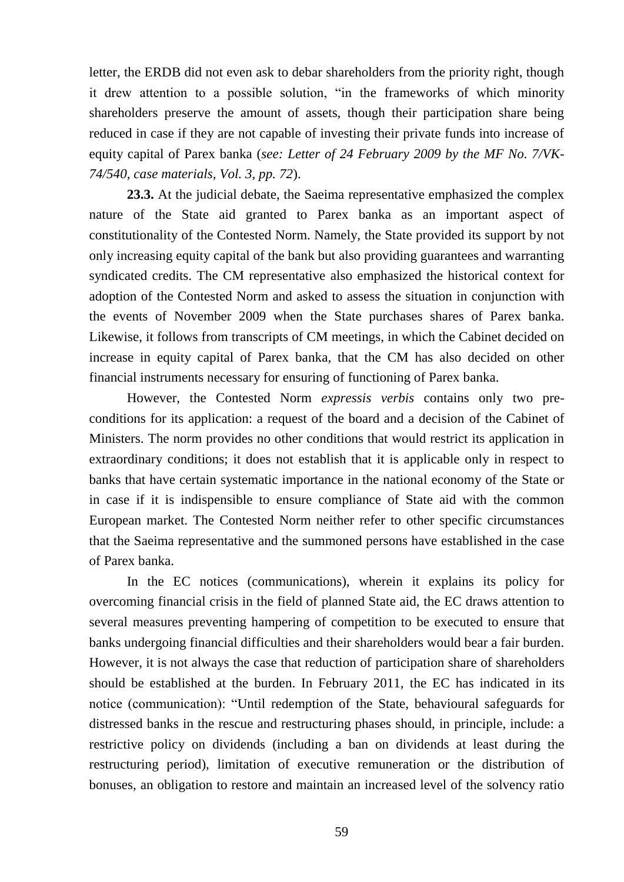letter, the ERDB did not even ask to debar shareholders from the priority right, though it drew attention to a possible solution, "in the frameworks of which minority shareholders preserve the amount of assets, though their participation share being reduced in case if they are not capable of investing their private funds into increase of equity capital of Parex banka (*see: Letter of 24 February 2009 by the MF No. 7/VK-74/540, case materials, Vol. 3, pp. 72*).

**23.3.** At the judicial debate, the Saeima representative emphasized the complex nature of the State aid granted to Parex banka as an important aspect of constitutionality of the Contested Norm. Namely, the State provided its support by not only increasing equity capital of the bank but also providing guarantees and warranting syndicated credits. The CM representative also emphasized the historical context for adoption of the Contested Norm and asked to assess the situation in conjunction with the events of November 2009 when the State purchases shares of Parex banka. Likewise, it follows from transcripts of CM meetings, in which the Cabinet decided on increase in equity capital of Parex banka, that the CM has also decided on other financial instruments necessary for ensuring of functioning of Parex banka.

However, the Contested Norm *expressis verbis* contains only two preconditions for its application: a request of the board and a decision of the Cabinet of Ministers. The norm provides no other conditions that would restrict its application in extraordinary conditions; it does not establish that it is applicable only in respect to banks that have certain systematic importance in the national economy of the State or in case if it is indispensible to ensure compliance of State aid with the common European market. The Contested Norm neither refer to other specific circumstances that the Saeima representative and the summoned persons have established in the case of Parex banka.

In the EC notices (communications), wherein it explains its policy for overcoming financial crisis in the field of planned State aid, the EC draws attention to several measures preventing hampering of competition to be executed to ensure that banks undergoing financial difficulties and their shareholders would bear a fair burden. However, it is not always the case that reduction of participation share of shareholders should be established at the burden. In February 2011, the EC has indicated in its notice (communication): "Until redemption of the State, behavioural safeguards for distressed banks in the rescue and restructuring phases should, in principle, include: a restrictive policy on dividends (including a ban on dividends at least during the restructuring period), limitation of executive remuneration or the distribution of bonuses, an obligation to restore and maintain an increased level of the solvency ratio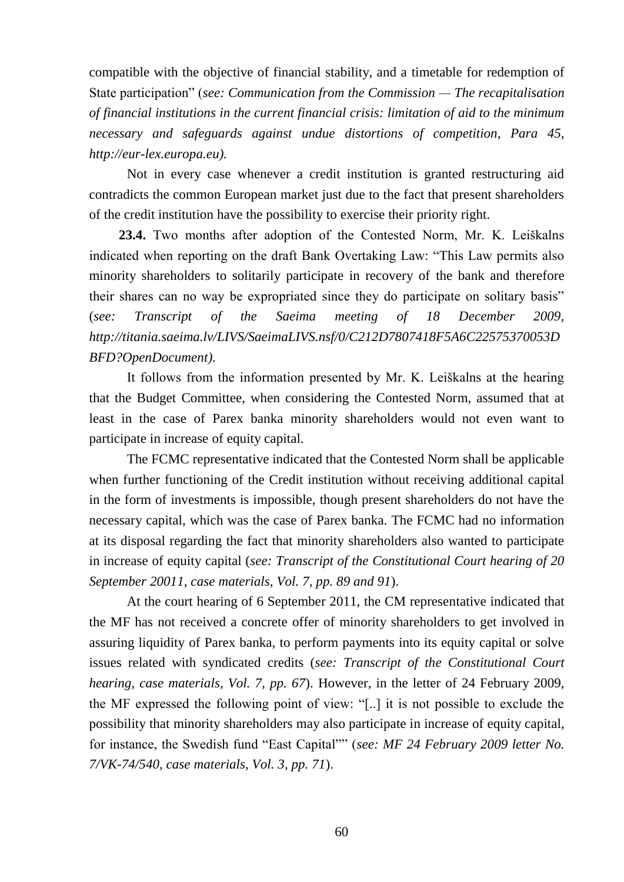compatible with the objective of financial stability, and a timetable for redemption of State participation" (*see: Communication from the Commission — The recapitalisation of financial institutions in the current financial crisis: limitation of aid to the minimum necessary and safeguards against undue distortions of competition, Para 45, http://eur-lex.europa.eu).*

Not in every case whenever a credit institution is granted restructuring aid contradicts the common European market just due to the fact that present shareholders of the credit institution have the possibility to exercise their priority right.

**23.4.** Two months after adoption of the Contested Norm, Mr. K. Leiškalns indicated when reporting on the draft Bank Overtaking Law: "This Law permits also minority shareholders to solitarily participate in recovery of the bank and therefore their shares can no way be expropriated since they do participate on solitary basis" (*see: Transcript of the Saeima meeting of 18 December 2009, [http://titania.saeima.lv/LIVS/SaeimaLIVS.nsf/0/C212D7807418F5A6C22575370053D](http://titania.saeima.lv/LIVS/SaeimaLIVS.nsf/0/C212D7807418F5A6C22575370053DBFD?OpenDocument) [BFD?OpenDocument\)](http://titania.saeima.lv/LIVS/SaeimaLIVS.nsf/0/C212D7807418F5A6C22575370053DBFD?OpenDocument)*.

It follows from the information presented by Mr. K. Leiškalns at the hearing that the Budget Committee, when considering the Contested Norm, assumed that at least in the case of Parex banka minority shareholders would not even want to participate in increase of equity capital.

The FCMC representative indicated that the Contested Norm shall be applicable when further functioning of the Credit institution without receiving additional capital in the form of investments is impossible, though present shareholders do not have the necessary capital, which was the case of Parex banka. The FCMC had no information at its disposal regarding the fact that minority shareholders also wanted to participate in increase of equity capital (*see: Transcript of the Constitutional Court hearing of 20 September 20011, case materials, Vol. 7, pp. 89 and 91*).

At the court hearing of 6 September 2011, the CM representative indicated that the MF has not received a concrete offer of minority shareholders to get involved in assuring liquidity of Parex banka, to perform payments into its equity capital or solve issues related with syndicated credits (*see: Transcript of the Constitutional Court hearing, case materials, Vol. 7, pp. 67*). However, in the letter of 24 February 2009, the MF expressed the following point of view: "[..] it is not possible to exclude the possibility that minority shareholders may also participate in increase of equity capital, for instance, the Swedish fund "East Capital"" (*see: MF 24 February 2009 letter No. 7/VK-74/540, case materials, Vol. 3, pp. 71*).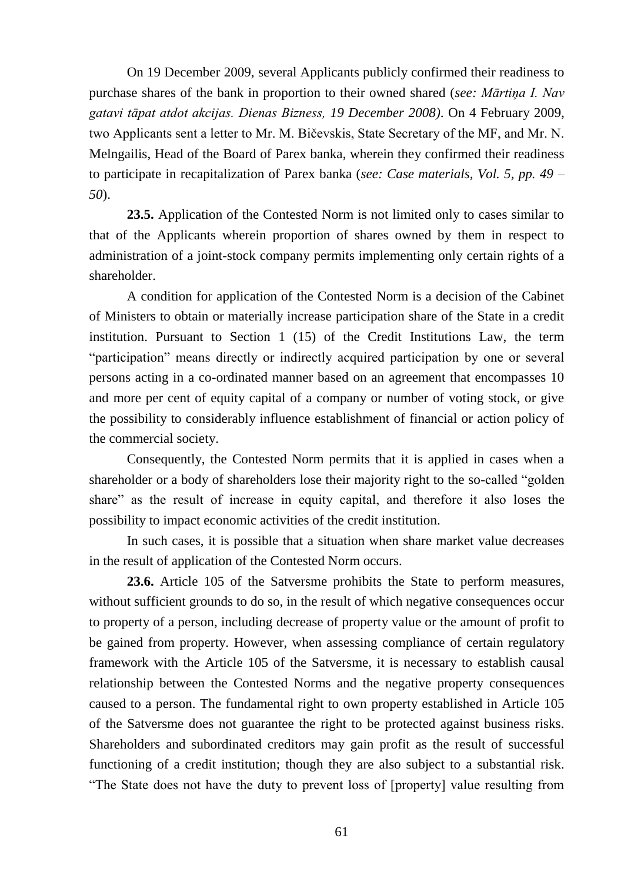On 19 December 2009, several Applicants publicly confirmed their readiness to purchase shares of the bank in proportion to their owned shared (*see: Mārtiņa I. Nav gatavi tāpat atdot akcijas. Dienas Bizness, 19 December 2008)*. On 4 February 2009, two Applicants sent a letter to Mr. M. Bičevskis, State Secretary of the MF, and Mr. N. Melngailis, Head of the Board of Parex banka, wherein they confirmed their readiness to participate in recapitalization of Parex banka (*see: Case materials, Vol. 5, pp. 49 – 50*).

**23.5.** Application of the Contested Norm is not limited only to cases similar to that of the Applicants wherein proportion of shares owned by them in respect to administration of a joint-stock company permits implementing only certain rights of a shareholder.

A condition for application of the Contested Norm is a decision of the Cabinet of Ministers to obtain or materially increase participation share of the State in a credit institution. Pursuant to Section 1 (15) of the Credit Institutions Law, the term "participation" means directly or indirectly acquired participation by one or several persons acting in a co-ordinated manner based on an agreement that encompasses 10 and more per cent of equity capital of a company or number of voting stock, or give the possibility to considerably influence establishment of financial or action policy of the commercial society.

Consequently, the Contested Norm permits that it is applied in cases when a shareholder or a body of shareholders lose their majority right to the so-called "golden share" as the result of increase in equity capital, and therefore it also loses the possibility to impact economic activities of the credit institution.

In such cases, it is possible that a situation when share market value decreases in the result of application of the Contested Norm occurs.

**23.6.** Article 105 of the Satversme prohibits the State to perform measures, without sufficient grounds to do so, in the result of which negative consequences occur to property of a person, including decrease of property value or the amount of profit to be gained from property. However, when assessing compliance of certain regulatory framework with the Article 105 of the Satversme, it is necessary to establish causal relationship between the Contested Norms and the negative property consequences caused to a person. The fundamental right to own property established in Article 105 of the Satversme does not guarantee the right to be protected against business risks. Shareholders and subordinated creditors may gain profit as the result of successful functioning of a credit institution; though they are also subject to a substantial risk. "The State does not have the duty to prevent loss of [property] value resulting from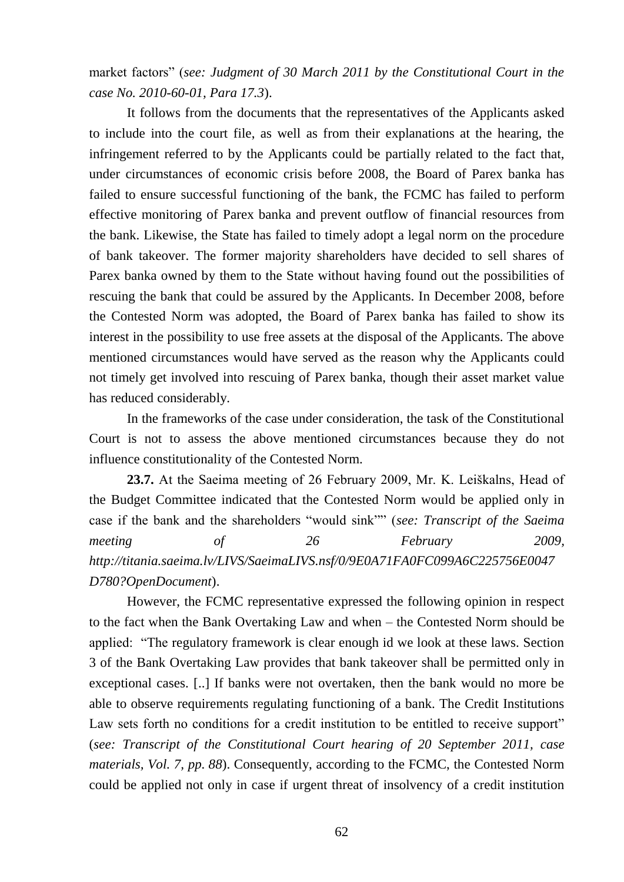market factors" (*see: Judgment of 30 March 2011 by the Constitutional Court in the case No. 2010-60-01, Para 17.3*).

It follows from the documents that the representatives of the Applicants asked to include into the court file, as well as from their explanations at the hearing, the infringement referred to by the Applicants could be partially related to the fact that, under circumstances of economic crisis before 2008, the Board of Parex banka has failed to ensure successful functioning of the bank, the FCMC has failed to perform effective monitoring of Parex banka and prevent outflow of financial resources from the bank. Likewise, the State has failed to timely adopt a legal norm on the procedure of bank takeover. The former majority shareholders have decided to sell shares of Parex banka owned by them to the State without having found out the possibilities of rescuing the bank that could be assured by the Applicants. In December 2008, before the Contested Norm was adopted, the Board of Parex banka has failed to show its interest in the possibility to use free assets at the disposal of the Applicants. The above mentioned circumstances would have served as the reason why the Applicants could not timely get involved into rescuing of Parex banka, though their asset market value has reduced considerably.

In the frameworks of the case under consideration, the task of the Constitutional Court is not to assess the above mentioned circumstances because they do not influence constitutionality of the Contested Norm.

**23.7.** At the Saeima meeting of 26 February 2009, Mr. K. Leiškalns, Head of the Budget Committee indicated that the Contested Norm would be applied only in case if the bank and the shareholders "would sink"" (*see: Transcript of the Saeima meeting of 26 February 2009, [http://titania.saeima.lv/LIVS/SaeimaLIVS.nsf/0/9E0A71FA0FC099A6C225756E0047](http://titania.saeima.lv/LIVS/SaeimaLIVS.nsf/0/9E0A71FA0FC099A6C225756E0047D780?OpenDocument) [D780?OpenDocument](http://titania.saeima.lv/LIVS/SaeimaLIVS.nsf/0/9E0A71FA0FC099A6C225756E0047D780?OpenDocument)*).

However, the FCMC representative expressed the following opinion in respect to the fact when the Bank Overtaking Law and when – the Contested Norm should be applied: "The regulatory framework is clear enough id we look at these laws. Section 3 of the Bank Overtaking Law provides that bank takeover shall be permitted only in exceptional cases. [..] If banks were not overtaken, then the bank would no more be able to observe requirements regulating functioning of a bank. The Credit Institutions Law sets forth no conditions for a credit institution to be entitled to receive support" (*see: Transcript of the Constitutional Court hearing of 20 September 2011, case materials, Vol. 7, pp. 88*). Consequently, according to the FCMC, the Contested Norm could be applied not only in case if urgent threat of insolvency of a credit institution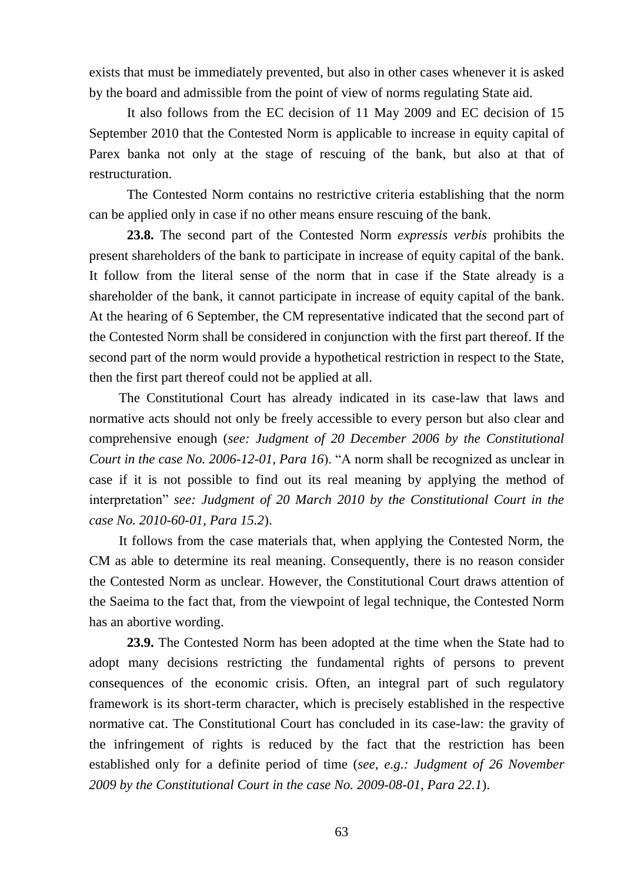exists that must be immediately prevented, but also in other cases whenever it is asked by the board and admissible from the point of view of norms regulating State aid.

It also follows from the EC decision of 11 May 2009 and EC decision of 15 September 2010 that the Contested Norm is applicable to increase in equity capital of Parex banka not only at the stage of rescuing of the bank, but also at that of restructuration.

The Contested Norm contains no restrictive criteria establishing that the norm can be applied only in case if no other means ensure rescuing of the bank.

**23.8.** The second part of the Contested Norm *expressis verbis* prohibits the present shareholders of the bank to participate in increase of equity capital of the bank. It follow from the literal sense of the norm that in case if the State already is a shareholder of the bank, it cannot participate in increase of equity capital of the bank. At the hearing of 6 September, the CM representative indicated that the second part of the Contested Norm shall be considered in conjunction with the first part thereof. If the second part of the norm would provide a hypothetical restriction in respect to the State, then the first part thereof could not be applied at all.

The Constitutional Court has already indicated in its case-law that laws and normative acts should not only be freely accessible to every person but also clear and comprehensive enough (*see: Judgment of 20 December 2006 by the Constitutional Court in the case No. 2006-12-01, Para 16*). "A norm shall be recognized as unclear in case if it is not possible to find out its real meaning by applying the method of interpretation" *see: Judgment of 20 March 2010 by the Constitutional Court in the case No. 2010-60-01, Para 15.2*).

It follows from the case materials that, when applying the Contested Norm, the CM as able to determine its real meaning. Consequently, there is no reason consider the Contested Norm as unclear. However, the Constitutional Court draws attention of the Saeima to the fact that, from the viewpoint of legal technique, the Contested Norm has an abortive wording.

**23.9.** The Contested Norm has been adopted at the time when the State had to adopt many decisions restricting the fundamental rights of persons to prevent consequences of the economic crisis. Often, an integral part of such regulatory framework is its short-term character, which is precisely established in the respective normative cat. The Constitutional Court has concluded in its case-law: the gravity of the infringement of rights is reduced by the fact that the restriction has been established only for a definite period of time (*see, e.g.: Judgment of 26 November 2009 by the Constitutional Court in the case No. 2009-08-01, Para 22.1*).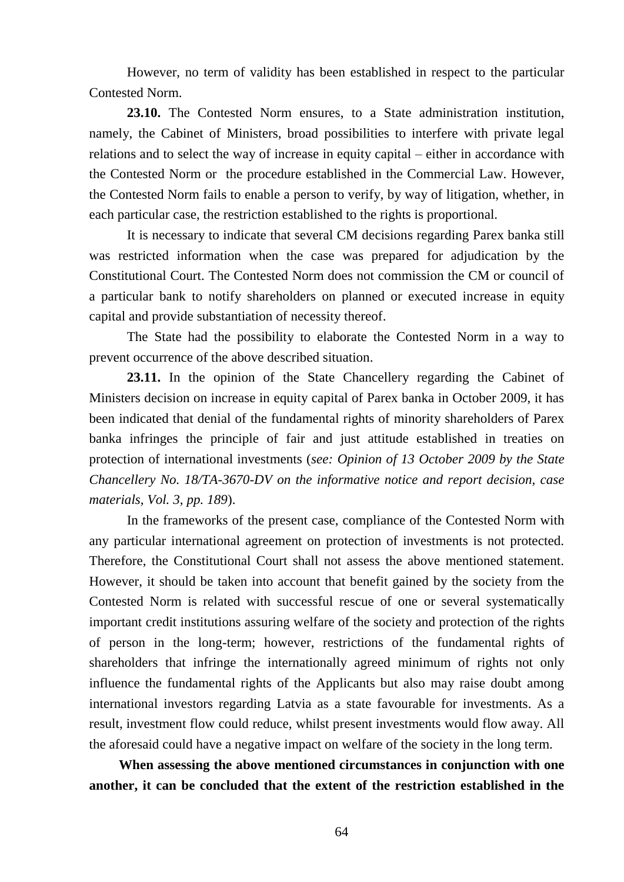However, no term of validity has been established in respect to the particular Contested Norm.

**23.10.** The Contested Norm ensures, to a State administration institution, namely, the Cabinet of Ministers, broad possibilities to interfere with private legal relations and to select the way of increase in equity capital – either in accordance with the Contested Norm or the procedure established in the Commercial Law. However, the Contested Norm fails to enable a person to verify, by way of litigation, whether, in each particular case, the restriction established to the rights is proportional.

It is necessary to indicate that several CM decisions regarding Parex banka still was restricted information when the case was prepared for adjudication by the Constitutional Court. The Contested Norm does not commission the CM or council of a particular bank to notify shareholders on planned or executed increase in equity capital and provide substantiation of necessity thereof.

The State had the possibility to elaborate the Contested Norm in a way to prevent occurrence of the above described situation.

**23.11.** In the opinion of the State Chancellery regarding the Cabinet of Ministers decision on increase in equity capital of Parex banka in October 2009, it has been indicated that denial of the fundamental rights of minority shareholders of Parex banka infringes the principle of fair and just attitude established in treaties on protection of international investments (*see: Opinion of 13 October 2009 by the State Chancellery No. 18/TA-3670-DV on the informative notice and report decision, case materials, Vol. 3, pp. 189*).

In the frameworks of the present case, compliance of the Contested Norm with any particular international agreement on protection of investments is not protected. Therefore, the Constitutional Court shall not assess the above mentioned statement. However, it should be taken into account that benefit gained by the society from the Contested Norm is related with successful rescue of one or several systematically important credit institutions assuring welfare of the society and protection of the rights of person in the long-term; however, restrictions of the fundamental rights of shareholders that infringe the internationally agreed minimum of rights not only influence the fundamental rights of the Applicants but also may raise doubt among international investors regarding Latvia as a state favourable for investments. As a result, investment flow could reduce, whilst present investments would flow away. All the aforesaid could have a negative impact on welfare of the society in the long term.

**When assessing the above mentioned circumstances in conjunction with one another, it can be concluded that the extent of the restriction established in the**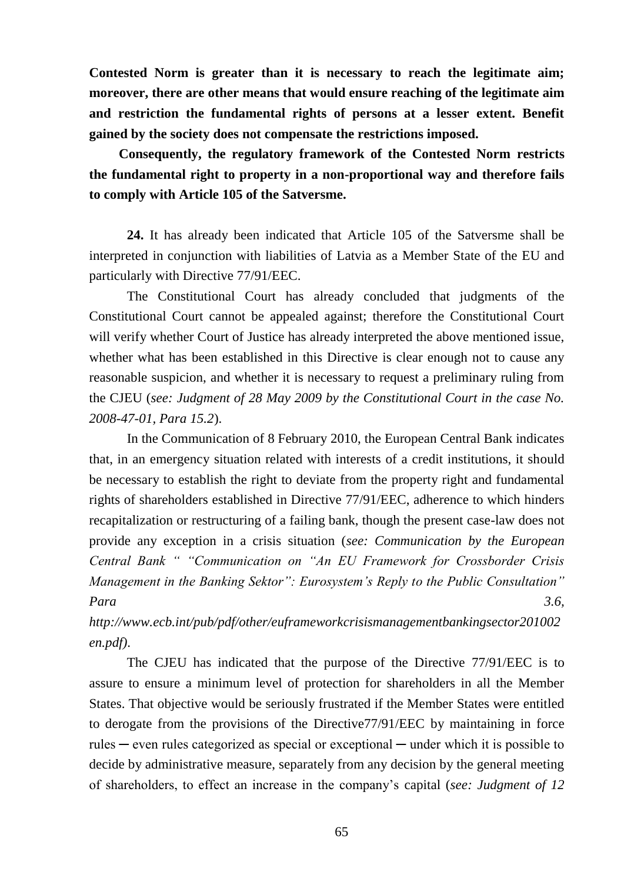**Contested Norm is greater than it is necessary to reach the legitimate aim; moreover, there are other means that would ensure reaching of the legitimate aim and restriction the fundamental rights of persons at a lesser extent. Benefit gained by the society does not compensate the restrictions imposed.** 

**Consequently, the regulatory framework of the Contested Norm restricts the fundamental right to property in a non-proportional way and therefore fails to comply with Article 105 of the Satversme.** 

**24.** It has already been indicated that Article 105 of the Satversme shall be interpreted in conjunction with liabilities of Latvia as a Member State of the EU and particularly with Directive 77/91/EEC.

The Constitutional Court has already concluded that judgments of the Constitutional Court cannot be appealed against; therefore the Constitutional Court will verify whether Court of Justice has already interpreted the above mentioned issue, whether what has been established in this Directive is clear enough not to cause any reasonable suspicion, and whether it is necessary to request a preliminary ruling from the CJEU (*see: Judgment of 28 May 2009 by the Constitutional Court in the case No. 2008-47-01, Para 15.2*).

In the Communication of 8 February 2010, the European Central Bank indicates that, in an emergency situation related with interests of a credit institutions, it should be necessary to establish the right to deviate from the property right and fundamental rights of shareholders established in Directive 77/91/EEC, adherence to which hinders recapitalization or restructuring of a failing bank, though the present case-law does not provide any exception in a crisis situation (*see: Communication by the European Central Bank " "Communication on "An EU Framework for Crossborder Crisis Management in the Banking Sektor": Eurosystem's Reply to the Public Consultation" Para 3.6,*

*http://www.ecb.int/pub/pdf/other/euframeworkcrisismanagementbankingsector201002 en.pdf)*.

The CJEU has indicated that the purpose of the Directive 77/91/EEC is to assure to ensure a minimum level of protection for shareholders in all the Member States. That objective would be seriously frustrated if the Member States were entitled to derogate from the provisions of the Directive77/91/EEC by maintaining in force rules  $-$  even rules categorized as special or exceptional  $-$  under which it is possible to decide by administrative measure, separately from any decision by the general meeting of shareholders, to effect an increase in the company's capital (*see: Judgment of 12*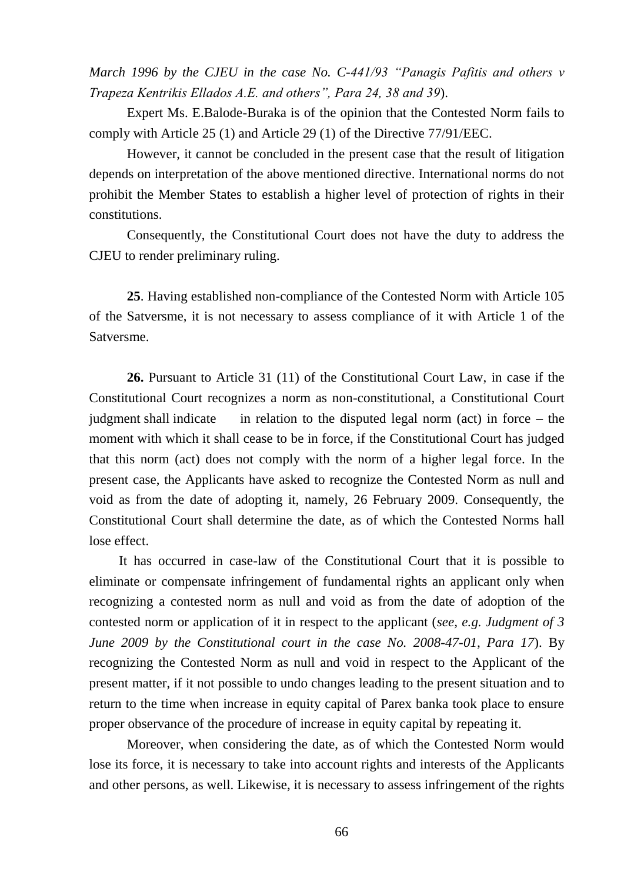*March 1996 by the CJEU in the case No. C-441/93 "Panagis Pafitis and others v Trapeza Kentrikis Ellados A.E. and others", Para 24, 38 and 39*).

Expert Ms. E.Balode-Buraka is of the opinion that the Contested Norm fails to comply with Article 25 (1) and Article 29 (1) of the Directive 77/91/EEC.

However, it cannot be concluded in the present case that the result of litigation depends on interpretation of the above mentioned directive. International norms do not prohibit the Member States to establish a higher level of protection of rights in their constitutions.

Consequently, the Constitutional Court does not have the duty to address the CJEU to render preliminary ruling.

**25**. Having established non-compliance of the Contested Norm with Article 105 of the Satversme, it is not necessary to assess compliance of it with Article 1 of the Satversme.

**26.** Pursuant to Article 31 (11) of the Constitutional Court Law, in case if the Constitutional Court recognizes a norm as non-constitutional, a Constitutional Court judgment shall indicate in relation to the disputed legal norm (act) in force – the moment with which it shall cease to be in force, if the Constitutional Court has judged that this norm (act) does not comply with the norm of a higher legal force. In the present case, the Applicants have asked to recognize the Contested Norm as null and void as from the date of adopting it, namely, 26 February 2009. Consequently, the Constitutional Court shall determine the date, as of which the Contested Norms hall lose effect.

It has occurred in case-law of the Constitutional Court that it is possible to eliminate or compensate infringement of fundamental rights an applicant only when recognizing a contested norm as null and void as from the date of adoption of the contested norm or application of it in respect to the applicant (*see, e.g. Judgment of 3 June 2009 by the Constitutional court in the case No. 2008-47-01, Para 17*). By recognizing the Contested Norm as null and void in respect to the Applicant of the present matter, if it not possible to undo changes leading to the present situation and to return to the time when increase in equity capital of Parex banka took place to ensure proper observance of the procedure of increase in equity capital by repeating it.

Moreover, when considering the date, as of which the Contested Norm would lose its force, it is necessary to take into account rights and interests of the Applicants and other persons, as well. Likewise, it is necessary to assess infringement of the rights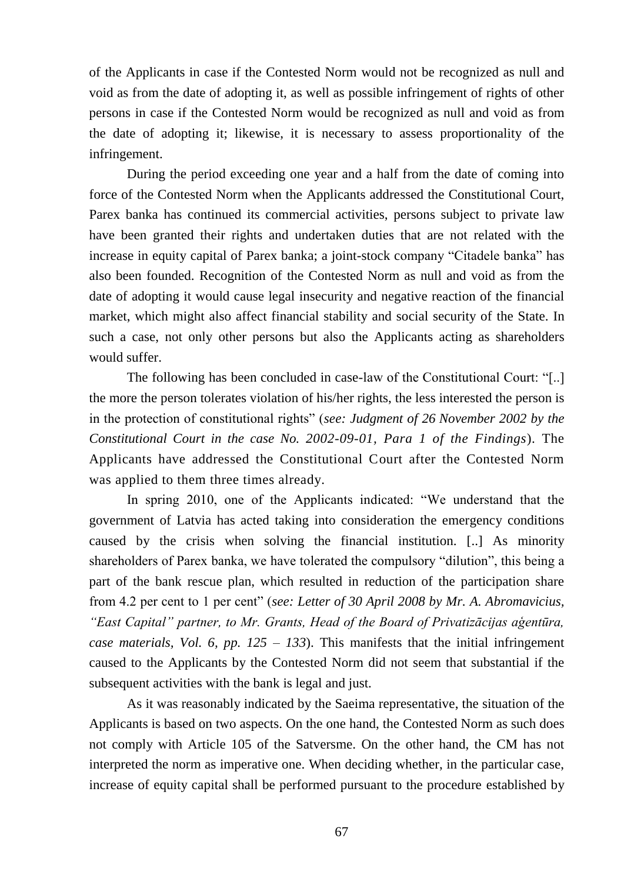of the Applicants in case if the Contested Norm would not be recognized as null and void as from the date of adopting it, as well as possible infringement of rights of other persons in case if the Contested Norm would be recognized as null and void as from the date of adopting it; likewise, it is necessary to assess proportionality of the infringement.

During the period exceeding one year and a half from the date of coming into force of the Contested Norm when the Applicants addressed the Constitutional Court, Parex banka has continued its commercial activities, persons subject to private law have been granted their rights and undertaken duties that are not related with the increase in equity capital of Parex banka; a joint-stock company "Citadele banka" has also been founded. Recognition of the Contested Norm as null and void as from the date of adopting it would cause legal insecurity and negative reaction of the financial market, which might also affect financial stability and social security of the State. In such a case, not only other persons but also the Applicants acting as shareholders would suffer.

The following has been concluded in case-law of the Constitutional Court: "[..] the more the person tolerates violation of his/her rights, the less interested the person is in the protection of constitutional rights" (*see: Judgment of 26 November 2002 by the Constitutional Court in the case No. 2002-09-01, Para 1 of the Findings*). The Applicants have addressed the Constitutional Court after the Contested Norm was applied to them three times already.

In spring 2010, one of the Applicants indicated: "We understand that the government of Latvia has acted taking into consideration the emergency conditions caused by the crisis when solving the financial institution. [..] As minority shareholders of Parex banka, we have tolerated the compulsory "dilution", this being a part of the bank rescue plan, which resulted in reduction of the participation share from 4.2 per cent to 1 per cent" (*see: Letter of 30 April 2008 by Mr. A. Abromavicius, "East Capital" partner, to Mr. Grants, Head of the Board of Privatizācijas aģentūra, case materials, Vol. 6, pp. 125 – 133*). This manifests that the initial infringement caused to the Applicants by the Contested Norm did not seem that substantial if the subsequent activities with the bank is legal and just.

As it was reasonably indicated by the Saeima representative, the situation of the Applicants is based on two aspects. On the one hand, the Contested Norm as such does not comply with Article 105 of the Satversme. On the other hand, the CM has not interpreted the norm as imperative one. When deciding whether, in the particular case, increase of equity capital shall be performed pursuant to the procedure established by